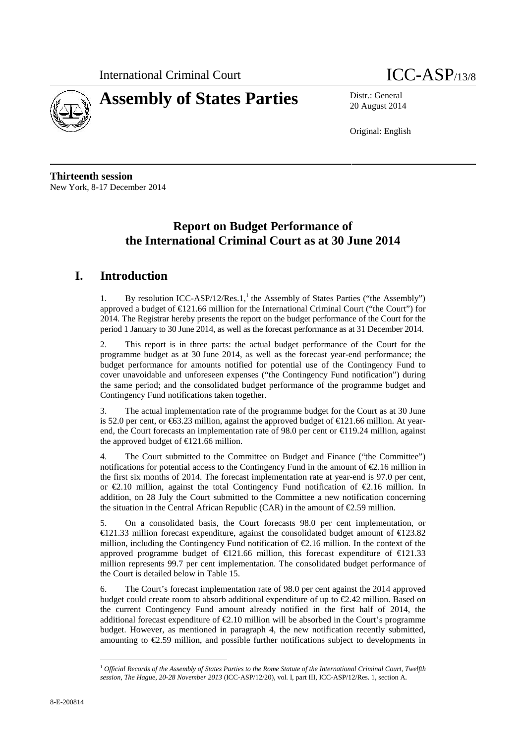



20 August 2014

Original: English

**Thirteenth session** New York, 8-17 December 2014

# **Report on Budget Performance of the International Criminal Court as at 30 June 2014**

## **I. Introduction**

1. By resolution ICC-ASP/12/Res.1,<sup>1</sup> the Assembly of States Parties ("the Assembly") approved a budget of €121.66 million for the International Criminal Court ("the Court") for 2014. The Registrar hereby presents the report on the budget performance of the Court for the period 1 January to 30 June 2014, as well as the forecast performance as at 31 December 2014.

2. This report is in three parts: the actual budget performance of the Court for the programme budget as at 30 June 2014, as well as the forecast year-end performance; the budget performance for amounts notified for potential use of the Contingency Fund to cover unavoidable and unforeseen expenses ("the Contingency Fund notification") during the same period; and the consolidated budget performance of the programme budget and Contingency Fund notifications taken together.

3. The actual implementation rate of the programme budget for the Court as at 30 June is 52.0 per cent, or  $\epsilon$ 63.23 million, against the approved budget of  $\epsilon$ 121.66 million. At yearend, the Court forecasts an implementation rate of 98.0 per cent or  $\in$  19.24 million, against the approved budget of  $\in$  21.66 million.

4. The Court submitted to the Committee on Budget and Finance ("the Committee") notifications for potential access to the Contingency Fund in the amount of €2.16 million in the first six months of 2014. The forecast implementation rate at year-end is 97.0 per cent, or €2.10 million, against the total Contingency Fund notification of €2.16 million. In addition, on 28 July the Court submitted to the Committee a new notification concerning the situation in the Central African Republic (CAR) in the amount of  $\epsilon$ 2.59 million.

5. On a consolidated basis, the Court forecasts 98.0 per cent implementation, or  $\in$  21.33 million forecast expenditure, against the consolidated budget amount of  $\in$  23.82 million, including the Contingency Fund notification of  $\epsilon$ 2.16 million. In the context of the approved programme budget of  $\epsilon$ 121.66 million, this forecast expenditure of  $\epsilon$ 121.33 million represents 99.7 per cent implementation. The consolidated budget performance of the Court is detailed below in Table 15.

6. The Court's forecast implementation rate of 98.0 per cent against the 2014 approved budget could create room to absorb additional expenditure of up to €2.42 million. Based on the current Contingency Fund amount already notified in the first half of 2014, the additional forecast expenditure of  $\epsilon 2.10$  million will be absorbed in the Court's programme budget. However, as mentioned in paragraph 4, the new notification recently submitted, amounting to €2.59 million, and possible further notifications subject to developments in

<sup>1</sup> *Official Records of the Assembly of States Parties to the Rome Statute of the International Criminal Court, Twelfth session, The Hague, 20-28 November 2013* (ICC-ASP/12/20), vol. I, part III, ICC-ASP/12/Res. 1, section A.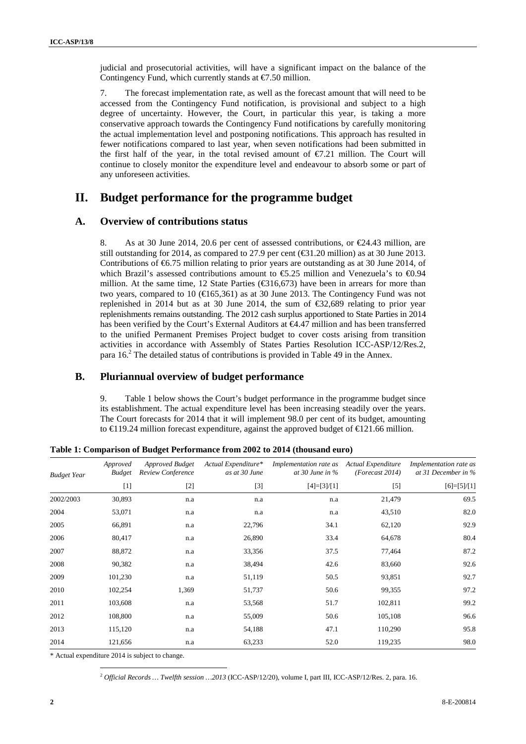judicial and prosecutorial activities, will have a significant impact on the balance of the Contingency Fund, which currently stands at  $\epsilon$ 7.50 million.

7. The forecast implementation rate, as well as the forecast amount that will need to be accessed from the Contingency Fund notification, is provisional and subject to a high degree of uncertainty. However, the Court, in particular this year, is taking a more conservative approach towards the Contingency Fund notifications by carefully monitoring the actual implementation level and postponing notifications. This approach has resulted in fewer notifications compared to last year, when seven notifications had been submitted in the first half of the year, in the total revised amount of  $E.21$  million. The Court will continue to closely monitor the expenditure level and endeavour to absorb some or part of any unforeseen activities.

### **II. Budget performance for the programme budget**

#### **A. Overview of contributions status**

8. As at 30 June 2014, 20.6 per cent of assessed contributions, or €24.43 million, are still outstanding for 2014, as compared to 27.9 per cent ( $\bigoplus$ 1.20 million) as at 30 June 2013. Contributions of  $6.75$  million relating to prior years are outstanding as at 30 June 2014, of which Brazil's assessed contributions amount to  $\epsilon$ 5.25 million and Venezuela's to  $\epsilon$ 0.94 million. At the same time, 12 State Parties ( $\text{\textsterling}316,673$ ) have been in arrears for more than two years, compared to 10 ( $\bigoplus$  65,361) as at 30 June 2013. The Contingency Fund was not replenished in 2014 but as at 30 June 2014, the sum of €32,689 relating to prior year replenishments remains outstanding. The 2012 cash surplus apportioned to State Parties in 2014 has been verified by the Court's External Auditors at €4.47 million and has been transferred to the unified Permanent Premises Project budget to cover costs arising from transition activities in accordance with Assembly of States Parties Resolution ICC-ASP/12/Res.2, para  $16<sup>2</sup>$ . The detailed status of contributions is provided in Table 49 in the Annex.

#### **B. Pluriannual overview of budget performance**

9. Table 1 below shows the Court's budget performance in the programme budget since its establishment. The actual expenditure level has been increasing steadily over the years. The Court forecasts for 2014 that it will implement 98.0 per cent of its budget, amounting to €119.24 million forecast expenditure, against the approved budget of €121.66 million.

| <b>Budget Year</b> | Approved<br><b>Budget</b> | <b>Approved Budget</b><br>Review Conference | Actual Expenditure*<br>as at 30 June | Implementation rate as<br>at 30 June in $\%$ | Actual Expenditure<br>(Forecast 2014) | Implementation rate as<br>at 31 December in % |
|--------------------|---------------------------|---------------------------------------------|--------------------------------------|----------------------------------------------|---------------------------------------|-----------------------------------------------|
|                    | $[1]$                     | $[2]$                                       | $[3]$                                | $[4]=[3]/[1]$                                | $[5]$                                 | $[6]=[5]/[1]$                                 |
| 2002/2003          | 30,893                    | n.a                                         | n.a                                  | n.a                                          | 21,479                                | 69.5                                          |
| 2004               | 53,071                    | n.a                                         | n.a                                  | n.a                                          | 43,510                                | 82.0                                          |
| 2005               | 66,891                    | n.a                                         | 22,796                               | 34.1                                         | 62,120                                | 92.9                                          |
| 2006               | 80,417                    | n.a                                         | 26,890                               | 33.4                                         | 64,678                                | 80.4                                          |
| 2007               | 88,872                    | n.a                                         | 33,356                               | 37.5                                         | 77,464                                | 87.2                                          |
| 2008               | 90,382                    | n.a                                         | 38,494                               | 42.6                                         | 83,660                                | 92.6                                          |
| 2009               | 101,230                   | n.a                                         | 51,119                               | 50.5                                         | 93,851                                | 92.7                                          |
| 2010               | 102,254                   | 1,369                                       | 51,737                               | 50.6                                         | 99,355                                | 97.2                                          |
| 2011               | 103,608                   | n.a                                         | 53,568                               | 51.7                                         | 102,811                               | 99.2                                          |
| 2012               | 108,800                   | n.a                                         | 55,009                               | 50.6                                         | 105,108                               | 96.6                                          |
| 2013               | 115,120                   | n.a                                         | 54,188                               | 47.1                                         | 110,290                               | 95.8                                          |
| 2014               | 121,656                   | n.a                                         | 63,233                               | 52.0                                         | 119,235                               | 98.0                                          |

**Table 1: Comparison of Budget Performance from 2002 to 2014 (thousand euro)**

\* Actual expenditure 2014 is subject to change.

<sup>2</sup> *Official Records … Twelfth session …2013* (ICC-ASP/12/20), volume I, part III, ICC-ASP/12/Res. 2, para. 16.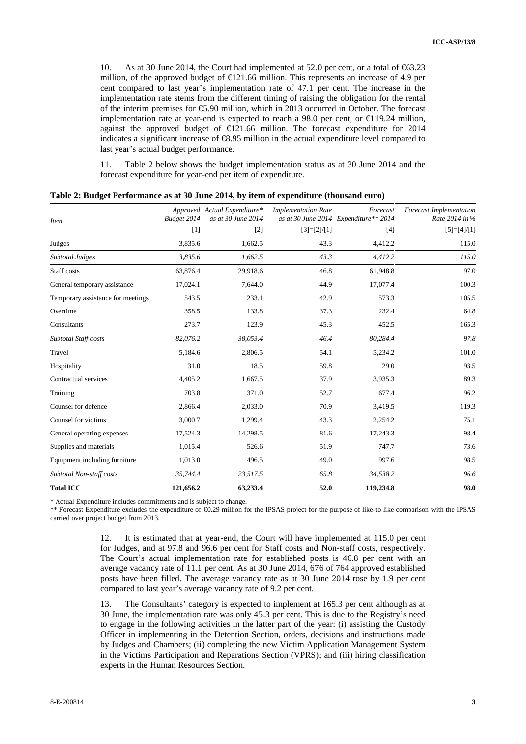10. As at 30 June 2014, the Court had implemented at 52.0 per cent, or a total of €63.23 million, of the approved budget of  $\text{\textsterling}21.66$  million. This represents an increase of 4.9 per cent compared to last year's implementation rate of 47.1 per cent. The increase in the implementation rate stems from the different timing of raising the obligation for the rental of the interim premises for €5.90 million, which in 2013 occurred in October. The forecast implementation rate at year-end is expected to reach a 98.0 per cent, or  $\in$ 19.24 million, against the approved budget of  $\epsilon$ 121.66 million. The forecast expenditure for 2014 indicates a significant increase of €8.95 million in the actual expenditure level compared to last year's actual budget performance.

11. Table 2 below shows the budget implementation status as at 30 June 2014 and the forecast expenditure for year-end per item of expenditure.

| <b>Item</b>                       | Budget 2014 | Approved Actual Expenditure*<br>as at 30 June 2014 | <b>Implementation Rate</b> | Forecast<br>as at 30 June 2014 Expenditure** 2014 | <b>Forecast Implementation</b><br>Rate 2014 in % |
|-----------------------------------|-------------|----------------------------------------------------|----------------------------|---------------------------------------------------|--------------------------------------------------|
|                                   | $[1]$       | $[2]$                                              | $[3]=[2]/[1]$              | $[4]$                                             | $[5]=[4]/[1]$                                    |
| Judges                            | 3,835.6     | 1,662.5                                            | 43.3                       | 4,412.2                                           | 115.0                                            |
| <b>Subtotal Judges</b>            | 3,835.6     | 1,662.5                                            | 43.3                       | 4,412.2                                           | 115.0                                            |
| Staff costs                       | 63,876.4    | 29,918.6                                           | 46.8                       | 61,948.8                                          | 97.0                                             |
| General temporary assistance      | 17,024.1    | 7,644.0                                            | 44.9                       | 17,077.4                                          | 100.3                                            |
| Temporary assistance for meetings | 543.5       | 233.1                                              | 42.9                       | 573.3                                             | 105.5                                            |
| Overtime                          | 358.5       | 133.8                                              | 37.3                       | 232.4                                             | 64.8                                             |
| Consultants                       | 273.7       | 123.9                                              | 45.3                       | 452.5                                             | 165.3                                            |
| Subtotal Staff costs              | 82,076.2    | 38,053.4                                           | 46.4                       | 80,284.4                                          | 97.8                                             |
| Travel                            | 5,184.6     | 2,806.5                                            | 54.1                       | 5,234.2                                           | 101.0                                            |
| Hospitality                       | 31.0        | 18.5                                               | 59.8                       | 29.0                                              | 93.5                                             |
| Contractual services              | 4,405.2     | 1.667.5                                            | 37.9                       | 3.935.3                                           | 89.3                                             |
| Training                          | 703.8       | 371.0                                              | 52.7                       | 677.4                                             | 96.2                                             |
| Counsel for defence               | 2,866.4     | 2,033.0                                            | 70.9                       | 3.419.5                                           | 119.3                                            |
| Counsel for victims               | 3,000.7     | 1,299.4                                            | 43.3                       | 2,254.2                                           | 75.1                                             |
| General operating expenses        | 17,524.3    | 14,298.5                                           | 81.6                       | 17,243.3                                          | 98.4                                             |
| Supplies and materials            | 1,015.4     | 526.6                                              | 51.9                       | 747.7                                             | 73.6                                             |
| Equipment including furniture     | 1,013.0     | 496.5                                              | 49.0                       | 997.6                                             | 98.5                                             |
| Subtotal Non-staff costs          | 35,744.4    | 23,517.5                                           | 65.8                       | 34,538.2                                          | 96.6                                             |
| <b>Total ICC</b>                  | 121,656.2   | 63,233.4                                           | 52.0                       | 119,234.8                                         | 98.0                                             |

|  | Table 2: Budget Performance as at 30 June 2014, by item of expenditure (thousand euro) |  |
|--|----------------------------------------------------------------------------------------|--|
|  |                                                                                        |  |

\* Actual Expenditure includes commitments and is subject to change.

\*\* Forecast Expenditure excludes the expenditure of €0.29 million for the IPSAS project for the purpose of like-to like comparison with the IPSAS carried over project budget from 2013.

> 12. It is estimated that at year-end, the Court will have implemented at 115.0 per cent for Judges, and at 97.8 and 96.6 per cent for Staff costs and Non-staff costs, respectively. The Court's actual implementation rate for established posts is 46.8 per cent with an average vacancy rate of 11.1 per cent. As at 30 June 2014, 676 of 764 approved established posts have been filled. The average vacancy rate as at 30 June 2014 rose by 1.9 per cent compared to last year's average vacancy rate of 9.2 per cent.

> 13. The Consultants' category is expected to implement at 165.3 per cent although as at 30 June, the implementation rate was only 45.3 per cent. This is due to the Registry's need to engage in the following activities in the latter part of the year: (i) assisting the Custody Officer in implementing in the Detention Section, orders, decisions and instructions made by Judges and Chambers; (ii) completing the new Victim Application Management System in the Victims Participation and Reparations Section (VPRS); and (iii) hiring classification experts in the Human Resources Section.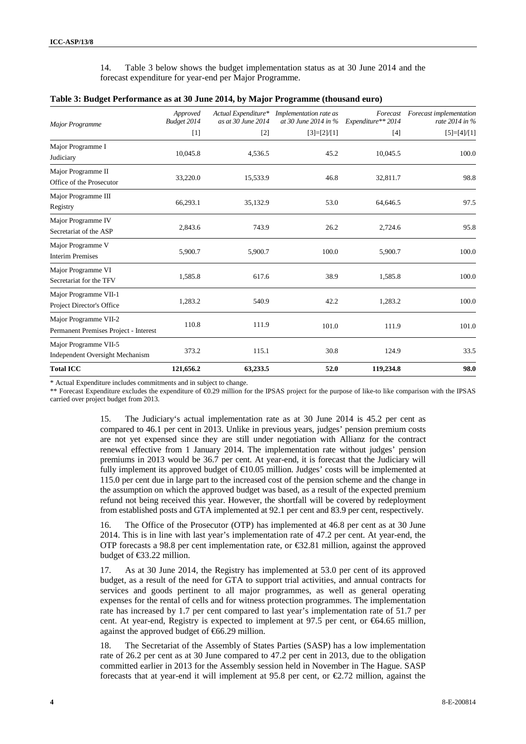14. Table 3 below shows the budget implementation status as at 30 June 2014 and the forecast expenditure for year-end per Major Programme.

| <b>Major Programme</b>                                          | Approved<br>Budget 2014 | Actual Expenditure*<br>as at 30 June 2014 | Implementation rate as<br>at 30 June 2014 in $%$ Expenditure** 2014 | Forecast  | Forecast implementation<br>rate 2014 in % |
|-----------------------------------------------------------------|-------------------------|-------------------------------------------|---------------------------------------------------------------------|-----------|-------------------------------------------|
|                                                                 | $[1]$                   | $[2]$                                     | $[3]=[2]/[1]$                                                       | $[4]$     | $[5]=[4]/[1]$                             |
| Major Programme I<br>Judiciary                                  | 10,045.8                | 4,536.5                                   | 45.2                                                                | 10,045.5  | 100.0                                     |
| Major Programme II<br>Office of the Prosecutor                  | 33,220.0                | 15,533.9                                  | 46.8                                                                | 32,811.7  | 98.8                                      |
| Major Programme III<br>Registry                                 | 66,293.1                | 35,132.9                                  | 53.0                                                                | 64,646.5  | 97.5                                      |
| Major Programme IV<br>Secretariat of the ASP                    | 2,843.6                 | 743.9                                     | 26.2                                                                | 2,724.6   | 95.8                                      |
| Major Programme V<br><b>Interim Premises</b>                    | 5,900.7                 | 5,900.7                                   | 100.0                                                               | 5,900.7   | 100.0                                     |
| Major Programme VI<br>Secretariat for the TFV                   | 1,585.8                 | 617.6                                     | 38.9                                                                | 1,585.8   | 100.0                                     |
| Major Programme VII-1<br>Project Director's Office              | 1,283.2                 | 540.9                                     | 42.2                                                                | 1,283.2   | 100.0                                     |
| Major Programme VII-2<br>Permanent Premises Project - Interest  | 110.8                   | 111.9                                     | 101.0                                                               | 111.9     | 101.0                                     |
| Major Programme VII-5<br><b>Independent Oversight Mechanism</b> | 373.2                   | 115.1                                     | 30.8                                                                | 124.9     | 33.5                                      |
| <b>Total ICC</b>                                                | 121,656.2               | 63,233.5                                  | 52.0                                                                | 119,234.8 | 98.0                                      |

|  |  | Table 3: Budget Performance as at 30 June 2014, by Major Programme (thousand euro) |
|--|--|------------------------------------------------------------------------------------|
|  |  |                                                                                    |

\* Actual Expenditure includes commitments and in subject to change.

\*\* Forecast Expenditure excludes the expenditure of €0.29 million for the IPSAS project for the purpose of like-to like comparison with the IPSAS carried over project budget from 2013.

> 15. The Judiciary's actual implementation rate as at 30 June 2014 is 45.2 per cent as compared to 46.1 per cent in 2013. Unlike in previous years, judges' pension premium costs are not yet expensed since they are still under negotiation with Allianz for the contract renewal effective from 1 January 2014. The implementation rate without judges' pension premiums in 2013 would be 36.7 per cent. At year-end, it is forecast that the Judiciary will fully implement its approved budget of €10.05 million. Judges' costs will be implemented at 115.0 per cent due in large part to the increased cost of the pension scheme and the change in the assumption on which the approved budget was based, as a result of the expected premium refund not being received this year. However, the shortfall will be covered by redeployment from established posts and GTA implemented at 92.1 per cent and 83.9 per cent, respectively.

> The Office of the Prosecutor (OTP) has implemented at 46.8 per cent as at 30 June 2014. This is in line with last year's implementation rate of 47.2 per cent. At year-end, the OTP forecasts a 98.8 per cent implementation rate, or €32.81 million, against the approved budget of €33.22 million.

> 17. As at 30 June 2014, the Registry has implemented at 53.0 per cent of its approved budget, as a result of the need for GTA to support trial activities, and annual contracts for services and goods pertinent to all major programmes, as well as general operating expenses for the rental of cells and for witness protection programmes. The implementation rate has increased by 1.7 per cent compared to last year's implementation rate of 51.7 per cent. At year-end, Registry is expected to implement at 97.5 per cent, or €64.65 million, against the approved budget of  $\bigoplus$  6.29 million.

> 18. The Secretariat of the Assembly of States Parties (SASP) has a low implementation rate of 26.2 per cent as at 30 June compared to 47.2 per cent in 2013, due to the obligation committed earlier in 2013 for the Assembly session held in November in The Hague. SASP forecasts that at year-end it will implement at 95.8 per cent, or  $\epsilon$ 2.72 million, against the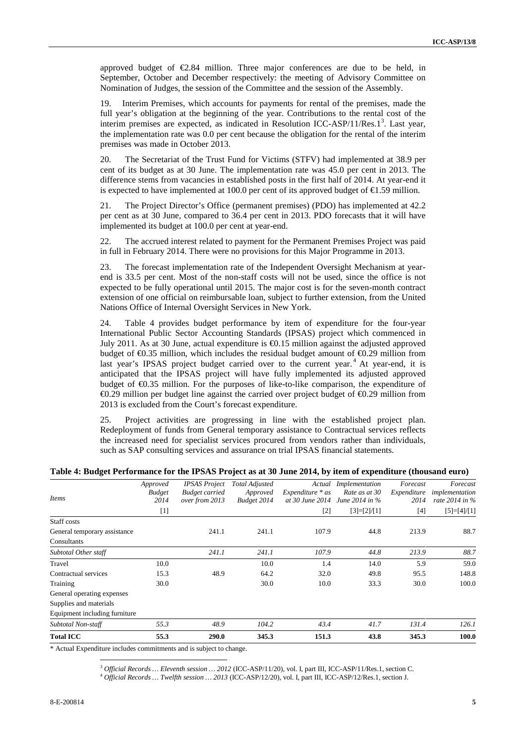approved budget of €2.84 million. Three major conferences are due to be held, in September, October and December respectively: the meeting of Advisory Committee on Nomination of Judges, the session of the Committee and the session of the Assembly.

19. Interim Premises, which accounts for payments for rental of the premises, made the full year's obligation at the beginning of the year. Contributions to the rental cost of the interim premises are expected, as indicated in Resolution ICC-ASP/11/Res.1<sup>3</sup>. Last year, the implementation rate was 0.0 per cent because the obligation for the rental of the interim premises was made in October 2013.

20. The Secretariat of the Trust Fund for Victims (STFV) had implemented at 38.9 per cent of its budget as at 30 June. The implementation rate was 45.0 per cent in 2013. The difference stems from vacancies in established posts in the first half of 2014. At year-end it is expected to have implemented at 100.0 per cent of its approved budget of  $\bigoplus$ .59 million.

21. The Project Director's Office (permanent premises) (PDO) has implemented at 42.2 per cent as at 30 June, compared to 36.4 per cent in 2013. PDO forecasts that it will have implemented its budget at 100.0 per cent at year-end.

22. The accrued interest related to payment for the Permanent Premises Project was paid in full in February 2014. There were no provisions for this Major Programme in 2013.

23. The forecast implementation rate of the Independent Oversight Mechanism at year end is 33.5 per cent. Most of the non-staff costs will not be used, since the office is not expected to be fully operational until 2015. The major cost is for the seven-month contract extension of one official on reimbursable loan, subject to further extension, from the United Nations Office of Internal Oversight Services in New York.

24. Table 4 provides budget performance by item of expenditure for the four-year International Public Sector Accounting Standards (IPSAS) project which commenced in July 2011. As at 30 June, actual expenditure is  $\bigoplus$ .15 million against the adjusted approved budget of  $\Theta$ .35 million, which includes the residual budget amount of  $\Theta$ .29 million from last year's IPSAS project budget carried over to the current year.<sup>4</sup> At year-end, it is anticipated that the IPSAS project will have fully implemented its adjusted approved budget of €0.35 million. For the purposes of like-to-like comparison, the expenditure of €0.29 million per budget line against the carried over project budget of €0.29 million from 2013 is excluded from the Court's forecast expenditure.

25. Project activities are progressing in line with the established project plan. Redeployment of funds from General temporary assistance to Contractual services reflects the increased need for specialist services procured from vendors rather than individuals, such as SAP consulting services and assurance on trial IPSAS financial statements.

| <i>Items</i>                  | Approved<br><b>Budget</b><br>2014 | <b>IPSAS</b> Project<br><b>Budget carried</b><br>over from 2013 | Total Adjusted<br>Approved<br>Budget 2014 | $Expenditure * as$ | Actual Implementation<br>Rate as at 30<br>at 30 June 2014 June 2014 in % | Forecast<br>Expenditure<br>2014 | Forecast<br>implementation<br>rate 2014 in % |
|-------------------------------|-----------------------------------|-----------------------------------------------------------------|-------------------------------------------|--------------------|--------------------------------------------------------------------------|---------------------------------|----------------------------------------------|
|                               | $[1]$                             |                                                                 |                                           | $[2]$              | $[3]=[2]/[1]$                                                            | $[4]$                           | $[5]=[4]/[1]$                                |
| Staff costs                   |                                   |                                                                 |                                           |                    |                                                                          |                                 |                                              |
| General temporary assistance  |                                   | 241.1                                                           | 241.1                                     | 107.9              | 44.8                                                                     | 213.9                           | 88.7                                         |
| Consultants                   |                                   |                                                                 |                                           |                    |                                                                          |                                 |                                              |
| Subtotal Other staff          |                                   | 241.1                                                           | 241.1                                     | 107.9              | 44.8                                                                     | 213.9                           | 88.7                                         |
| Travel                        | 10.0                              |                                                                 | 10.0                                      | 1.4                | 14.0                                                                     | 5.9                             | 59.0                                         |
| Contractual services          | 15.3                              | 48.9                                                            | 64.2                                      | 32.0               | 49.8                                                                     | 95.5                            | 148.8                                        |
| Training                      | 30.0                              |                                                                 | 30.0                                      | 10.0               | 33.3                                                                     | 30.0                            | 100.0                                        |
| General operating expenses    |                                   |                                                                 |                                           |                    |                                                                          |                                 |                                              |
| Supplies and materials        |                                   |                                                                 |                                           |                    |                                                                          |                                 |                                              |
| Equipment including furniture |                                   |                                                                 |                                           |                    |                                                                          |                                 |                                              |
| Subtotal Non-staff            | 55.3                              | 48.9                                                            | 104.2                                     | 43.4               | 41.7                                                                     | 131.4                           | 126.1                                        |
| <b>Total ICC</b>              | 55.3                              | 290.0                                                           | 345.3                                     | 151.3              | 43.8                                                                     | 345.3                           | 100.0                                        |

#### **Table 4: Budget Performance for the IPSAS Project as at 30 June 2014, by item of expenditure (thousand euro)**

\* Actual Expenditure includes commitments and is subject to change.

<sup>&</sup>lt;sup>3</sup> Official Records ... Eleventh session ... 2012 (ICC-ASP/11/20), vol. I, part III, ICC-ASP/11/Res.1, section C.<br><sup>4</sup> Official Records ... Twelfth session ... 2013 (ICC-ASP/12/20), vol. I, part III, ICC-ASP/12/Res.1, sec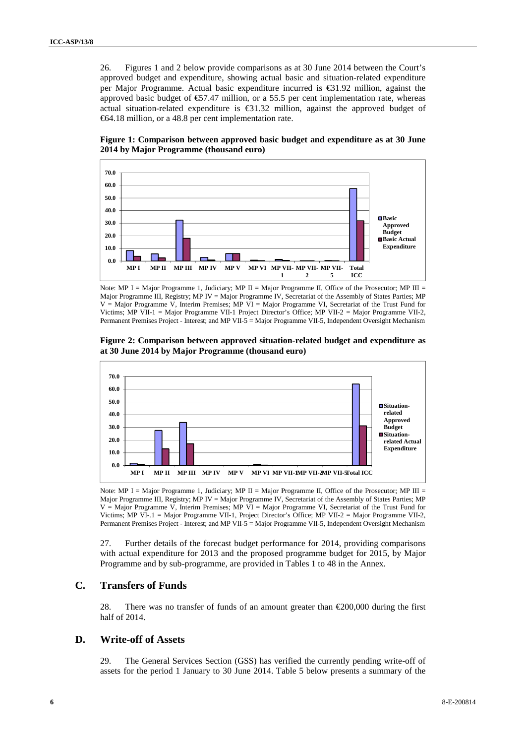26. Figures 1 and 2 below provide comparisons as at 30 June 2014 between the Court's approved budget and expenditure, showing actual basic and situation-related expenditure per Major Programme. Actual basic expenditure incurred is €31.92 million, against the approved basic budget of  $\epsilon$ 57.47 million, or a 55.5 per cent implementation rate, whereas actual situation-related expenditure is  $\epsilon$ 31.32 million, against the approved budget of €64.18 million, or a 48.8 per cent implementation rate.

**Figure 1: Comparison between approved basic budget and expenditure as at 30 June 2014 by Major Programme (thousand euro)**



Note: MP I = Major Programme 1, Judiciary; MP II = Major Programme II, Office of the Prosecutor; MP III = Major Programme III, Registry; MP IV = Major Programme IV, Secretariat of the Assembly of States Parties; MP V = Major Programme V, Interim Premises; MP VI = Major Programme VI, Secretariat of the Trust Fund for Victims; MP VII-1 = Major Programme VII-1 Project Director's Office; MP VII-2 = Major Programme VII-2, Permanent Premises Project - Interest; and MP VII-5 = Major Programme VII-5, Independent Oversight Mechanism

**Figure 2: Comparison between approved situation-related budget and expenditure as at 30 June 2014 by Major Programme (thousand euro)**



Note: MP I = Major Programme 1, Judiciary; MP II = Major Programme II, Office of the Prosecutor; MP III = Major Programme III, Registry; MP IV = Major Programme IV, Secretariat of the Assembly of States Parties; MP V = Major Programme V, Interim Premises; MP VI = Major Programme VI, Secretariat of the Trust Fund for Victims; MP VI-.1 = Major Programme VII-1, Project Director's Office; MP VII-2 = Major Programme VII-2, Permanent Premises Project - Interest; and MP VII-5 = Major Programme VII-5, Independent Oversight Mechanism

27. Further details of the forecast budget performance for 2014, providing comparisons with actual expenditure for 2013 and the proposed programme budget for 2015, by Major Programme and by sub-programme, are provided in Tables 1 to 48 in the Annex.

#### **C. Transfers of Funds**

28. There was no transfer of funds of an amount greater than  $\epsilon$ 200,000 during the first half of 2014.

#### **D. Write-off of Assets**

29. The General Services Section (GSS) has verified the currently pending write-off of assets for the period 1 January to 30 June 2014. Table 5 below presents a summary of the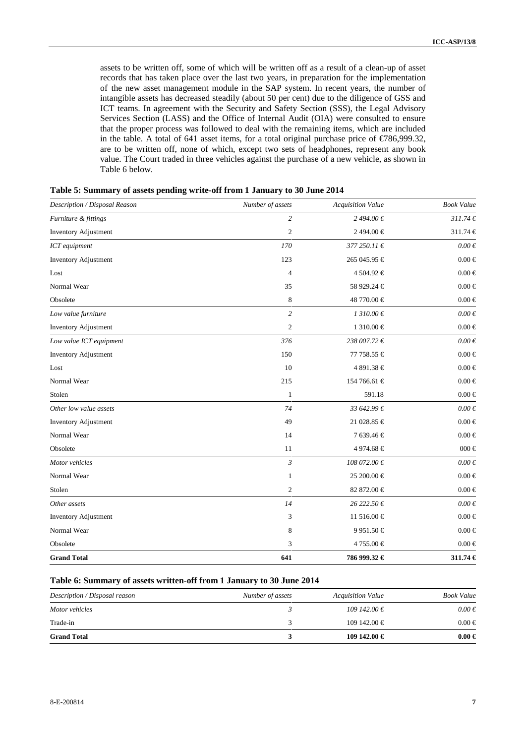assets to be written off, some of which will be written off as a result of a clean-up of asset records that has taken place over the last two years, in preparation for the implementation of the new asset management module in the SAP system. In recent years, the number of intangible assets has decreased steadily (about 50 per cent) due to the diligence of GSS and ICT teams. In agreement with the Security and Safety Section (SSS), the Legal Advisory Services Section (LASS) and the Office of Internal Audit (OIA) were consulted to ensure that the proper process was followed to deal with the remaining items, which are included in the table. A total of 641 asset items, for a total original purchase price of  $\epsilon$ 786,999.32, are to be written off, none of which, except two sets of headphones, represent any book value. The Court traded in three vehicles against the purchase of a new vehicle, as shown in Table 6 below.

| Description / Disposal Reason | Number of assets | <b>Acquisition Value</b> | <b>Book Value</b>     |
|-------------------------------|------------------|--------------------------|-----------------------|
| Furniture & fittings          | $\overline{c}$   | 2494.00€                 | $311.74 \in$          |
| <b>Inventory Adjustment</b>   | $\overline{c}$   | 2494.00 €                | $311.74 \text{ } \in$ |
| ICT equipment                 | $170\,$          | $377250.11 \in$          | $0.00\,\mathrm{E}$    |
| <b>Inventory Adjustment</b>   | 123              | 265 045.95 €             | $0.00 \in$            |
| Lost                          | $\overline{4}$   | 4 504.92 €               | $0.00 \in$            |
| Normal Wear                   | 35               | 58 929.24 €              | $0.00 \in$            |
| Obsolete                      | 8                | 48 770.00 €              | $0.00 \in$            |
| Low value furniture           | $\overline{c}$   | 1310.00€                 | $0.00 \in$            |
| <b>Inventory Adjustment</b>   | $\overline{c}$   | $1310.00 \in$            | $0.00\in$             |
| Low value ICT equipment       | 376              | 238 007.72 €             | $0.00 \in$            |
| <b>Inventory Adjustment</b>   | 150              | 77 758.55 €              | $0.00 \in$            |
| Lost                          | 10               | 4 891.38 €               | $0.00 \in$            |
| Normal Wear                   | 215              | 154 766.61 €             | $0.00 \in$            |
| Stolen                        | 1                | 591.18                   | $0.00 \in$            |
| Other low value assets        | 74               | 33 642.99€               | $0.00 \in$            |
| <b>Inventory Adjustment</b>   | 49               | 21 028.85 €              | $0.00 \in$            |
| Normal Wear                   | 14               | 7 639.46 €               | $0.00 \in$            |
| Obsolete                      | 11               | 4 974.68 €               | $000 \in$             |
| Motor vehicles                | $\mathfrak{Z}$   | 108072.00€               | $0.00 \in$            |
| Normal Wear                   | 1                | 25 200.00 €              | $0.00 \in$            |
| Stolen                        | $\overline{c}$   | 82 872.00 €              | $0.00 \in$            |
| Other assets                  | 14               | 26 222.50 €              | $0.00 \in$            |
| <b>Inventory Adjustment</b>   | 3                | 11 516.00 €              | $0.00 \in$            |
| Normal Wear                   | 8                | 9 9 5 1.50 €             | $0.00 \in$            |
| Obsolete                      | 3                | 4 755.00 €               | $0.00 \in$            |
| <b>Grand Total</b>            | 641              | 786 999.32 €             | $311.74 \in$          |

#### **Table 5: Summary of assets pending write-off from 1 January to 30 June 2014**

### **Table 6: Summary of assets written-off from 1 January to 30 June 2014**

| Description / Disposal reason | Number of assets | <b>Acquisition Value</b> | <b>Book Value</b> |
|-------------------------------|------------------|--------------------------|-------------------|
| Motor vehicles                |                  | $109142.00 \in$          | $0.00 \in$        |
| Trade-in                      |                  | $109142.00 \in$          | $0.00 \in$        |
| <b>Grand Total</b>            |                  | 109 142.00 €             | $0.00 \in$        |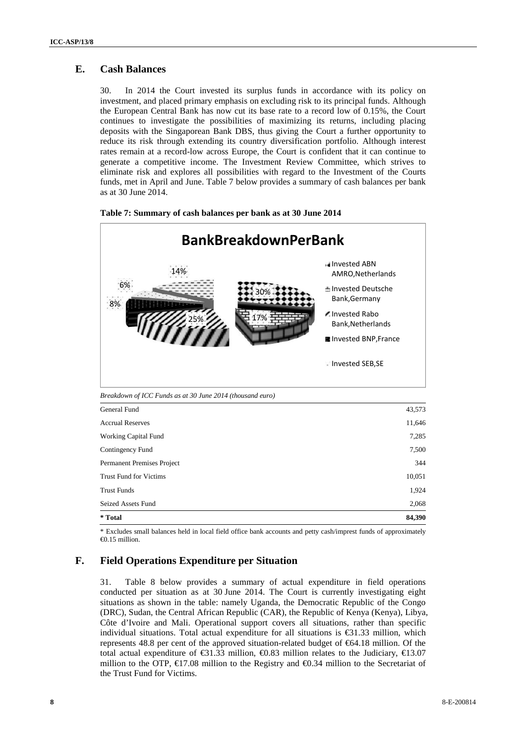### **E. Cash Balances**

30. In 2014 the Court invested its surplus funds in accordance with its policy on investment, and placed primary emphasis on excluding risk to its principal funds. Although the European Central Bank has now cut its base rate to a record low of 0.15%, the Court continues to investigate the possibilities of maximizing its returns, including placing deposits with the Singaporean Bank DBS, thus giving the Court a further opportunity to reduce its risk through extending its country diversification portfolio. Although interest rates remain at a record-low across Europe, the Court is confident that it can continue to generate a competitive income. The Investment Review Committee, which strives to eliminate risk and explores all possibilities with regard to the Investment of the Courts funds, met in April and June. Table 7 below provides a summary of cash balances per bank as at 30 June 2014.



**Table 7: Summary of cash balances per bank as at 30 June 2014**

\* Excludes small balances held in local field office bank accounts and petty cash/imprest funds of approximately  $(4)$  15 million.

### **F. Field Operations Expenditure per Situation**

31. Table 8 below provides a summary of actual expenditure in field operations conducted per situation as at 30 June 2014. The Court is currently investigating eight situations as shown in the table: namely Uganda, the Democratic Republic of the Congo (DRC), Sudan, the Central African Republic (CAR), the Republic of Kenya (Kenya), Libya, Côte d'Ivoire and Mali. Operational support covers all situations, rather than specific individual situations. Total actual expenditure for all situations is €31.33 million, which represents 48.8 per cent of the approved situation-related budget of €64.18 million. Of the total actual expenditure of  $\epsilon$ 31.33 million,  $\epsilon$ 0.83 million relates to the Judiciary,  $\epsilon$ 13.07 million to the OTP,  $\in$  7.08 million to the Registry and  $\infty$ .34 million to the Secretariat of the Trust Fund for Victims.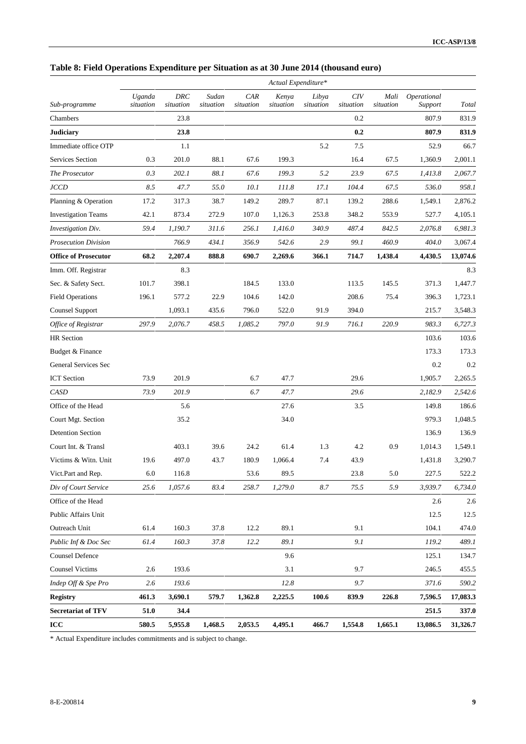|                             |                     |                  |                    |                  | Actual Expenditure* |                    |                  |                   |                        |          |
|-----------------------------|---------------------|------------------|--------------------|------------------|---------------------|--------------------|------------------|-------------------|------------------------|----------|
| Sub-programme               | Uganda<br>situation | DRC<br>situation | Sudan<br>situation | CAR<br>situation | Kenya<br>situation  | Libya<br>situation | CIV<br>situation | Mali<br>situation | Operational<br>Support | Total    |
| Chambers                    |                     | 23.8             |                    |                  |                     |                    | 0.2              |                   | 807.9                  | 831.9    |
| <b>Judiciary</b>            |                     | 23.8             |                    |                  |                     |                    | 0.2              |                   | 807.9                  | 831.9    |
| Immediate office OTP        |                     | 1.1              |                    |                  |                     | 5.2                | 7.5              |                   | 52.9                   | 66.7     |
| Services Section            | 0.3                 | 201.0            | 88.1               | 67.6             | 199.3               |                    | 16.4             | 67.5              | 1,360.9                | 2,001.1  |
| The Prosecutor              | 0.3                 | 202.1            | 88.1               | 67.6             | 199.3               | 5.2                | 23.9             | 67.5              | 1,413.8                | 2,067.7  |
| <i>JCCD</i>                 | 8.5                 | 47.7             | 55.0               | 10.1             | 111.8               | 17.1               | 104.4            | 67.5              | 536.0                  | 958.1    |
| Planning & Operation        | 17.2                | 317.3            | 38.7               | 149.2            | 289.7               | 87.1               | 139.2            | 288.6             | 1,549.1                | 2,876.2  |
| <b>Investigation Teams</b>  | 42.1                | 873.4            | 272.9              | 107.0            | 1,126.3             | 253.8              | 348.2            | 553.9             | 527.7                  | 4,105.1  |
| Investigation Div.          | 59.4                | 1,190.7          | 311.6              | 256.1            | 1,416.0             | 340.9              | 487.4            | 842.5             | 2,076.8                | 6,981.3  |
| <b>Prosecution Division</b> |                     | 766.9            | 434.1              | 356.9            | 542.6               | 2.9                | 99.1             | 460.9             | 404.0                  | 3,067.4  |
| <b>Office of Prosecutor</b> | 68.2                | 2,207.4          | 888.8              | 690.7            | 2,269.6             | 366.1              | 714.7            | 1,438.4           | 4,430.5                | 13,074.6 |
| Imm. Off. Registrar         |                     | 8.3              |                    |                  |                     |                    |                  |                   |                        | 8.3      |
| Sec. & Safety Sect.         | 101.7               | 398.1            |                    | 184.5            | 133.0               |                    | 113.5            | 145.5             | 371.3                  | 1,447.7  |
| <b>Field Operations</b>     | 196.1               | 577.2            | 22.9               | 104.6            | 142.0               |                    | 208.6            | 75.4              | 396.3                  | 1,723.1  |
| <b>Counsel Support</b>      |                     | 1,093.1          | 435.6              | 796.0            | 522.0               | 91.9               | 394.0            |                   | 215.7                  | 3,548.3  |
| Office of Registrar         | 297.9               | 2,076.7          | 458.5              | 1,085.2          | 797.0               | 91.9               | 716.1            | 220.9             | 983.3                  | 6,727.3  |
| <b>HR</b> Section           |                     |                  |                    |                  |                     |                    |                  |                   | 103.6                  | 103.6    |
| Budget & Finance            |                     |                  |                    |                  |                     |                    |                  |                   | 173.3                  | 173.3    |
| <b>General Services Sec</b> |                     |                  |                    |                  |                     |                    |                  |                   | 0.2                    | 0.2      |
| <b>ICT</b> Section          | 73.9                | 201.9            |                    | 6.7              | 47.7                |                    | 29.6             |                   | 1,905.7                | 2,265.5  |
| CASD                        | 73.9                | 201.9            |                    | 6.7              | 47.7                |                    | 29.6             |                   | 2,182.9                | 2,542.6  |
| Office of the Head          |                     | 5.6              |                    |                  | 27.6                |                    | 3.5              |                   | 149.8                  | 186.6    |
| Court Mgt. Section          |                     | 35.2             |                    |                  | 34.0                |                    |                  |                   | 979.3                  | 1,048.5  |
| <b>Detention Section</b>    |                     |                  |                    |                  |                     |                    |                  |                   | 136.9                  | 136.9    |
| Court Int. & Transl         |                     | 403.1            | 39.6               | 24.2             | 61.4                | 1.3                | 4.2              | 0.9               | 1,014.3                | 1,549.1  |
| Victims & Witn. Unit        | 19.6                | 497.0            | 43.7               | 180.9            | 1.066.4             | 7.4                | 43.9             |                   | 1,431.8                | 3,290.7  |
| Vict.Part and Rep.          | 6.0                 | 116.8            |                    | 53.6             | 89.5                |                    | 23.8             | 5.0               | 227.5                  | 522.2    |
| Div of Court Service        | 25.6                | 1,057.6          | 83.4               | 258.7            | 1,279.0             | 8.7                | 75.5             | 5.9               | 3,939.7                | 6,734.0  |
| Office of the Head          |                     |                  |                    |                  |                     |                    |                  |                   | 2.6                    | 2.6      |
| Public Affairs Unit         |                     |                  |                    |                  |                     |                    |                  |                   | 12.5                   | 12.5     |
| Outreach Unit               | 61.4                | 160.3            | 37.8               | 12.2             | 89.1                |                    | 9.1              |                   | 104.1                  | 474.0    |
| Public Inf & Doc Sec        | 61.4                | 160.3            | 37.8               | 12.2             | 89.1                |                    | 9.1              |                   | 119.2                  | 489.1    |
| <b>Counsel Defence</b>      |                     |                  |                    |                  | 9.6                 |                    |                  |                   | 125.1                  | 134.7    |
| <b>Counsel Victims</b>      | 2.6                 | 193.6            |                    |                  | 3.1                 |                    | 9.7              |                   | 246.5                  | 455.5    |
| Indep Off & Spe Pro         | 2.6                 | 193.6            |                    |                  | 12.8                |                    | 9.7              |                   | 371.6                  | 590.2    |
| <b>Registry</b>             | 461.3               | 3,690.1          | 579.7              | 1,362.8          | 2,225.5             | 100.6              | 839.9            | 226.8             | 7,596.5                | 17,083.3 |
| <b>Secretariat of TFV</b>   | 51.0                | 34.4             |                    |                  |                     |                    |                  |                   | 251.5                  | 337.0    |
| ICC                         | 580.5               | 5,955.8          | 1,468.5            | 2,053.5          | 4,495.1             | 466.7              | 1,554.8          | 1,665.1           | 13,086.5               | 31,326.7 |

## **Table 8: Field Operations Expenditure per Situation as at 30 June 2014 (thousand euro)**

\* Actual Expenditure includes commitments and is subject to change.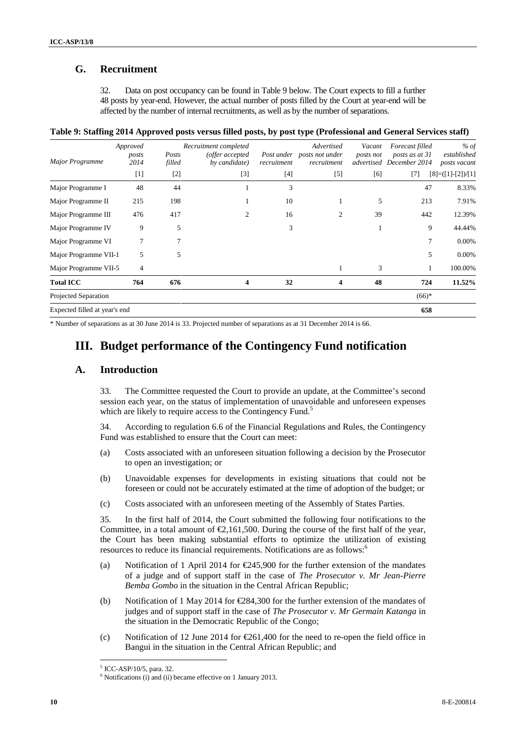### **G. Recruitment**

32. Data on post occupancy can be found in Table 9 below. The Court expects to fill a further 48 posts by year-end. However, the actual number of posts filled by the Court at year-end will be affected by the number of internal recruitments, as well as by the number of separations.

| Table 9: Staffing 2014 Approved posts versus filled posts, by post type (Professional and General Services staff) |  |  |
|-------------------------------------------------------------------------------------------------------------------|--|--|
|                                                                                                                   |  |  |
|                                                                                                                   |  |  |

| Major Programme               | Approved<br>posts<br>2014 | Posts<br>filled | Recruitment completed<br>(offer accepted<br>by candidate) | Post under<br>recruitment | Advertised<br>posts not under<br>recruitment | Vacant<br>posts not<br>advertised | Forecast filled<br>posts as at 31<br>December 2014 | % of<br>established<br>posts vacant |
|-------------------------------|---------------------------|-----------------|-----------------------------------------------------------|---------------------------|----------------------------------------------|-----------------------------------|----------------------------------------------------|-------------------------------------|
|                               | $[1]$                     | $[2]$           | $[3]$                                                     | $[4]$                     | $[5]$                                        | [6]                               | $[7]$                                              | $[8] = ([1] - [2]) / [1]$           |
| Major Programme I             | 48                        | 44              |                                                           | 3                         |                                              |                                   | 47                                                 | 8.33%                               |
| Major Programme II            | 215                       | 198             |                                                           | 10                        |                                              | 5                                 | 213                                                | 7.91%                               |
| Major Programme III           | 476                       | 417             | 2                                                         | 16                        | 2                                            | 39                                | 442                                                | 12.39%                              |
| Major Programme IV            | 9                         | 5               |                                                           | 3                         |                                              |                                   | 9                                                  | 44.44%                              |
| Major Programme VI            | 7                         | 7               |                                                           |                           |                                              |                                   | 7                                                  | 0.00%                               |
| Major Programme VII-1         | 5                         | 5               |                                                           |                           |                                              |                                   | 5                                                  | 0.00%                               |
| Major Programme VII-5         | 4                         |                 |                                                           |                           |                                              | 3                                 |                                                    | 100.00%                             |
| <b>Total ICC</b>              | 764                       | 676             | 4                                                         | 32                        | 4                                            | 48                                | 724                                                | 11.52%                              |
| Projected Separation          |                           |                 |                                                           |                           |                                              |                                   | $(66)*$                                            |                                     |
| Expected filled at year's end |                           |                 |                                                           |                           |                                              |                                   | 658                                                |                                     |

\* Number of separations as at 30 June 2014 is 33. Projected number of separations as at 31 December 2014 is 66.

# **III. Budget performance of the Contingency Fund notification**

#### **A. Introduction**

33. The Committee requested the Court to provide an update, at the Committee's second session each year, on the status of implementation of unavoidable and unforeseen expenses which are likely to require access to the Contingency Fund.<sup>5</sup>

34. According to regulation 6.6 of the Financial Regulations and Rules, the Contingency Fund was established to ensure that the Court can meet:

- (a) Costs associated with an unforeseen situation following a decision by the Prosecutor to open an investigation; or
- (b) Unavoidable expenses for developments in existing situations that could not be foreseen or could not be accurately estimated at the time of adoption of the budget; or
- (c) Costs associated with an unforeseen meeting of the Assembly of States Parties.

35. In the first half of 2014, the Court submitted the following four notifications to the Committee, in a total amount of  $\epsilon$ , 161, 500. During the course of the first half of the year, the Court has been making substantial efforts to optimize the utilization of existing resources to reduce its financial requirements. Notifications are as follows:<sup>6</sup>

- (a) Notification of 1 April 2014 for €245,900 for the further extension of the mandates of a judge and of support staff in the case of *The Prosecutor v. Mr Jean-Pierre Bemba Gombo* in the situation in the Central African Republic;
- (b) Notification of 1 May 2014 for €284,300 for the further extension of the mandates of judges and of support staff in the case of *The Prosecutor v. Mr Germain Katanga* in the situation in the Democratic Republic of the Congo;
- (c) Notification of 12 June 2014 for  $\in \infty$  61,400 for the need to re-open the field office in Bangui in the situation in the Central African Republic; and

<sup>&</sup>lt;sup>5</sup> ICC-ASP/10/5, para. 32.  $\frac{6}{100}$  Motifications (i) and (ii) became effective on 1 January 2013.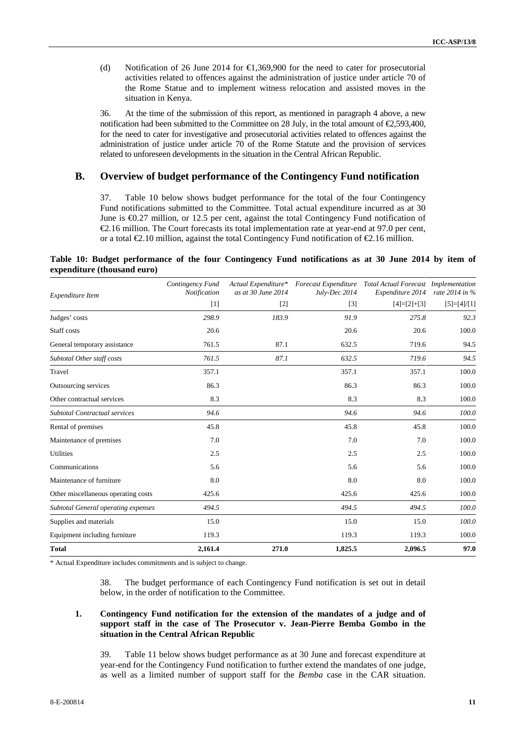(d) Notification of 26 June 2014 for €1,369,900 for the need to cater for prosecutorial activities related to offences against the administration of justice under article 70 of the Rome Statue and to implement witness relocation and assisted moves in the situation in Kenya.

36. At the time of the submission of this report, as mentioned in paragraph 4 above, a new notification had been submitted to the Committee on 28 July, in the total amount of  $\epsilon$  593.400, for the need to cater for investigative and prosecutorial activities related to offences against the administration of justice under article 70 of the Rome Statute and the provision of services related to unforeseen developments in the situation in the Central African Republic.

#### **B. Overview of budget performance of the Contingency Fund notification**

37. Table 10 below shows budget performance for the total of the four Contingency Fund notifications submitted to the Committee. Total actual expenditure incurred as at 30 June is €0.27 million, or 12.5 per cent, against the total Contingency Fund notification of  $\epsilon$ 2.16 million. The Court forecasts its total implementation rate at year-end at 97.0 per cent, or a total  $\epsilon 2.10$  million, against the total Contingency Fund notification of  $\epsilon 2.16$  million.

#### **Table 10: Budget performance of the four Contingency Fund notifications as at 30 June 2014 by item of expenditure (thousand euro)**

| Expenditure Item                     | Contingency Fund<br>Notification | as at 30 June 2014 | Actual Expenditure* Forecast Expenditure Total Actual Forecast Implementation<br>July-Dec 2014 | Expenditure 2014 | rate 2014 in % |
|--------------------------------------|----------------------------------|--------------------|------------------------------------------------------------------------------------------------|------------------|----------------|
|                                      | $[1]$                            | $[2]$              | $[3]$                                                                                          | $[4]=[2]+[3]$    | $[5]=[4]/[1]$  |
| Judges' costs                        | 298.9                            | 183.9              | 91.9                                                                                           | 275.8            | 92.3           |
| Staff costs                          | 20.6                             |                    | 20.6                                                                                           | 20.6             | 100.0          |
| General temporary assistance         | 761.5                            | 87.1               | 632.5                                                                                          | 719.6            | 94.5           |
| Subtotal Other staff costs           | 761.5                            | 87.1               | 632.5                                                                                          | 719.6            | 94.5           |
| Travel                               | 357.1                            |                    | 357.1                                                                                          | 357.1            | 100.0          |
| Outsourcing services                 | 86.3                             |                    | 86.3                                                                                           | 86.3             | 100.0          |
| Other contractual services           | 8.3                              |                    | 8.3                                                                                            | 8.3              | 100.0          |
| <b>Subtotal Contractual services</b> | 94.6                             |                    | 94.6                                                                                           | 94.6             | 100.0          |
| Rental of premises                   | 45.8                             |                    | 45.8                                                                                           | 45.8             | 100.0          |
| Maintenance of premises              | 7.0                              |                    | 7.0                                                                                            | 7.0              | 100.0          |
| <b>Utilities</b>                     | 2.5                              |                    | 2.5                                                                                            | 2.5              | 100.0          |
| Communications                       | 5.6                              |                    | 5.6                                                                                            | 5.6              | 100.0          |
| Maintenance of furniture             | 8.0                              |                    | 8.0                                                                                            | 8.0              | 100.0          |
| Other miscellaneous operating costs  | 425.6                            |                    | 425.6                                                                                          | 425.6            | 100.0          |
| Subtotal General operating expenses  | 494.5                            |                    | 494.5                                                                                          | 494.5            | 100.0          |
| Supplies and materials               | 15.0                             |                    | 15.0                                                                                           | 15.0             | 100.0          |
| Equipment including furniture        | 119.3                            |                    | 119.3                                                                                          | 119.3            | 100.0          |
| <b>Total</b>                         | 2,161.4                          | 271.0              | 1,825.5                                                                                        | 2,096.5          | 97.0           |

\* Actual Expenditure includes commitments and is subject to change.

38. The budget performance of each Contingency Fund notification is set out in detail below, in the order of notification to the Committee.

#### **1. Contingency Fund notification for the extension of the mandates of a judge and of support staff in the case of The Prosecutor v. Jean-Pierre Bemba Gombo in the situation in the Central African Republic**

39. Table 11 below shows budget performance as at 30 June and forecast expenditure at year-end for the Contingency Fund notification to further extend the mandates of one judge, as well as a limited number of support staff for the *Bemba* case in the CAR situation.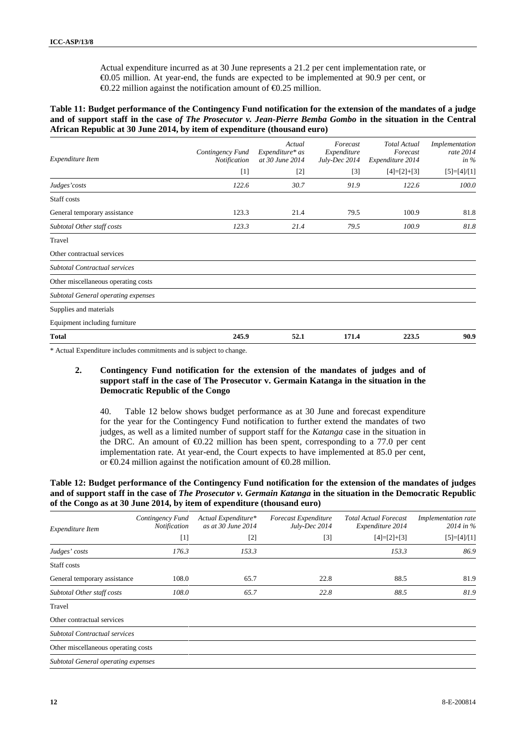Actual expenditure incurred as at 30 June represents a 21.2 per cent implementation rate, or €0.05 million. At year-end, the funds are expected to be implemented at 90.9 per cent, or  $\Theta$ .22 million against the notification amount of  $\Theta$ .25 million.

#### **Table 11: Budget performance of the Contingency Fund notification for the extension of the mandates of a judge and of support staff in the case** *of The Prosecutor v. Jean-Pierre Bemba Gombo* **in the situation in the Central African Republic at 30 June 2014, by item of expenditure (thousand euro)**

| Expenditure Item                     | Contingency Fund<br>Notification | Actual<br>Expenditure* as<br>at 30 June 2014 | Forecast<br>Expenditure<br>July-Dec 2014 | Total Actual<br>Forecast<br>Expenditure 2014 | Implementation<br>rate 2014<br>in $\%$ |
|--------------------------------------|----------------------------------|----------------------------------------------|------------------------------------------|----------------------------------------------|----------------------------------------|
|                                      | $[1]$                            | $[2]$                                        | $[3]$                                    | $[4]=[2]+[3]$                                | $[5]=[4]/[1]$                          |
| Judges' costs                        | 122.6                            | 30.7                                         | 91.9                                     | 122.6                                        | 100.0                                  |
| Staff costs                          |                                  |                                              |                                          |                                              |                                        |
| General temporary assistance         | 123.3                            | 21.4                                         | 79.5                                     | 100.9                                        | 81.8                                   |
| Subtotal Other staff costs           | 123.3                            | 21.4                                         | 79.5                                     | 100.9                                        | 81.8                                   |
| Travel                               |                                  |                                              |                                          |                                              |                                        |
| Other contractual services           |                                  |                                              |                                          |                                              |                                        |
| <b>Subtotal Contractual services</b> |                                  |                                              |                                          |                                              |                                        |
| Other miscellaneous operating costs  |                                  |                                              |                                          |                                              |                                        |
| Subtotal General operating expenses  |                                  |                                              |                                          |                                              |                                        |
| Supplies and materials               |                                  |                                              |                                          |                                              |                                        |
| Equipment including furniture        |                                  |                                              |                                          |                                              |                                        |
| <b>Total</b>                         | 245.9                            | 52.1                                         | 171.4                                    | 223.5                                        | 90.9                                   |

\* Actual Expenditure includes commitments and is subject to change.

#### **2. Contingency Fund notification for the extension of the mandates of judges and of support staff in the case of The Prosecutor v. Germain Katanga in the situation in the Democratic Republic of the Congo**

40. Table 12 below shows budget performance as at 30 June and forecast expenditure for the year for the Contingency Fund notification to further extend the mandates of two judges, as well as a limited number of support staff for the *Katanga* case in the situation in the DRC. An amount of  $\epsilon 0.22$  million has been spent, corresponding to a 77.0 per cent implementation rate. At year-end, the Court expects to have implemented at 85.0 per cent, or €0.24 million against the notification amount of €0.28 million.

#### **Table 12: Budget performance of the Contingency Fund notification for the extension of the mandates of judges and of support staff in the case of** *The Prosecutor v. Germain Katanga* **in the situation in the Democratic Republic of the Congo as at 30 June 2014, by item of expenditure (thousand euro)**

| Expenditure Item                     | Contingency Fund<br>Notification | Actual Expenditure*<br>as at 30 June 2014 | Forecast Expenditure<br>July-Dec 2014 | <b>Total Actual Forecast</b><br>Expenditure 2014 | Implementation rate<br>2014 in $%$ |
|--------------------------------------|----------------------------------|-------------------------------------------|---------------------------------------|--------------------------------------------------|------------------------------------|
|                                      | $[1]$                            | $[2]$                                     | $[3]$                                 | $[4]=[2]+[3]$                                    | $[5]=[4]/[1]$                      |
| Judges' costs                        | 176.3                            | 153.3                                     |                                       | 153.3                                            | 86.9                               |
| Staff costs                          |                                  |                                           |                                       |                                                  |                                    |
| General temporary assistance         | 108.0                            | 65.7                                      | 22.8                                  | 88.5                                             | 81.9                               |
| Subtotal Other staff costs           | 108.0                            | 65.7                                      | 22.8                                  | 88.5                                             | 81.9                               |
| Travel                               |                                  |                                           |                                       |                                                  |                                    |
| Other contractual services           |                                  |                                           |                                       |                                                  |                                    |
| <b>Subtotal Contractual services</b> |                                  |                                           |                                       |                                                  |                                    |
| Other miscellaneous operating costs  |                                  |                                           |                                       |                                                  |                                    |
| Subtotal General operating expenses  |                                  |                                           |                                       |                                                  |                                    |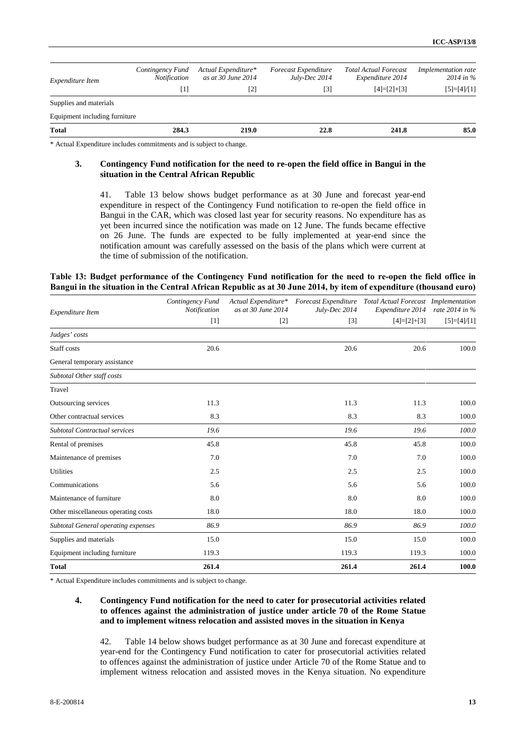| Expenditure Item              | Contingency Fund<br>Notification | Actual Expenditure*<br>as at 30 June 2014 | <b>Forecast Expenditure</b><br>July-Dec 2014 | <b>Total Actual Forecast</b><br>Expenditure 2014 | <i>Implementation rate</i><br>2014 in $\%$ |
|-------------------------------|----------------------------------|-------------------------------------------|----------------------------------------------|--------------------------------------------------|--------------------------------------------|
|                               | [1]                              | [2]                                       | $[3]$                                        | $[4]=[2]+[3]$                                    | $[5]=[4]/[1]$                              |
| Supplies and materials        |                                  |                                           |                                              |                                                  |                                            |
| Equipment including furniture |                                  |                                           |                                              |                                                  |                                            |
| <b>Total</b>                  | 284.3                            | 219.0                                     | 22.8                                         | 241.8                                            | 85.0                                       |

\* Actual Expenditure includes commitments and is subject to change.

#### **3. Contingency Fund notification for the need to re-open the field office in Bangui in the situation in the Central African Republic**

41. Table 13 below shows budget performance as at 30 June and forecast year-end expenditure in respect of the Contingency Fund notification to re-open the field office in Bangui in the CAR, which was closed last year for security reasons. No expenditure has as yet been incurred since the notification was made on 12 June. The funds became effective on 26 June. The funds are expected to be fully implemented at year-end since the notification amount was carefully assessed on the basis of the plans which were current at the time of submission of the notification.

#### **Table 13: Budget performance of the Contingency Fund notification for the need to re-open the field office in Bangui in the situation in the Central African Republic as at 30 June 2014, by item of expenditure (thousand euro)**

| Expenditure Item                     | Contingency Fund<br>Notification | as at 30 June 2014 | Actual Expenditure* Forecast Expenditure Total Actual Forecast Implementation<br>July-Dec 2014 | Expenditure 2014 | rate 2014 in % |
|--------------------------------------|----------------------------------|--------------------|------------------------------------------------------------------------------------------------|------------------|----------------|
|                                      | $[1]$                            | $[2]$              | $[3]$                                                                                          | $[4]=[2]+[3]$    | $[5]=[4]/[1]$  |
| Judges' costs                        |                                  |                    |                                                                                                |                  |                |
| Staff costs                          | 20.6                             |                    | 20.6                                                                                           | 20.6             | 100.0          |
| General temporary assistance         |                                  |                    |                                                                                                |                  |                |
| Subtotal Other staff costs           |                                  |                    |                                                                                                |                  |                |
| Travel                               |                                  |                    |                                                                                                |                  |                |
| Outsourcing services                 | 11.3                             |                    | 11.3                                                                                           | 11.3             | 100.0          |
| Other contractual services           | 8.3                              |                    | 8.3                                                                                            | 8.3              | 100.0          |
| <b>Subtotal Contractual services</b> | 19.6                             |                    | 19.6                                                                                           | 19.6             | 100.0          |
| Rental of premises                   | 45.8                             |                    | 45.8                                                                                           | 45.8             | 100.0          |
| Maintenance of premises              | 7.0                              |                    | 7.0                                                                                            | 7.0              | 100.0          |
| <b>Utilities</b>                     | 2.5                              |                    | 2.5                                                                                            | 2.5              | 100.0          |
| Communications                       | 5.6                              |                    | 5.6                                                                                            | 5.6              | 100.0          |
| Maintenance of furniture             | 8.0                              |                    | 8.0                                                                                            | 8.0              | 100.0          |
| Other miscellaneous operating costs  | 18.0                             |                    | 18.0                                                                                           | 18.0             | 100.0          |
| Subtotal General operating expenses  | 86.9                             |                    | 86.9                                                                                           | 86.9             | 100.0          |
| Supplies and materials               | 15.0                             |                    | 15.0                                                                                           | 15.0             | 100.0          |
| Equipment including furniture        | 119.3                            |                    | 119.3                                                                                          | 119.3            | 100.0          |
| <b>Total</b>                         | 261.4                            |                    | 261.4                                                                                          | 261.4            | 100.0          |

\* Actual Expenditure includes commitments and is subject to change.

#### **4. Contingency Fund notification for the need to cater for prosecutorial activities related to offences against the administration of justice under article 70 of the Rome Statue and to implement witness relocation and assisted moves in the situation in Kenya**

42. Table 14 below shows budget performance as at 30 June and forecast expenditure at year-end for the Contingency Fund notification to cater for prosecutorial activities related to offences against the administration of justice under Article 70 of the Rome Statue and to implement witness relocation and assisted moves in the Kenya situation. No expenditure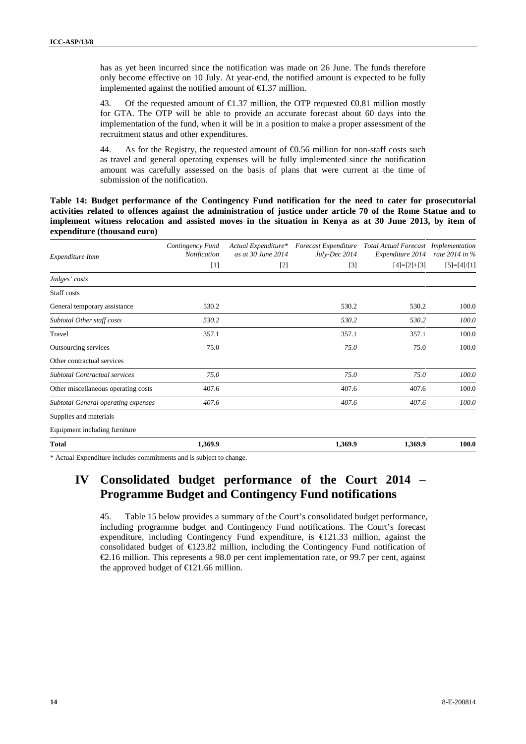has as yet been incurred since the notification was made on 26 June. The funds therefore only become effective on 10 July. At year-end, the notified amount is expected to be fully implemented against the notified amount of €1.37 million.

43. Of the requested amount of  $\text{ } \infty$  1.37 million, the OTP requested  $\text{ } \infty$ 0.81 million mostly for GTA. The OTP will be able to provide an accurate forecast about 60 days into the implementation of the fund, when it will be in a position to make a proper assessment of the recruitment status and other expenditures.

44. As for the Registry, the requested amount of  $\Theta$ .56 million for non-staff costs such as travel and general operating expenses will be fully implemented since the notification amount was carefully assessed on the basis of plans that were current at the time of submission of the notification.

**Table 14: Budget performance of the Contingency Fund notification for the need to cater for prosecutorial activities related to offences against the administration of justice under article 70 of the Rome Statue and to implement witness relocation and assisted moves in the situation in Kenya as at 30 June 2013, by item of expenditure (thousand euro)**

| Expenditure Item                           | Contingency Fund<br>Notification | Actual Expenditure*<br>as at 30 June 2014 | July-Dec 2014 | Forecast Expenditure Total Actual Forecast<br>Expenditure 2014 | Implementation<br>rate 2014 in % |
|--------------------------------------------|----------------------------------|-------------------------------------------|---------------|----------------------------------------------------------------|----------------------------------|
|                                            | $[1]$                            | $[2]$                                     | $[3]$         | $[4]=[2]+[3]$                                                  | $[5]=[4]/[1]$                    |
| Judges' costs                              |                                  |                                           |               |                                                                |                                  |
| Staff costs                                |                                  |                                           |               |                                                                |                                  |
| General temporary assistance               | 530.2                            |                                           | 530.2         | 530.2                                                          | 100.0                            |
| Subtotal Other staff costs                 | 530.2                            |                                           | 530.2         | 530.2                                                          | 100.0                            |
| Travel                                     | 357.1                            |                                           | 357.1         | 357.1                                                          | 100.0                            |
| Outsourcing services                       | 75.0                             |                                           | 75.0          | 75.0                                                           | 100.0                            |
| Other contractual services                 |                                  |                                           |               |                                                                |                                  |
| <b>Subtotal Contractual services</b>       | 75.0                             |                                           | 75.0          | 75.0                                                           | 100.0                            |
| Other miscellaneous operating costs        | 407.6                            |                                           | 407.6         | 407.6                                                          | 100.0                            |
| <b>Subtotal General operating expenses</b> | 407.6                            |                                           | 407.6         | 407.6                                                          | 100.0                            |
| Supplies and materials                     |                                  |                                           |               |                                                                |                                  |
| Equipment including furniture              |                                  |                                           |               |                                                                |                                  |
| <b>Total</b>                               | 1,369.9                          |                                           | 1,369.9       | 1,369.9                                                        | 100.0                            |

\* Actual Expenditure includes commitments and is subject to change.

# **IV Consolidated budget performance of the Court 2014 – Programme Budget and Contingency Fund notifications**

45. Table 15 below provides a summary of the Court's consolidated budget performance, including programme budget and Contingency Fund notifications. The Court's forecast expenditure, including Contingency Fund expenditure, is €121.33 million, against the consolidated budget of €123.82 million, including the Contingency Fund notification of €2.16 million. This represents a 98.0 per cent implementation rate, or 99.7 per cent, against the approved budget of  $\in$  21.66 million.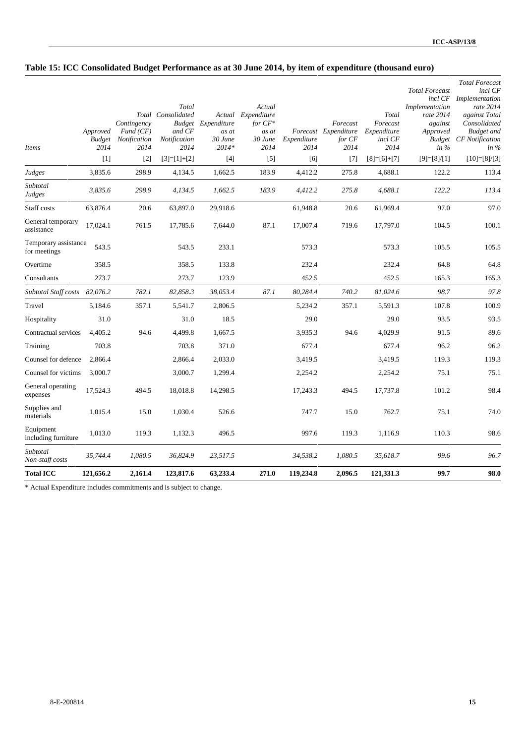## **Table 15: ICC Consolidated Budget Performance as at 30 June 2014, by item of expenditure (thousand euro)**

| <i>Items</i><br>Judges               | Approved<br><b>Budget</b><br>2014<br>$[1]$<br>3,835.6 | Contingency<br>Fund(CF)<br>Notification<br>2014<br>$[2]$<br>298.9 | Total<br>Total Consolidated<br>and CF<br>Notification<br>2014<br>$[3]=[1]+[2]$<br>4,134.5 | Budget Expenditure<br>as at<br>30 June<br>$2014*$<br>$[4]$<br>1,662.5 | Actual<br>Actual Expenditure<br>for $CF*$<br>as at<br>$30$ June<br>2014<br>$[5]$<br>183.9 | Expenditure<br>2014<br>[6]<br>4,412.2 | Forecast<br>Forecast Expenditure<br>for CF<br>2014<br>$[7]$<br>275.8 | Total<br>Forecast<br>Expenditure<br>incl CF<br>2014<br>$[8]=[6]+[7]$<br>4,688.1 | <b>Total Forecast</b><br>incl CF<br>Implementation<br>rate 2014<br>against<br>Approved<br>in $%$<br>$[9]=[8]/[1]$<br>122.2 | <b>Total Forecast</b><br>incl CF<br>Implementation<br>rate 2014<br>against Total<br>Consolidated<br><b>Budget</b> and<br><b>Budget CF</b> Notification<br>in $%$<br>$[10]=[8]/[3]$<br>113.4 |
|--------------------------------------|-------------------------------------------------------|-------------------------------------------------------------------|-------------------------------------------------------------------------------------------|-----------------------------------------------------------------------|-------------------------------------------------------------------------------------------|---------------------------------------|----------------------------------------------------------------------|---------------------------------------------------------------------------------|----------------------------------------------------------------------------------------------------------------------------|---------------------------------------------------------------------------------------------------------------------------------------------------------------------------------------------|
| Subtotal<br>Judges                   | 3,835.6                                               | 298.9                                                             | 4,134.5                                                                                   | 1,662.5                                                               | 183.9                                                                                     | 4,412.2                               | 275.8                                                                | 4,688.1                                                                         | 122.2                                                                                                                      | 113.4                                                                                                                                                                                       |
| Staff costs                          | 63,876.4                                              | 20.6                                                              | 63,897.0                                                                                  | 29,918.6                                                              |                                                                                           | 61,948.8                              | 20.6                                                                 | 61,969.4                                                                        | 97.0                                                                                                                       | 97.0                                                                                                                                                                                        |
| General temporary<br>assistance      | 17,024.1                                              | 761.5                                                             | 17,785.6                                                                                  | 7,644.0                                                               | 87.1                                                                                      | 17,007.4                              | 719.6                                                                | 17,797.0                                                                        | 104.5                                                                                                                      | 100.1                                                                                                                                                                                       |
| Temporary assistance<br>for meetings | 543.5                                                 |                                                                   | 543.5                                                                                     | 233.1                                                                 |                                                                                           | 573.3                                 |                                                                      | 573.3                                                                           | 105.5                                                                                                                      | 105.5                                                                                                                                                                                       |
| Overtime                             | 358.5                                                 |                                                                   | 358.5                                                                                     | 133.8                                                                 |                                                                                           | 232.4                                 |                                                                      | 232.4                                                                           | 64.8                                                                                                                       | 64.8                                                                                                                                                                                        |
| Consultants                          | 273.7                                                 |                                                                   | 273.7                                                                                     | 123.9                                                                 |                                                                                           | 452.5                                 |                                                                      | 452.5                                                                           | 165.3                                                                                                                      | 165.3                                                                                                                                                                                       |
| Subtotal Staff costs 82,076.2        |                                                       | 782.1                                                             | 82,858.3                                                                                  | 38,053.4                                                              | 87.1                                                                                      | 80,284.4                              | 740.2                                                                | 81,024.6                                                                        | 98.7                                                                                                                       | 97.8                                                                                                                                                                                        |
| Travel                               | 5,184.6                                               | 357.1                                                             | 5,541.7                                                                                   | 2,806.5                                                               |                                                                                           | 5,234.2                               | 357.1                                                                | 5,591.3                                                                         | 107.8                                                                                                                      | 100.9                                                                                                                                                                                       |
| Hospitality                          | 31.0                                                  |                                                                   | 31.0                                                                                      | 18.5                                                                  |                                                                                           | 29.0                                  |                                                                      | 29.0                                                                            | 93.5                                                                                                                       | 93.5                                                                                                                                                                                        |
| Contractual services                 | 4,405.2                                               | 94.6                                                              | 4,499.8                                                                                   | 1,667.5                                                               |                                                                                           | 3,935.3                               | 94.6                                                                 | 4,029.9                                                                         | 91.5                                                                                                                       | 89.6                                                                                                                                                                                        |
| Training                             | 703.8                                                 |                                                                   | 703.8                                                                                     | 371.0                                                                 |                                                                                           | 677.4                                 |                                                                      | 677.4                                                                           | 96.2                                                                                                                       | 96.2                                                                                                                                                                                        |
| Counsel for defence                  | 2,866.4                                               |                                                                   | 2,866.4                                                                                   | 2,033.0                                                               |                                                                                           | 3,419.5                               |                                                                      | 3,419.5                                                                         | 119.3                                                                                                                      | 119.3                                                                                                                                                                                       |
| Counsel for victims                  | 3,000.7                                               |                                                                   | 3,000.7                                                                                   | 1,299.4                                                               |                                                                                           | 2,254.2                               |                                                                      | 2,254.2                                                                         | 75.1                                                                                                                       | 75.1                                                                                                                                                                                        |
| General operating<br>expenses        | 17,524.3                                              | 494.5                                                             | 18,018.8                                                                                  | 14,298.5                                                              |                                                                                           | 17,243.3                              | 494.5                                                                | 17,737.8                                                                        | 101.2                                                                                                                      | 98.4                                                                                                                                                                                        |
| Supplies and<br>materials            | 1,015.4                                               | 15.0                                                              | 1,030.4                                                                                   | 526.6                                                                 |                                                                                           | 747.7                                 | 15.0                                                                 | 762.7                                                                           | 75.1                                                                                                                       | 74.0                                                                                                                                                                                        |
| Equipment<br>including furniture     | 1,013.0                                               | 119.3                                                             | 1,132.3                                                                                   | 496.5                                                                 |                                                                                           | 997.6                                 | 119.3                                                                | 1,116.9                                                                         | 110.3                                                                                                                      | 98.6                                                                                                                                                                                        |
| Subtotal<br>Non-staff costs          | 35,744.4                                              | 1,080.5                                                           | 36,824.9                                                                                  | 23,517.5                                                              |                                                                                           | 34,538.2                              | 1,080.5                                                              | 35,618.7                                                                        | 99.6                                                                                                                       | 96.7                                                                                                                                                                                        |
| <b>Total ICC</b>                     | 121,656.2                                             | 2,161.4                                                           | 123,817.6                                                                                 | 63,233.4                                                              | 271.0                                                                                     | 119,234.8                             | 2,096.5                                                              | 121,331.3                                                                       | 99.7                                                                                                                       | 98.0                                                                                                                                                                                        |

\* Actual Expenditure includes commitments and is subject to change.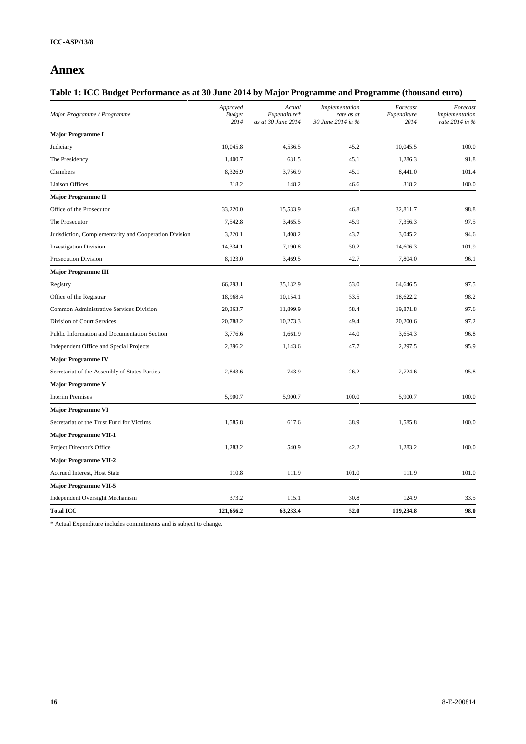## **Annex**

### **Table 1: ICC Budget Performance as at 30 June 2014 by Major Programme and Programme (thousand euro)**

| Major Programme / Programme                            | Approved<br><b>Budget</b><br>2014 | Actual<br>Expenditure*<br>as at 30 June 2014 | Implementation<br>rate as at<br>30 June 2014 in % | Forecast<br>Expenditure<br>2014 | Forecast<br>implementation<br>rate 2014 in % |
|--------------------------------------------------------|-----------------------------------|----------------------------------------------|---------------------------------------------------|---------------------------------|----------------------------------------------|
| <b>Major Programme I</b>                               |                                   |                                              |                                                   |                                 |                                              |
| Judiciary                                              | 10,045.8                          | 4,536.5                                      | 45.2                                              | 10,045.5                        | 100.0                                        |
| The Presidency                                         | 1,400.7                           | 631.5                                        | 45.1                                              | 1,286.3                         | 91.8                                         |
| Chambers                                               | 8,326.9                           | 3,756.9                                      | 45.1                                              | 8,441.0                         | 101.4                                        |
| <b>Liaison Offices</b>                                 | 318.2                             | 148.2                                        | 46.6                                              | 318.2                           | 100.0                                        |
| <b>Major Programme II</b>                              |                                   |                                              |                                                   |                                 |                                              |
| Office of the Prosecutor                               | 33,220.0                          | 15,533.9                                     | 46.8                                              | 32,811.7                        | 98.8                                         |
| The Prosecutor                                         | 7,542.8                           | 3,465.5                                      | 45.9                                              | 7,356.3                         | 97.5                                         |
| Jurisdiction, Complementarity and Cooperation Division | 3,220.1                           | 1,408.2                                      | 43.7                                              | 3,045.2                         | 94.6                                         |
| <b>Investigation Division</b>                          | 14,334.1                          | 7,190.8                                      | 50.2                                              | 14,606.3                        | 101.9                                        |
| <b>Prosecution Division</b>                            | 8,123.0                           | 3,469.5                                      | 42.7                                              | 7,804.0                         | 96.1                                         |
| <b>Major Programme III</b>                             |                                   |                                              |                                                   |                                 |                                              |
| Registry                                               | 66,293.1                          | 35,132.9                                     | 53.0                                              | 64,646.5                        | 97.5                                         |
| Office of the Registrar                                | 18,968.4                          | 10,154.1                                     | 53.5                                              | 18,622.2                        | 98.2                                         |
| Common Administrative Services Division                | 20,363.7                          | 11,899.9                                     | 58.4                                              | 19,871.8                        | 97.6                                         |
| Division of Court Services                             | 20,788.2                          | 10,273.3                                     | 49.4                                              | 20,200.6                        | 97.2                                         |
| Public Information and Documentation Section           | 3,776.6                           | 1,661.9                                      | 44.0                                              | 3,654.3                         | 96.8                                         |
| Independent Office and Special Projects                | 2,396.2                           | 1,143.6                                      | 47.7                                              | 2,297.5                         | 95.9                                         |
| <b>Major Programme IV</b>                              |                                   |                                              |                                                   |                                 |                                              |
| Secretariat of the Assembly of States Parties          | 2,843.6                           | 743.9                                        | 26.2                                              | 2,724.6                         | 95.8                                         |
| <b>Major Programme V</b>                               |                                   |                                              |                                                   |                                 |                                              |
| <b>Interim Premises</b>                                | 5,900.7                           | 5,900.7                                      | 100.0                                             | 5,900.7                         | 100.0                                        |
| <b>Major Programme VI</b>                              |                                   |                                              |                                                   |                                 |                                              |
| Secretariat of the Trust Fund for Victims              | 1,585.8                           | 617.6                                        | 38.9                                              | 1,585.8                         | 100.0                                        |
| <b>Major Programme VII-1</b>                           |                                   |                                              |                                                   |                                 |                                              |
| Project Director's Office                              | 1,283.2                           | 540.9                                        | 42.2                                              | 1,283.2                         | 100.0                                        |
| <b>Major Programme VII-2</b>                           |                                   |                                              |                                                   |                                 |                                              |
| Accrued Interest, Host State                           | 110.8                             | 111.9                                        | 101.0                                             | 111.9                           | 101.0                                        |
| <b>Major Programme VII-5</b>                           |                                   |                                              |                                                   |                                 |                                              |
| <b>Independent Oversight Mechanism</b>                 | 373.2                             | 115.1                                        | 30.8                                              | 124.9                           | 33.5                                         |
| <b>Total ICC</b>                                       | 121,656.2                         | 63,233.4                                     | 52.0                                              | 119,234.8                       | 98.0                                         |

\* Actual Expenditure includes commitments and is subject to change.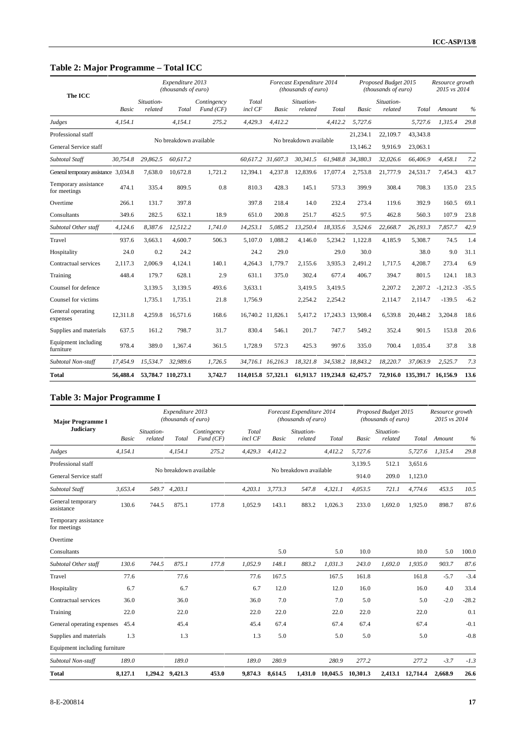### **Table 2: Major Programme – Total ICC**

| The ICC                              |          |                       | Expenditure 2013<br>(thousands of euro) |                         |                   |                   | Forecast Expenditure 2014<br>(thousands of euro) |                                                |                   | Proposed Budget 2015<br>(thousands of euro) |                             | Resource growth<br>2015 vs 2014 |         |
|--------------------------------------|----------|-----------------------|-----------------------------------------|-------------------------|-------------------|-------------------|--------------------------------------------------|------------------------------------------------|-------------------|---------------------------------------------|-----------------------------|---------------------------------|---------|
|                                      | Basic    | Situation-<br>related | Total                                   | Contingency<br>Fund(CF) | Total<br>incl CF  | Basic             | Situation-<br>related                            | Total                                          | Basic             | Situation-<br>related                       | Total                       | Amount                          | $\%$    |
| Judges                               | 4,154.1  |                       | 4,154.1                                 | 275.2                   | 4,429.3           | 4,412.2           |                                                  | 4,412.2                                        | 5,727.6           |                                             | 5,727.6                     | 1,315.4                         | 29.8    |
| Professional staff                   |          |                       | No breakdown available                  |                         |                   |                   | No breakdown available                           |                                                | 21,234.1          | 22,109.7                                    | 43.343.8                    |                                 |         |
| General Service staff                |          |                       |                                         |                         |                   |                   |                                                  |                                                | 13,146.2          | 9,916.9                                     | 23,063.1                    |                                 |         |
| Subtotal Staff                       | 30.754.8 | 29.862.5              | 60.617.2                                |                         |                   | 60.617.2 31.607.3 | 30.341.5                                         | 61,948.8                                       | 34.380.3          | 32,026.6                                    | 66,406.9                    | 4.458.1                         | 7.2     |
| General temporary assistance 3,034.8 |          | 7,638.0               | 10,672.8                                | 1,721.2                 | 12,394.1          | 4,237.8           | 12,839.6                                         | 17,077.4                                       | 2,753.8           | 21,777.9                                    | 24,531.7                    | 7,454.3                         | 43.7    |
| Temporary assistance<br>for meetings | 474.1    | 335.4                 | 809.5                                   | 0.8                     | 810.3             | 428.3             | 145.1                                            | 573.3                                          | 399.9             | 308.4                                       | 708.3                       | 135.0                           | 23.5    |
| Overtime                             | 266.1    | 131.7                 | 397.8                                   |                         | 397.8             | 218.4             | 14.0                                             | 232.4                                          | 273.4             | 119.6                                       | 392.9                       | 160.5                           | 69.1    |
| Consultants                          | 349.6    | 282.5                 | 632.1                                   | 18.9                    | 651.0             | 200.8             | 251.7                                            | 452.5                                          | 97.5              | 462.8                                       | 560.3                       | 107.9                           | 23.8    |
| Subtotal Other staff                 | 4,124.6  | 8,387.6               | 12,512.2                                | 1,741.0                 | 14,253.1          | 5,085.2           | 13,250.4                                         | 18,335.6                                       | 3,524.6           | 22,668.7                                    | 26,193.3                    | 7,857.7                         | 42.9    |
| Travel                               | 937.6    | 3,663.1               | 4,600.7                                 | 506.3                   | 5,107.0           | 1,088.2           | 4,146.0                                          | 5,234.2                                        | 1,122.8           | 4,185.9                                     | 5,308.7                     | 74.5                            | 1.4     |
| Hospitality                          | 24.0     | 0.2                   | 24.2                                    |                         | 24.2              | 29.0              |                                                  | 29.0                                           | 30.0              |                                             | 38.0                        | 9.0                             | 31.1    |
| Contractual services                 | 2,117.3  | 2,006.9               | 4,124.1                                 | 140.1                   | 4,264.3           | 1,779.7           | 2,155.6                                          | 3,935.3                                        | 2,491.2           | 1,717.5                                     | 4,208.7                     | 273.4                           | 6.9     |
| Training                             | 448.4    | 179.7                 | 628.1                                   | 2.9                     | 631.1             | 375.0             | 302.4                                            | 677.4                                          | 406.7             | 394.7                                       | 801.5                       | 124.1                           | 18.3    |
| Counsel for defence                  |          | 3,139.5               | 3,139.5                                 | 493.6                   | 3,633.1           |                   | 3,419.5                                          | 3,419.5                                        |                   | 2,207.2                                     | 2,207.2                     | $-1,212.3$                      | $-35.5$ |
| Counsel for victims                  |          | 1,735.1               | 1,735.1                                 | 21.8                    | 1,756.9           |                   | 2,254.2                                          | 2,254.2                                        |                   | 2,114.7                                     | 2,114.7                     | $-139.5$                        | $-6.2$  |
| General operating<br>expenses        | 12,311.8 | 4,259.8               | 16,571.6                                | 168.6                   | 16,740.2 11,826.1 |                   | 5,417.2                                          |                                                | 17,243.3 13,908.4 | 6,539.8                                     | 20,448.2                    | 3,204.8                         | 18.6    |
| Supplies and materials               | 637.5    | 161.2                 | 798.7                                   | 31.7                    | 830.4             | 546.1             | 201.7                                            | 747.7                                          | 549.2             | 352.4                                       | 901.5                       | 153.8                           | 20.6    |
| Equipment including<br>furniture     | 978.4    | 389.0                 | 1,367.4                                 | 361.5                   | 1,728.9           | 572.3             | 425.3                                            | 997.6                                          | 335.0             | 700.4                                       | 1,035.4                     | 37.8                            | 3.8     |
| Subtotal Non-staff                   | 17,454.9 | 15,534.7              | 32,989.6                                | 1,726.5                 |                   | 34,716.1 16,216.3 |                                                  | 18,321.8 34,538.2 18,843.2                     |                   | 18,220.7                                    | 37,063.9                    | 2.525.7                         | 7.3     |
| Total                                | 56,488.4 |                       | 53,784.7 110,273.1                      | 3,742.7                 |                   |                   |                                                  | 114,015.8 57,321.1 61,913.7 119,234.8 62,475.7 |                   |                                             | 72.916.0 135.391.7 16.156.9 |                                 | 13.6    |

### **Table 3: Major Programme I**

| <b>Major Programme I</b>             |         |                       | Expenditure 2013<br>(thousands of euro) |                         |                  |              | Forecast Expenditure 2014<br>(thousands of euro) |                           |              | Proposed Budget 2015<br>(thousands of euro) |                  | Resource growth<br>2015 vs 2014 |         |
|--------------------------------------|---------|-----------------------|-----------------------------------------|-------------------------|------------------|--------------|--------------------------------------------------|---------------------------|--------------|---------------------------------------------|------------------|---------------------------------|---------|
| <b>Judiciary</b>                     | Basic   | Situation-<br>related | Total                                   | Contingency<br>Fund(CF) | Total<br>incl CF | <b>Basic</b> | Situation-<br>related                            | Total                     | <b>Basic</b> | Situation-<br>related                       | Total            | Amount                          | $\%$    |
| Judges                               | 4,154.1 |                       | 4.154.1                                 | 275.2                   | 4,429.3          | 4,412.2      |                                                  | 4,412.2                   | 5,727.6      |                                             | 5.727.6          | 1,315.4                         | 29.8    |
| Professional staff                   |         |                       |                                         |                         |                  |              |                                                  |                           | 3,139.5      | 512.1                                       | 3,651.6          |                                 |         |
| General Service staff                |         |                       |                                         | No breakdown available  |                  |              | No breakdown available                           |                           | 914.0        | 209.0                                       | 1,123.0          |                                 |         |
| Subtotal Staff                       | 3,653.4 | 549.7                 | 4,203.1                                 |                         | 4,203.1          | 3,773.3      | 547.8                                            | 4,321.1                   | 4,053.5      | 721.1                                       | 4.774.6          | 453.5                           | 10.5    |
| General temporary<br>assistance      | 130.6   | 744.5                 | 875.1                                   | 177.8                   | 1,052.9          | 143.1        | 883.2                                            | 1,026.3                   | 233.0        | 1,692.0                                     | 1,925.0          | 898.7                           | 87.6    |
| Temporary assistance<br>for meetings |         |                       |                                         |                         |                  |              |                                                  |                           |              |                                             |                  |                                 |         |
| Overtime                             |         |                       |                                         |                         |                  |              |                                                  |                           |              |                                             |                  |                                 |         |
| Consultants                          |         |                       |                                         |                         |                  | 5.0          |                                                  | 5.0                       | 10.0         |                                             | 10.0             | 5.0                             | 100.0   |
| Subtotal Other staff                 | 130.6   | 744.5                 | 875.1                                   | 177.8                   | 1,052.9          | 148.1        | 883.2                                            | 1,031.3                   | 243.0        | 1,692.0                                     | 1,935.0          | 903.7                           | 87.6    |
| Travel                               | 77.6    |                       | 77.6                                    |                         | 77.6             | 167.5        |                                                  | 167.5                     | 161.8        |                                             | 161.8            | $-5.7$                          | $-3.4$  |
| Hospitality                          | 6.7     |                       | 6.7                                     |                         | 6.7              | 12.0         |                                                  | 12.0                      | 16.0         |                                             | 16.0             | 4.0                             | 33.4    |
| Contractual services                 | 36.0    |                       | 36.0                                    |                         | 36.0             | 7.0          |                                                  | 7.0                       | 5.0          |                                             | 5.0              | $-2.0$                          | $-28.2$ |
| Training                             | 22.0    |                       | 22.0                                    |                         | 22.0             | 22.0         |                                                  | 22.0                      | 22.0         |                                             | 22.0             |                                 | 0.1     |
| General operating expenses           | 45.4    |                       | 45.4                                    |                         | 45.4             | 67.4         |                                                  | 67.4                      | 67.4         |                                             | 67.4             |                                 | $-0.1$  |
| Supplies and materials               | 1.3     |                       | 1.3                                     |                         | 1.3              | 5.0          |                                                  | 5.0                       | 5.0          |                                             | 5.0              |                                 | $-0.8$  |
| Equipment including furniture        |         |                       |                                         |                         |                  |              |                                                  |                           |              |                                             |                  |                                 |         |
| Subtotal Non-staff                   | 189.0   |                       | 189.0                                   |                         | 189.0            | 280.9        |                                                  | 280.9                     | 277.2        |                                             | 277.2            | $-3.7$                          | $-1.3$  |
| <b>Total</b>                         | 8,127.1 | 1,294.2               | 9,421.3                                 | 453.0                   | 9,874.3          | 8,614.5      |                                                  | 1,431.0 10,045.5 10,301.3 |              |                                             | 2,413.1 12,714.4 | 2,668.9                         | 26.6    |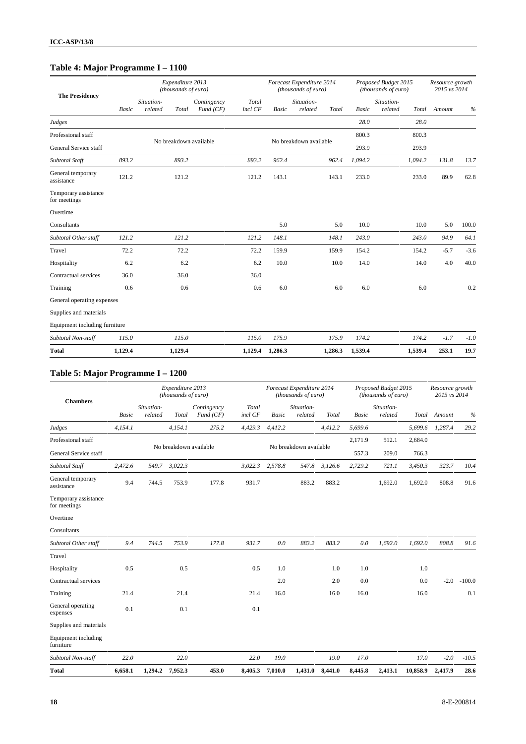## **Table 4: Major Programme I – 1100**

| <b>The Presidency</b>                |              |                       | Expenditure 2013<br>(thousands of euro) |                         |                  |              | Forecast Expenditure 2014<br>(thousands of euro) |         |              | Proposed Budget 2015<br>(thousands of euro) |         | Resource growth<br>2015 vs 2014 |        |
|--------------------------------------|--------------|-----------------------|-----------------------------------------|-------------------------|------------------|--------------|--------------------------------------------------|---------|--------------|---------------------------------------------|---------|---------------------------------|--------|
|                                      | <b>Basic</b> | Situation-<br>related | Total                                   | Contingency<br>Fund(CF) | Total<br>incl CF | <b>Basic</b> | Situation-<br>related                            | Total   | <b>Basic</b> | Situation-<br>related                       | Total   | Amount                          | $\%$   |
| Judges                               |              |                       |                                         |                         |                  |              |                                                  |         | 28.0         |                                             | 28.0    |                                 |        |
| Professional staff                   |              |                       |                                         |                         |                  |              |                                                  |         | 800.3        |                                             | 800.3   |                                 |        |
| General Service staff                |              |                       |                                         | No breakdown available  |                  |              | No breakdown available                           |         | 293.9        |                                             | 293.9   |                                 |        |
| Subtotal Staff                       | 893.2        |                       | 893.2                                   |                         | 893.2            | 962.4        |                                                  | 962.4   | 1,094.2      |                                             | 1,094.2 | 131.8                           | 13.7   |
| General temporary<br>assistance      | 121.2        |                       | 121.2                                   |                         | 121.2            | 143.1        |                                                  | 143.1   | 233.0        |                                             | 233.0   | 89.9                            | 62.8   |
| Temporary assistance<br>for meetings |              |                       |                                         |                         |                  |              |                                                  |         |              |                                             |         |                                 |        |
| Overtime                             |              |                       |                                         |                         |                  |              |                                                  |         |              |                                             |         |                                 |        |
| Consultants                          |              |                       |                                         |                         |                  | 5.0          |                                                  | 5.0     | 10.0         |                                             | 10.0    | 5.0                             | 100.0  |
| Subtotal Other staff                 | 121.2        |                       | 121.2                                   |                         | 121.2            | 148.1        |                                                  | 148.1   | 243.0        |                                             | 243.0   | 94.9                            | 64.1   |
| Travel                               | 72.2         |                       | 72.2                                    |                         | 72.2             | 159.9        |                                                  | 159.9   | 154.2        |                                             | 154.2   | $-5.7$                          | $-3.6$ |
| Hospitality                          | 6.2          |                       | 6.2                                     |                         | 6.2              | 10.0         |                                                  | 10.0    | 14.0         |                                             | 14.0    | 4.0                             | 40.0   |
| Contractual services                 | 36.0         |                       | 36.0                                    |                         | 36.0             |              |                                                  |         |              |                                             |         |                                 |        |
| Training                             | 0.6          |                       | 0.6                                     |                         | 0.6              | 6.0          |                                                  | 6.0     | 6.0          |                                             | 6.0     |                                 | 0.2    |
| General operating expenses           |              |                       |                                         |                         |                  |              |                                                  |         |              |                                             |         |                                 |        |
| Supplies and materials               |              |                       |                                         |                         |                  |              |                                                  |         |              |                                             |         |                                 |        |
| Equipment including furniture        |              |                       |                                         |                         |                  |              |                                                  |         |              |                                             |         |                                 |        |
| Subtotal Non-staff                   | 115.0        |                       | 115.0                                   |                         | 115.0            | 175.9        |                                                  | 175.9   | 174.2        |                                             | 174.2   | $-1.7$                          | $-1.0$ |
| <b>Total</b>                         | 1,129.4      |                       | 1,129.4                                 |                         | 1,129.4          | 1,286.3      |                                                  | 1,286.3 | 1,539.4      |                                             | 1,539.4 | 253.1                           | 19.7   |

### **Table 5: Major Programme I – 1200**

| <b>Chambers</b>                      |              |                       | Expenditure 2013<br>(thousands of euro) |                         |                  |         | Forecast Expenditure 2014<br>(thousands of euro) |         | Proposed Budget 2015<br>(thousands of euro) |                       |          | Resource growth<br>2015 vs 2014 |          |
|--------------------------------------|--------------|-----------------------|-----------------------------------------|-------------------------|------------------|---------|--------------------------------------------------|---------|---------------------------------------------|-----------------------|----------|---------------------------------|----------|
|                                      | <b>Basic</b> | Situation-<br>related | Total                                   | Contingency<br>Fund(CF) | Total<br>incl CF | Basic   | Situation-<br>related                            | Total   | Basic                                       | Situation-<br>related | Total    | Amount                          | $\%$     |
| Judges                               | 4,154.1      |                       | 4,154.1                                 | 275.2                   | 4,429.3          | 4,412.2 |                                                  | 4,412.2 | 5,699.6                                     |                       | 5,699.6  | 1,287.4                         | 29.2     |
| Professional staff                   |              |                       | No breakdown available                  |                         |                  |         | No breakdown available                           |         | 2,171.9                                     | 512.1                 | 2,684.0  |                                 |          |
| General Service staff                |              |                       |                                         |                         |                  |         |                                                  |         | 557.3                                       | 209.0                 | 766.3    |                                 |          |
| Subtotal Staff                       | 2,472.6      | 549.7                 | 3,022.3                                 |                         | 3,022.3          | 2,578.8 | 547.8                                            | 3,126.6 | 2,729.2                                     | 721.1                 | 3,450.3  | 323.7                           | 10.4     |
| General temporary<br>assistance      | 9.4          | 744.5                 | 753.9                                   | 177.8                   | 931.7            |         | 883.2                                            | 883.2   |                                             | 1,692.0               | 1,692.0  | 808.8                           | 91.6     |
| Temporary assistance<br>for meetings |              |                       |                                         |                         |                  |         |                                                  |         |                                             |                       |          |                                 |          |
| Overtime                             |              |                       |                                         |                         |                  |         |                                                  |         |                                             |                       |          |                                 |          |
| Consultants                          |              |                       |                                         |                         |                  |         |                                                  |         |                                             |                       |          |                                 |          |
| Subtotal Other staff                 | 9.4          | 744.5                 | 753.9                                   | 177.8                   | 931.7            | 0.0     | 883.2                                            | 883.2   | 0.0                                         | 1,692.0               | 1,692.0  | 808.8                           | 91.6     |
| Travel                               |              |                       |                                         |                         |                  |         |                                                  |         |                                             |                       |          |                                 |          |
| Hospitality                          | 0.5          |                       | 0.5                                     |                         | 0.5              | 1.0     |                                                  | 1.0     | 1.0                                         |                       | 1.0      |                                 |          |
| Contractual services                 |              |                       |                                         |                         |                  | 2.0     |                                                  | 2.0     | 0.0                                         |                       | 0.0      | $-2.0$                          | $-100.0$ |
| Training                             | 21.4         |                       | 21.4                                    |                         | 21.4             | 16.0    |                                                  | 16.0    | 16.0                                        |                       | 16.0     |                                 | 0.1      |
| General operating<br>expenses        | 0.1          |                       | 0.1                                     |                         | 0.1              |         |                                                  |         |                                             |                       |          |                                 |          |
| Supplies and materials               |              |                       |                                         |                         |                  |         |                                                  |         |                                             |                       |          |                                 |          |
| Equipment including<br>furniture     |              |                       |                                         |                         |                  |         |                                                  |         |                                             |                       |          |                                 |          |
| Subtotal Non-staff                   | 22.0         |                       | 22.0                                    |                         | 22.0             | 19.0    |                                                  | 19.0    | 17.0                                        |                       | 17.0     | $-2.0$                          | $-10.5$  |
| <b>Total</b>                         | 6,658.1      | 1,294.2               | 7,952.3                                 | 453.0                   | 8,405.3          | 7,010.0 | 1,431.0                                          | 8,441.0 | 8,445.8                                     | 2,413.1               | 10,858.9 | 2,417.9                         | 28.6     |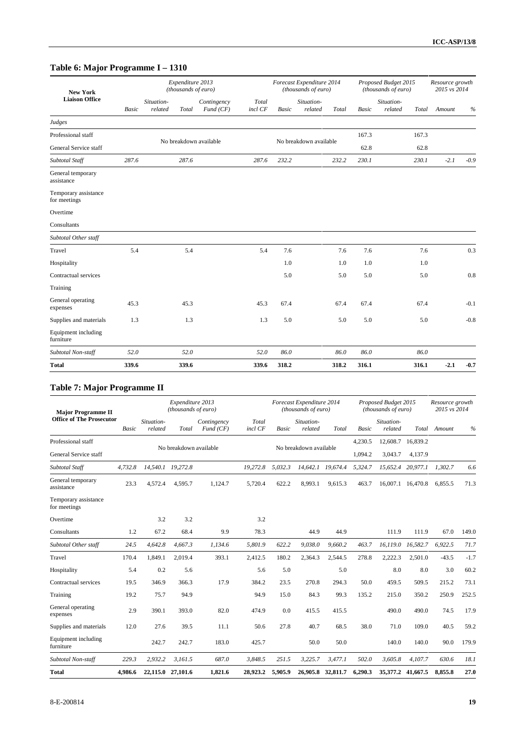#### **Table 6: Major Programme I – 1310**

| <b>New York</b>                      |       |                       | Expenditure 2013<br>(thousands of euro) |                         |                  |              | Forecast Expenditure 2014<br>(thousands of euro) |       |              | Proposed Budget 2015<br>(thousands of euro) |       | Resource growth<br>2015 vs 2014 |        |
|--------------------------------------|-------|-----------------------|-----------------------------------------|-------------------------|------------------|--------------|--------------------------------------------------|-------|--------------|---------------------------------------------|-------|---------------------------------|--------|
| <b>Liaison Office</b>                | Basic | Situation-<br>related | Total                                   | Contingency<br>Fund(CF) | Total<br>incl CF | <b>Basic</b> | Situation-<br>related                            | Total | <b>Basic</b> | Situation-<br>related                       | Total | Amount                          | $\%$   |
| Judges                               |       |                       |                                         |                         |                  |              |                                                  |       |              |                                             |       |                                 |        |
| Professional staff                   |       |                       |                                         |                         |                  |              |                                                  |       | 167.3        |                                             | 167.3 |                                 |        |
| General Service staff                |       |                       |                                         | No breakdown available  |                  |              | No breakdown available                           |       | 62.8         |                                             | 62.8  |                                 |        |
| Subtotal Staff                       | 287.6 |                       | 287.6                                   |                         | 287.6            | 232.2        |                                                  | 232.2 | 230.1        |                                             | 230.1 | $-2.1$                          | $-0.9$ |
| General temporary<br>assistance      |       |                       |                                         |                         |                  |              |                                                  |       |              |                                             |       |                                 |        |
| Temporary assistance<br>for meetings |       |                       |                                         |                         |                  |              |                                                  |       |              |                                             |       |                                 |        |
| Overtime                             |       |                       |                                         |                         |                  |              |                                                  |       |              |                                             |       |                                 |        |
| Consultants                          |       |                       |                                         |                         |                  |              |                                                  |       |              |                                             |       |                                 |        |
| Subtotal Other staff                 |       |                       |                                         |                         |                  |              |                                                  |       |              |                                             |       |                                 |        |
| Travel                               | 5.4   |                       | 5.4                                     |                         | 5.4              | 7.6          |                                                  | 7.6   | 7.6          |                                             | 7.6   |                                 | 0.3    |
| Hospitality                          |       |                       |                                         |                         |                  | 1.0          |                                                  | 1.0   | 1.0          |                                             | 1.0   |                                 |        |
| Contractual services                 |       |                       |                                         |                         |                  | 5.0          |                                                  | 5.0   | 5.0          |                                             | 5.0   |                                 | 0.8    |
| Training                             |       |                       |                                         |                         |                  |              |                                                  |       |              |                                             |       |                                 |        |
| General operating<br>expenses        | 45.3  |                       | 45.3                                    |                         | 45.3             | 67.4         |                                                  | 67.4  | 67.4         |                                             | 67.4  |                                 | $-0.1$ |
| Supplies and materials               | 1.3   |                       | 1.3                                     |                         | 1.3              | 5.0          |                                                  | 5.0   | 5.0          |                                             | 5.0   |                                 | $-0.8$ |
| Equipment including<br>furniture     |       |                       |                                         |                         |                  |              |                                                  |       |              |                                             |       |                                 |        |
| Subtotal Non-staff                   | 52.0  |                       | 52.0                                    |                         | 52.0             | 86.0         |                                                  | 86.0  | 86.0         |                                             | 86.0  |                                 |        |
| <b>Total</b>                         | 339.6 |                       | 339.6                                   |                         | 339.6            | 318.2        |                                                  | 318.2 | 316.1        |                                             | 316.1 | $-2.1$                          | $-0.7$ |

### **Table 7: Major Programme II**

| <b>Major Programme II</b>            |         |                       | Expenditure 2013<br>(thousands of euro) |                         |                  |         | Forecast Expenditure 2014<br>(thousands of euro) |          |              | Proposed Budget 2015<br>(thousands of euro) |                   | Resource growth<br>2015 vs 2014 |        |
|--------------------------------------|---------|-----------------------|-----------------------------------------|-------------------------|------------------|---------|--------------------------------------------------|----------|--------------|---------------------------------------------|-------------------|---------------------------------|--------|
| <b>Office of The Prosecutor</b>      | Basic   | Situation-<br>related | Total                                   | Contingency<br>Fund(CF) | Total<br>incl CF | Basic   | Situation-<br>related                            | Total    | <b>Basic</b> | Situation-<br>related                       | Total             | Amount                          | $\%$   |
| Professional staff                   |         |                       |                                         |                         |                  |         |                                                  |          | 4,230.5      |                                             | 12,608.7 16,839.2 |                                 |        |
| General Service staff                |         |                       | No breakdown available                  |                         |                  |         | No breakdown available                           |          | 1,094.2      | 3,043.7                                     | 4,137.9           |                                 |        |
| Subtotal Staff                       | 4,732.8 |                       | 14,540.1 19,272.8                       |                         | 19,272.8         | 5.032.3 | 14.642.1                                         | 19,674.4 | 5,324.7      |                                             | 15,652.4 20,977.1 | 1.302.7                         | 6.6    |
| General temporary<br>assistance      | 23.3    | 4,572.4               | 4,595.7                                 | 1,124.7                 | 5,720.4          | 622.2   | 8,993.1                                          | 9,615.3  | 463.7        |                                             | 16,007.1 16,470.8 | 6,855.5                         | 71.3   |
| Temporary assistance<br>for meetings |         |                       |                                         |                         |                  |         |                                                  |          |              |                                             |                   |                                 |        |
| Overtime                             |         | 3.2                   | 3.2                                     |                         | 3.2              |         |                                                  |          |              |                                             |                   |                                 |        |
| Consultants                          | 1.2     | 67.2                  | 68.4                                    | 9.9                     | 78.3             |         | 44.9                                             | 44.9     |              | 111.9                                       | 111.9             | 67.0                            | 149.0  |
| Subtotal Other staff                 | 24.5    | 4,642.8               | 4,667.3                                 | 1,134.6                 | 5,801.9          | 622.2   | 9,038.0                                          | 9,660.2  | 463.7        | 16,119.0                                    | 16,582.7          | 6,922.5                         | 71.7   |
| Travel                               | 170.4   | 1,849.1               | 2,019.4                                 | 393.1                   | 2,412.5          | 180.2   | 2,364.3                                          | 2,544.5  | 278.8        | 2,222.3                                     | 2,501.0           | $-43.5$                         | $-1.7$ |
| Hospitality                          | 5.4     | 0.2                   | 5.6                                     |                         | 5.6              | 5.0     |                                                  | 5.0      |              | 8.0                                         | 8.0               | 3.0                             | 60.2   |
| Contractual services                 | 19.5    | 346.9                 | 366.3                                   | 17.9                    | 384.2            | 23.5    | 270.8                                            | 294.3    | 50.0         | 459.5                                       | 509.5             | 215.2                           | 73.1   |
| Training                             | 19.2    | 75.7                  | 94.9                                    |                         | 94.9             | 15.0    | 84.3                                             | 99.3     | 135.2        | 215.0                                       | 350.2             | 250.9                           | 252.5  |
| General operating<br>expenses        | 2.9     | 390.1                 | 393.0                                   | 82.0                    | 474.9            | 0.0     | 415.5                                            | 415.5    |              | 490.0                                       | 490.0             | 74.5                            | 17.9   |
| Supplies and materials               | 12.0    | 27.6                  | 39.5                                    | 11.1                    | 50.6             | 27.8    | 40.7                                             | 68.5     | 38.0         | 71.0                                        | 109.0             | 40.5                            | 59.2   |
| Equipment including<br>furniture     |         | 242.7                 | 242.7                                   | 183.0                   | 425.7            |         | 50.0                                             | 50.0     |              | 140.0                                       | 140.0             | 90.0                            | 179.9  |
| Subtotal Non-staff                   | 229.3   | 2,932.2               | 3,161.5                                 | 687.0                   | 3,848.5          | 251.5   | 3,225.7                                          | 3,477.1  | 502.0        | 3,605.8                                     | 4,107.7           | 630.6                           | 18.1   |
| <b>Total</b>                         | 4,986.6 |                       | 22,115.0 27,101.6                       | 1,821.6                 | 28,923.2         | 5,905.9 | 26,905.8                                         | 32,811.7 | 6,290.3      | 35,377.2                                    | 41,667.5          | 8,855.8                         | 27.0   |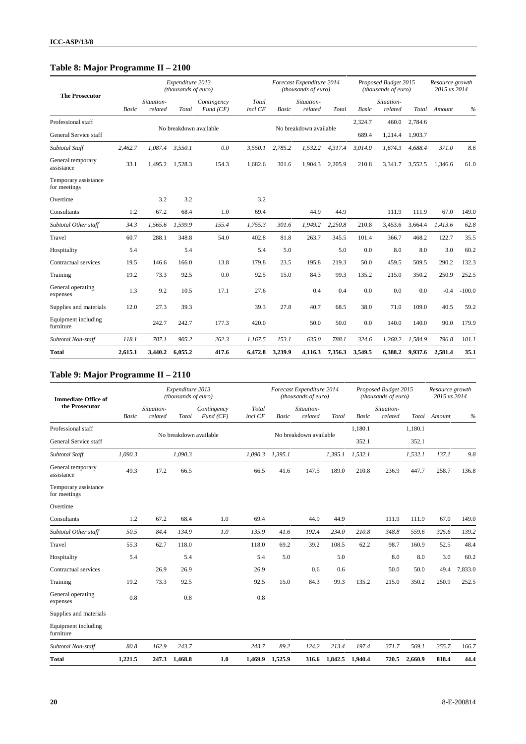### **Table 8: Major Programme II – 2100**

| <b>The Prosecutor</b>                |         |                       | Expenditure 2013<br>(thousands of euro) |                         |                  |         | Forecast Expenditure 2014<br>(thousands of euro) |         |         | Proposed Budget 2015<br>(thousands of euro) |         | Resource growth<br>2015 vs 2014 |          |
|--------------------------------------|---------|-----------------------|-----------------------------------------|-------------------------|------------------|---------|--------------------------------------------------|---------|---------|---------------------------------------------|---------|---------------------------------|----------|
|                                      | Basic   | Situation-<br>related | Total                                   | Contingency<br>Fund(CF) | Total<br>incl CF | Basic   | Situation-<br>related                            | Total   | Basic   | Situation-<br>related                       | Total   | Amount                          | $\%$     |
| Professional staff                   |         |                       |                                         |                         |                  |         |                                                  |         | 2,324.7 | 460.0                                       | 2,784.6 |                                 |          |
| General Service staff                |         |                       | No breakdown available                  |                         |                  |         | No breakdown available                           |         | 689.4   | 1,214.4                                     | 1,903.7 |                                 |          |
| Subtotal Staff                       | 2,462.7 | 1,087.4               | 3,550.1                                 | 0.0                     | 3,550.1          | 2,785.2 | 1,532.2                                          | 4,317.4 | 3,014.0 | 1,674.3                                     | 4,688.4 | 371.0                           | 8.6      |
| General temporary<br>assistance      | 33.1    | 1,495.2               | 1,528.3                                 | 154.3                   | 1,682.6          | 301.6   | 1,904.3                                          | 2,205.9 | 210.8   | 3,341.7                                     | 3,552.5 | 1.346.6                         | 61.0     |
| Temporary assistance<br>for meetings |         |                       |                                         |                         |                  |         |                                                  |         |         |                                             |         |                                 |          |
| Overtime                             |         | 3.2                   | 3.2                                     |                         | 3.2              |         |                                                  |         |         |                                             |         |                                 |          |
| Consultants                          | 1.2     | 67.2                  | 68.4                                    | 1.0                     | 69.4             |         | 44.9                                             | 44.9    |         | 111.9                                       | 111.9   | 67.0                            | 149.0    |
| Subtotal Other staff                 | 34.3    | 1,565.6               | 1,599.9                                 | 155.4                   | 1,755.3          | 301.6   | 1,949.2                                          | 2,250.8 | 210.8   | 3,453.6                                     | 3,664.4 | 1,413.6                         | 62.8     |
| Travel                               | 60.7    | 288.1                 | 348.8                                   | 54.0                    | 402.8            | 81.8    | 263.7                                            | 345.5   | 101.4   | 366.7                                       | 468.2   | 122.7                           | 35.5     |
| Hospitality                          | 5.4     |                       | 5.4                                     |                         | 5.4              | 5.0     |                                                  | 5.0     | 0.0     | 8.0                                         | 8.0     | 3.0                             | 60.2     |
| Contractual services                 | 19.5    | 146.6                 | 166.0                                   | 13.8                    | 179.8            | 23.5    | 195.8                                            | 219.3   | 50.0    | 459.5                                       | 509.5   | 290.2                           | 132.3    |
| Training                             | 19.2    | 73.3                  | 92.5                                    | 0.0                     | 92.5             | 15.0    | 84.3                                             | 99.3    | 135.2   | 215.0                                       | 350.2   | 250.9                           | 252.5    |
| General operating<br>expenses        | 1.3     | 9.2                   | 10.5                                    | 17.1                    | 27.6             |         | 0.4                                              | 0.4     | 0.0     | 0.0                                         | 0.0     | $-0.4$                          | $-100.0$ |
| Supplies and materials               | 12.0    | 27.3                  | 39.3                                    |                         | 39.3             | 27.8    | 40.7                                             | 68.5    | 38.0    | 71.0                                        | 109.0   | 40.5                            | 59.2     |
| Equipment including<br>furniture     |         | 242.7                 | 242.7                                   | 177.3                   | 420.0            |         | 50.0                                             | 50.0    | 0.0     | 140.0                                       | 140.0   | 90.0                            | 179.9    |
| Subtotal Non-staff                   | 118.1   | 787.1                 | 905.2                                   | 262.3                   | 1,167.5          | 153.1   | 635.0                                            | 788.1   | 324.6   | 1,260.2                                     | 1,584.9 | 796.8                           | 101.1    |
| <b>Total</b>                         | 2.615.1 | 3,440.2               | 6,055.2                                 | 417.6                   | 6.472.8          | 3,239.9 | 4,116.3                                          | 7,356.3 | 3.549.5 | 6.388.2                                     | 9,937.6 | 2,581.4                         | 35.1     |

# **Table 9: Major Programme II – 2110**

| <b>Immediate Office of</b>           |         |                       | Expenditure 2013<br>(thousands of euro) |                         |                  |              | Forecast Expenditure 2014<br>(thousands of euro) |         |              | Proposed Budget 2015<br>(thousands of euro) |         | Resource growth<br>2015 vs 2014 |         |
|--------------------------------------|---------|-----------------------|-----------------------------------------|-------------------------|------------------|--------------|--------------------------------------------------|---------|--------------|---------------------------------------------|---------|---------------------------------|---------|
| the Prosecutor                       | Basic   | Situation-<br>related | Total                                   | Contingency<br>Fund(CF) | Total<br>incl CF | <b>Basic</b> | Situation-<br>related                            | Total   | <b>Basic</b> | Situation-<br>related                       | Total   | Amount                          | $\%$    |
| Professional staff                   |         |                       |                                         |                         |                  |              |                                                  |         | 1,180.1      |                                             | 1,180.1 |                                 |         |
| General Service staff                |         |                       | No breakdown available                  |                         |                  |              | No breakdown available                           |         | 352.1        |                                             | 352.1   |                                 |         |
| Subtotal Staff                       | 1.090.3 |                       | 1.090.3                                 |                         | 1,090.3          | 1.395.1      |                                                  | 1,395.1 | 1,532.1      |                                             | 1,532.1 | 137.1                           | 9.8     |
| General temporary<br>assistance      | 49.3    | 17.2                  | 66.5                                    |                         | 66.5             | 41.6         | 147.5                                            | 189.0   | 210.8        | 236.9                                       | 447.7   | 258.7                           | 136.8   |
| Temporary assistance<br>for meetings |         |                       |                                         |                         |                  |              |                                                  |         |              |                                             |         |                                 |         |
| Overtime                             |         |                       |                                         |                         |                  |              |                                                  |         |              |                                             |         |                                 |         |
| Consultants                          | 1.2     | 67.2                  | 68.4                                    | $1.0\,$                 | 69.4             |              | 44.9                                             | 44.9    |              | 111.9                                       | 111.9   | 67.0                            | 149.0   |
| Subtotal Other staff                 | 50.5    | 84.4                  | 134.9                                   | 1.0                     | 135.9            | 41.6         | 192.4                                            | 234.0   | 210.8        | 348.8                                       | 559.6   | 325.6                           | 139.2   |
| Travel                               | 55.3    | 62.7                  | 118.0                                   |                         | 118.0            | 69.2         | 39.2                                             | 108.5   | 62.2         | 98.7                                        | 160.9   | 52.5                            | 48.4    |
| Hospitality                          | 5.4     |                       | 5.4                                     |                         | 5.4              | 5.0          |                                                  | 5.0     |              | 8.0                                         | 8.0     | 3.0                             | 60.2    |
| Contractual services                 |         | 26.9                  | 26.9                                    |                         | 26.9             |              | 0.6                                              | 0.6     |              | 50.0                                        | 50.0    | 49.4                            | 7,833.0 |
| Training                             | 19.2    | 73.3                  | 92.5                                    |                         | 92.5             | 15.0         | 84.3                                             | 99.3    | 135.2        | 215.0                                       | 350.2   | 250.9                           | 252.5   |
| General operating<br>expenses        | 0.8     |                       | 0.8                                     |                         | 0.8              |              |                                                  |         |              |                                             |         |                                 |         |
| Supplies and materials               |         |                       |                                         |                         |                  |              |                                                  |         |              |                                             |         |                                 |         |
| Equipment including<br>furniture     |         |                       |                                         |                         |                  |              |                                                  |         |              |                                             |         |                                 |         |
| Subtotal Non-staff                   | 80.8    | 162.9                 | 243.7                                   |                         | 243.7            | 89.2         | 124.2                                            | 213.4   | 197.4        | 371.7                                       | 569.1   | 355.7                           | 166.7   |
| <b>Total</b>                         | 1,221.5 | 247.3                 | 1,468.8                                 | 1.0                     | 1.469.9          | 1,525.9      | 316.6                                            | 1,842.5 | 1.940.4      | 720.5                                       | 2,660.9 | 818.4                           | 44.4    |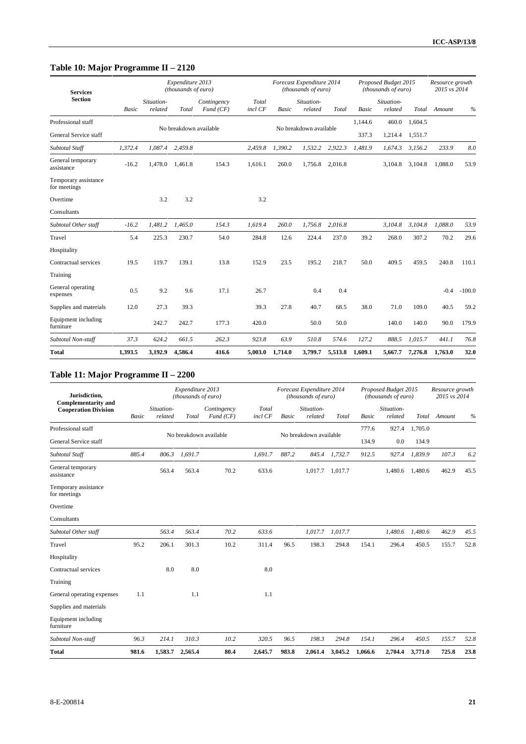## **Table 10: Major Programme II – 2120**

| <b>Services</b>                      |         |                       | Expenditure 2013<br>(thousands of euro) |                         |                  |              | Forecast Expenditure 2014<br>(thousands of euro) |         |              | Proposed Budget 2015<br>(thousands of euro) |         | Resource growth<br>2015 vs 2014 |          |
|--------------------------------------|---------|-----------------------|-----------------------------------------|-------------------------|------------------|--------------|--------------------------------------------------|---------|--------------|---------------------------------------------|---------|---------------------------------|----------|
| <b>Section</b>                       | Basic   | Situation-<br>related | Total                                   | Contingency<br>Fund(CF) | Total<br>incl CF | <b>Basic</b> | Situation-<br>related                            | Total   | <b>Basic</b> | Situation-<br>related                       | Total   | Amount                          | $\%$     |
| Professional staff                   |         |                       |                                         |                         |                  |              |                                                  |         | 1.144.6      | 460.0                                       | 1.604.5 |                                 |          |
| General Service staff                |         |                       | No breakdown available                  |                         |                  |              | No breakdown available                           |         | 337.3        | 1,214.4                                     | 1,551.7 |                                 |          |
| Subtotal Staff                       | 1,372.4 | 1,087.4               | 2,459.8                                 |                         | 2,459.8          | 1,390.2      | 1,532.2                                          | 2,922.3 | 1,481.9      | 1,674.3                                     | 3,156.2 | 233.9                           | 8.0      |
| General temporary<br>assistance      | $-16.2$ | 1,478.0               | 1,461.8                                 | 154.3                   | 1,616.1          | 260.0        | 1,756.8                                          | 2,016.8 |              | 3,104.8                                     | 3,104.8 | 1,088.0                         | 53.9     |
| Temporary assistance<br>for meetings |         |                       |                                         |                         |                  |              |                                                  |         |              |                                             |         |                                 |          |
| Overtime                             |         | 3.2                   | 3.2                                     |                         | 3.2              |              |                                                  |         |              |                                             |         |                                 |          |
| Consultants                          |         |                       |                                         |                         |                  |              |                                                  |         |              |                                             |         |                                 |          |
| Subtotal Other staff                 | $-16.2$ | 1,481.2               | 1,465.0                                 | 154.3                   | 1,619.4          | 260.0        | 1,756.8                                          | 2,016.8 |              | 3,104.8                                     | 3,104.8 | 1,088.0                         | 53.9     |
| Travel                               | 5.4     | 225.3                 | 230.7                                   | 54.0                    | 284.8            | 12.6         | 224.4                                            | 237.0   | 39.2         | 268.0                                       | 307.2   | 70.2                            | 29.6     |
| Hospitality                          |         |                       |                                         |                         |                  |              |                                                  |         |              |                                             |         |                                 |          |
| Contractual services                 | 19.5    | 119.7                 | 139.1                                   | 13.8                    | 152.9            | 23.5         | 195.2                                            | 218.7   | 50.0         | 409.5                                       | 459.5   | 240.8                           | 110.1    |
| Training                             |         |                       |                                         |                         |                  |              |                                                  |         |              |                                             |         |                                 |          |
| General operating<br>expenses        | 0.5     | 9.2                   | 9.6                                     | 17.1                    | 26.7             |              | 0.4                                              | 0.4     |              |                                             |         | $-0.4$                          | $-100.0$ |
| Supplies and materials               | 12.0    | 27.3                  | 39.3                                    |                         | 39.3             | 27.8         | 40.7                                             | 68.5    | 38.0         | 71.0                                        | 109.0   | 40.5                            | 59.2     |
| Equipment including<br>furniture     |         | 242.7                 | 242.7                                   | 177.3                   | 420.0            |              | 50.0                                             | 50.0    |              | 140.0                                       | 140.0   | 90.0                            | 179.9    |
| Subtotal Non-staff                   | 37.3    | 624.2                 | 661.5                                   | 262.3                   | 923.8            | 63.9         | 510.8                                            | 574.6   | 127.2        | 888.5                                       | 1,015.7 | 441.1                           | 76.8     |
| <b>Total</b>                         | 1,393.5 | 3,192.9               | 4,586.4                                 | 416.6                   | 5,003.0          | 1,714.0      | 3,799.7                                          | 5,513.8 | 1,609.1      | 5,667.7                                     | 7,276.8 | 1,763.0                         | 32.0     |

## **Table 11: Major Programme II – 2200**

| Jurisdiction,<br><b>Complementarity and</b> |       |                       | Expenditure 2013<br>(thousands of euro) |                         |                  |              | Forecast Expenditure 2014<br>(thousands of euro) |         |              | Proposed Budget 2015<br>(thousands of euro) |         | Resource growth<br>2015 vs 2014 |      |
|---------------------------------------------|-------|-----------------------|-----------------------------------------|-------------------------|------------------|--------------|--------------------------------------------------|---------|--------------|---------------------------------------------|---------|---------------------------------|------|
| <b>Cooperation Division</b>                 | Basic | Situation-<br>related | Total                                   | Contingency<br>Fund(CF) | Total<br>incl CF | <b>Basic</b> | Situation-<br>related                            | Total   | <b>Basic</b> | Situation-<br>related                       | Total   | Amount                          | $\%$ |
| Professional staff                          |       |                       |                                         |                         |                  |              |                                                  |         | 777.6        | 927.4                                       | 1,705.0 |                                 |      |
| General Service staff                       |       |                       |                                         | No breakdown available  |                  |              | No breakdown available                           |         | 134.9        | 0.0                                         | 134.9   |                                 |      |
| Subtotal Staff                              | 885.4 | 806.3                 | 1,691.7                                 |                         | 1,691.7          | 887.2        | 845.4                                            | 1,732.7 | 912.5        | 927.4                                       | 1,839.9 | 107.3                           | 6.2  |
| General temporary<br>assistance             |       | 563.4                 | 563.4                                   | 70.2                    | 633.6            |              | 1,017.7                                          | 1,017.7 |              | 1,480.6                                     | 1,480.6 | 462.9                           | 45.5 |
| Temporary assistance<br>for meetings        |       |                       |                                         |                         |                  |              |                                                  |         |              |                                             |         |                                 |      |
| Overtime                                    |       |                       |                                         |                         |                  |              |                                                  |         |              |                                             |         |                                 |      |
| Consultants                                 |       |                       |                                         |                         |                  |              |                                                  |         |              |                                             |         |                                 |      |
| Subtotal Other staff                        |       | 563.4                 | 563.4                                   | 70.2                    | 633.6            |              | 1,017.7                                          | 1,017.7 |              | 1,480.6                                     | 1,480.6 | 462.9                           | 45.5 |
| Travel                                      | 95.2  | 206.1                 | 301.3                                   | 10.2                    | 311.4            | 96.5         | 198.3                                            | 294.8   | 154.1        | 296.4                                       | 450.5   | 155.7                           | 52.8 |
| Hospitality                                 |       |                       |                                         |                         |                  |              |                                                  |         |              |                                             |         |                                 |      |
| Contractual services                        |       | 8.0                   | 8.0                                     |                         | 8.0              |              |                                                  |         |              |                                             |         |                                 |      |
| Training                                    |       |                       |                                         |                         |                  |              |                                                  |         |              |                                             |         |                                 |      |
| General operating expenses                  | 1.1   |                       | 1.1                                     |                         | 1.1              |              |                                                  |         |              |                                             |         |                                 |      |
| Supplies and materials                      |       |                       |                                         |                         |                  |              |                                                  |         |              |                                             |         |                                 |      |
| Equipment including<br>furniture            |       |                       |                                         |                         |                  |              |                                                  |         |              |                                             |         |                                 |      |
| Subtotal Non-staff                          | 96.3  | 214.1                 | 310.3                                   | 10.2                    | 320.5            | 96.5         | 198.3                                            | 294.8   | 154.1        | 296.4                                       | 450.5   | 155.7                           | 52.8 |
| <b>Total</b>                                | 981.6 | 1,583.7               | 2,565.4                                 | 80.4                    | 2,645.7          | 983.8        | 2,061.4                                          | 3,045.2 | 1,066.6      | 2,704.4                                     | 3,771.0 | 725.8                           | 23.8 |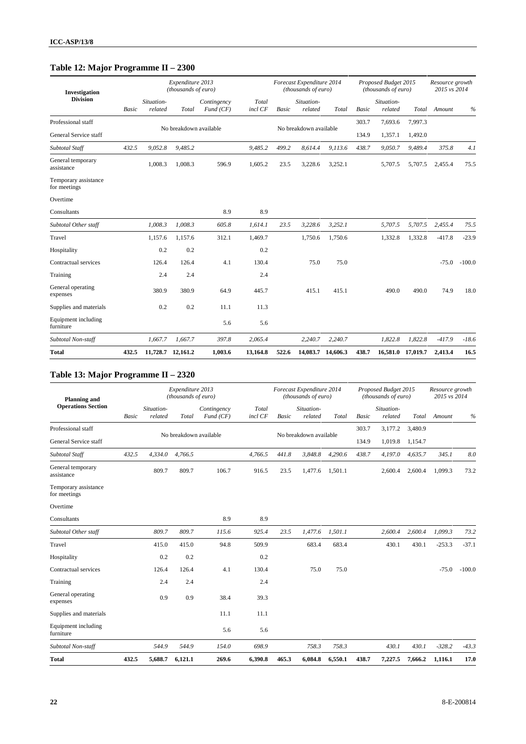### **Table 12: Major Programme II – 2300**

| Investigation                        |              |                       | Expenditure 2013<br>(thousands of euro) |                         |                  |              | Forecast Expenditure 2014<br>(thousands of euro) |          |              | Proposed Budget 2015<br>(thousands of euro) |                   | Resource growth<br>2015 vs 2014 |          |
|--------------------------------------|--------------|-----------------------|-----------------------------------------|-------------------------|------------------|--------------|--------------------------------------------------|----------|--------------|---------------------------------------------|-------------------|---------------------------------|----------|
| <b>Division</b>                      | <b>Basic</b> | Situation-<br>related | Total                                   | Contingency<br>Fund(CF) | Total<br>incl CF | <b>Basic</b> | Situation-<br>related                            | Total    | <b>Basic</b> | Situation-<br>related                       | Total             | Amount                          | $\%$     |
| Professional staff                   |              |                       |                                         |                         |                  |              |                                                  |          | 303.7        | 7,693.6                                     | 7,997.3           |                                 |          |
| General Service staff                |              |                       | No breakdown available                  |                         |                  |              | No breakdown available                           |          | 134.9        | 1,357.1                                     | 1,492.0           |                                 |          |
| Subtotal Staff                       | 432.5        | 9,052.8               | 9,485.2                                 |                         | 9,485.2          | 499.2        | 8,614.4                                          | 9,113.6  | 438.7        | 9,050.7                                     | 9,489.4           | 375.8                           | 4.1      |
| General temporary<br>assistance      |              | 1,008.3               | 1,008.3                                 | 596.9                   | 1,605.2          | 23.5         | 3,228.6                                          | 3,252.1  |              | 5,707.5                                     | 5,707.5           | 2,455.4                         | 75.5     |
| Temporary assistance<br>for meetings |              |                       |                                         |                         |                  |              |                                                  |          |              |                                             |                   |                                 |          |
| Overtime                             |              |                       |                                         |                         |                  |              |                                                  |          |              |                                             |                   |                                 |          |
| Consultants                          |              |                       |                                         | 8.9                     | 8.9              |              |                                                  |          |              |                                             |                   |                                 |          |
| Subtotal Other staff                 |              | 1,008.3               | 1.008.3                                 | 605.8                   | 1.614.1          | 23.5         | 3,228.6                                          | 3,252.1  |              | 5,707.5                                     | 5,707.5           | 2,455.4                         | 75.5     |
| Travel                               |              | 1,157.6               | 1,157.6                                 | 312.1                   | 1,469.7          |              | 1,750.6                                          | 1,750.6  |              | 1,332.8                                     | 1,332.8           | $-417.8$                        | $-23.9$  |
| Hospitality                          |              | 0.2                   | 0.2                                     |                         | 0.2              |              |                                                  |          |              |                                             |                   |                                 |          |
| Contractual services                 |              | 126.4                 | 126.4                                   | 4.1                     | 130.4            |              | 75.0                                             | 75.0     |              |                                             |                   | $-75.0$                         | $-100.0$ |
| Training                             |              | 2.4                   | 2.4                                     |                         | 2.4              |              |                                                  |          |              |                                             |                   |                                 |          |
| General operating<br>expenses        |              | 380.9                 | 380.9                                   | 64.9                    | 445.7            |              | 415.1                                            | 415.1    |              | 490.0                                       | 490.0             | 74.9                            | 18.0     |
| Supplies and materials               |              | 0.2                   | 0.2                                     | 11.1                    | 11.3             |              |                                                  |          |              |                                             |                   |                                 |          |
| Equipment including<br>furniture     |              |                       |                                         | 5.6                     | 5.6              |              |                                                  |          |              |                                             |                   |                                 |          |
| Subtotal Non-staff                   |              | 1,667.7               | 1,667.7                                 | 397.8                   | 2,065.4          |              | 2,240.7                                          | 2,240.7  |              | 1,822.8                                     | 1,822.8           | $-417.9$                        | $-18.6$  |
| <b>Total</b>                         | 432.5        | 11,728.7 12,161.2     |                                         | 1,003.6                 | 13,164.8         | 522.6        | 14,083.7                                         | 14,606.3 | 438.7        |                                             | 16,581.0 17,019.7 | 2,413.4                         | 16.5     |

# **Table 13: Major Programme II – 2320**

| <b>Planning and</b>                  |       |                       | Expenditure 2013<br>(thousands of euro) |                         |                  |              | Forecast Expenditure 2014<br>(thousands of euro) |         |              | Proposed Budget 2015<br>(thousands of euro) |         | Resource growth<br>2015 vs 2014 |          |
|--------------------------------------|-------|-----------------------|-----------------------------------------|-------------------------|------------------|--------------|--------------------------------------------------|---------|--------------|---------------------------------------------|---------|---------------------------------|----------|
| <b>Operations Section</b>            | Basic | Situation-<br>related | Total                                   | Contingency<br>Fund(CF) | Total<br>incl CF | <b>Basic</b> | Situation-<br>related                            | Total   | <b>Basic</b> | Situation-<br>related                       | Total   | Amount                          | $\%$     |
| Professional staff                   |       |                       |                                         |                         |                  |              |                                                  |         | 303.7        | 3,177.2                                     | 3,480.9 |                                 |          |
| General Service staff                |       |                       |                                         | No breakdown available  |                  |              | No breakdown available                           |         | 134.9        | 1,019.8                                     | 1,154.7 |                                 |          |
| Subtotal Staff                       | 432.5 | 4,334.0               | 4,766.5                                 |                         | 4,766.5          | 441.8        | 3,848.8                                          | 4,290.6 | 438.7        | 4,197.0                                     | 4,635.7 | 345.1                           | 8.0      |
| General temporary<br>assistance      |       | 809.7                 | 809.7                                   | 106.7                   | 916.5            | 23.5         | 1,477.6                                          | 1,501.1 |              | 2,600.4                                     | 2,600.4 | 1,099.3                         | 73.2     |
| Temporary assistance<br>for meetings |       |                       |                                         |                         |                  |              |                                                  |         |              |                                             |         |                                 |          |
| Overtime                             |       |                       |                                         |                         |                  |              |                                                  |         |              |                                             |         |                                 |          |
| Consultants                          |       |                       |                                         | 8.9                     | 8.9              |              |                                                  |         |              |                                             |         |                                 |          |
| Subtotal Other staff                 |       | 809.7                 | 809.7                                   | 115.6                   | 925.4            | 23.5         | 1,477.6                                          | 1,501.1 |              | 2,600.4                                     | 2,600.4 | 1,099.3                         | 73.2     |
| Travel                               |       | 415.0                 | 415.0                                   | 94.8                    | 509.9            |              | 683.4                                            | 683.4   |              | 430.1                                       | 430.1   | $-253.3$                        | $-37.1$  |
| Hospitality                          |       | 0.2                   | 0.2                                     |                         | 0.2              |              |                                                  |         |              |                                             |         |                                 |          |
| Contractual services                 |       | 126.4                 | 126.4                                   | 4.1                     | 130.4            |              | 75.0                                             | 75.0    |              |                                             |         | $-75.0$                         | $-100.0$ |
| Training                             |       | 2.4                   | 2.4                                     |                         | 2.4              |              |                                                  |         |              |                                             |         |                                 |          |
| General operating<br>expenses        |       | 0.9                   | 0.9                                     | 38.4                    | 39.3             |              |                                                  |         |              |                                             |         |                                 |          |
| Supplies and materials               |       |                       |                                         | 11.1                    | 11.1             |              |                                                  |         |              |                                             |         |                                 |          |
| Equipment including<br>furniture     |       |                       |                                         | 5.6                     | 5.6              |              |                                                  |         |              |                                             |         |                                 |          |
| Subtotal Non-staff                   |       | 544.9                 | 544.9                                   | 154.0                   | 698.9            |              | 758.3                                            | 758.3   |              | 430.1                                       | 430.1   | $-328.2$                        | $-43.3$  |
| <b>Total</b>                         | 432.5 | 5,688.7               | 6,121.1                                 | 269.6                   | 6,390.8          | 465.3        | 6,084.8                                          | 6,550.1 | 438.7        | 7,227.5                                     | 7,666.2 | 1,116.1                         | 17.0     |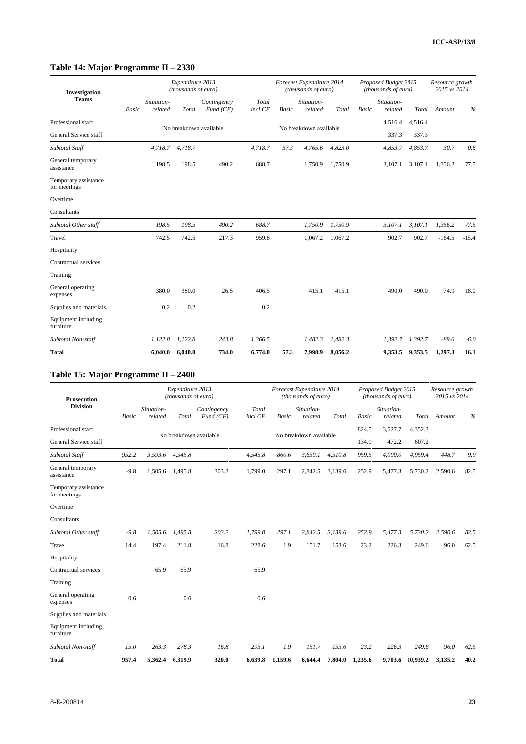## **Table 14: Major Programme II – 2330**

| Investigation                        |              |                       | Expenditure 2013<br>(thousands of euro) |                         |                  |              | Forecast Expenditure 2014<br>(thousands of euro) |         |              | Proposed Budget 2015<br>(thousands of euro) |         | Resource growth<br>2015 vs 2014 |         |
|--------------------------------------|--------------|-----------------------|-----------------------------------------|-------------------------|------------------|--------------|--------------------------------------------------|---------|--------------|---------------------------------------------|---------|---------------------------------|---------|
| <b>Teams</b>                         | <b>Basic</b> | Situation-<br>related | Total                                   | Contingency<br>Fund(CF) | Total<br>incl CF | <b>Basic</b> | Situation-<br>related                            | Total   | <b>Basic</b> | Situation-<br>related                       | Total   | Amount                          | $\%$    |
| Professional staff                   |              |                       |                                         |                         |                  |              |                                                  |         |              | 4,516.4                                     | 4,516.4 |                                 |         |
| General Service staff                |              |                       | No breakdown available                  |                         |                  |              | No breakdown available                           |         |              | 337.3                                       | 337.3   |                                 |         |
| Subtotal Staff                       |              | 4,718.7               | 4,718.7                                 |                         | 4,718.7          | 57.3         | 4,765.6                                          | 4,823.0 |              | 4,853.7                                     | 4,853.7 | 30.7                            | 0.6     |
| General temporary<br>assistance      |              | 198.5                 | 198.5                                   | 490.2                   | 688.7            |              | 1,750.9                                          | 1,750.9 |              | 3,107.1                                     | 3,107.1 | 1,356.2                         | 77.5    |
| Temporary assistance<br>for meetings |              |                       |                                         |                         |                  |              |                                                  |         |              |                                             |         |                                 |         |
| Overtime                             |              |                       |                                         |                         |                  |              |                                                  |         |              |                                             |         |                                 |         |
| Consultants                          |              |                       |                                         |                         |                  |              |                                                  |         |              |                                             |         |                                 |         |
| Subtotal Other staff                 |              | 198.5                 | 198.5                                   | 490.2                   | 688.7            |              | 1,750.9                                          | 1,750.9 |              | 3,107.1                                     | 3,107.1 | 1,356.2                         | 77.5    |
| Travel                               |              | 742.5                 | 742.5                                   | 217.3                   | 959.8            |              | 1,067.2                                          | 1,067.2 |              | 902.7                                       | 902.7   | $-164.5$                        | $-15.4$ |
| Hospitality                          |              |                       |                                         |                         |                  |              |                                                  |         |              |                                             |         |                                 |         |
| Contractual services                 |              |                       |                                         |                         |                  |              |                                                  |         |              |                                             |         |                                 |         |
| Training                             |              |                       |                                         |                         |                  |              |                                                  |         |              |                                             |         |                                 |         |
| General operating<br>expenses        |              | 380.0                 | 380.0                                   | 26.5                    | 406.5            |              | 415.1                                            | 415.1   |              | 490.0                                       | 490.0   | 74.9                            | 18.0    |
| Supplies and materials               |              | 0.2                   | 0.2                                     |                         | 0.2              |              |                                                  |         |              |                                             |         |                                 |         |
| Equipment including<br>furniture     |              |                       |                                         |                         |                  |              |                                                  |         |              |                                             |         |                                 |         |
| Subtotal Non-staff                   |              | 1,122.8               | 1,122.8                                 | 243.8                   | 1,366.5          |              | 1,482.3                                          | 1,482.3 |              | 1,392.7                                     | 1,392.7 | $-89.6$                         | $-6.0$  |
| <b>Total</b>                         |              | 6,040.0               | 6,040.0                                 | 734.0                   | 6,774.0          | 57.3         | 7,998.9                                          | 8,056.2 |              | 9,353.5                                     | 9,353.5 | 1,297.3                         | 16.1    |

## **Table 15: Major Programme II – 2400**

| <b>Prosecution</b>                   |              |                       | Expenditure 2013<br>(thousands of euro) |                         |                  |              | Forecast Expenditure 2014<br>(thousands of euro) |         |              | Proposed Budget 2015<br>(thousands of euro) |                  | Resource growth<br>2015 vs 2014 |      |
|--------------------------------------|--------------|-----------------------|-----------------------------------------|-------------------------|------------------|--------------|--------------------------------------------------|---------|--------------|---------------------------------------------|------------------|---------------------------------|------|
| <b>Division</b>                      | <b>Basic</b> | Situation-<br>related | Total                                   | Contingency<br>Fund(CF) | Total<br>incl CF | <b>Basic</b> | Situation-<br>related                            | Total   | <b>Basic</b> | Situation-<br>related                       | Total            | Amount                          | $\%$ |
| Professional staff                   |              |                       |                                         |                         |                  |              |                                                  |         | 824.5        | 3,527.7                                     | 4,352.3          |                                 |      |
| General Service staff                |              |                       | No breakdown available                  |                         |                  |              | No breakdown available                           |         | 134.9        | 472.2                                       | 607.2            |                                 |      |
| Subtotal Staff                       | 952.2        | 3,593.6               | 4,545.8                                 |                         | 4,545.8          | 860.6        | 3,650.1                                          | 4,510.8 | 959.5        | 4,000.0                                     | 4,959.4          | 448.7                           | 9.9  |
| General temporary<br>assistance      | $-9.8$       | 1,505.6               | 1,495.8                                 | 303.2                   | 1,799.0          | 297.1        | 2,842.5                                          | 3,139.6 | 252.9        | 5,477.3                                     | 5,730.2          | 2,590.6                         | 82.5 |
| Temporary assistance<br>for meetings |              |                       |                                         |                         |                  |              |                                                  |         |              |                                             |                  |                                 |      |
| Overtime                             |              |                       |                                         |                         |                  |              |                                                  |         |              |                                             |                  |                                 |      |
| Consultants                          |              |                       |                                         |                         |                  |              |                                                  |         |              |                                             |                  |                                 |      |
| Subtotal Other staff                 | $-9.8$       | 1,505.6               | 1,495.8                                 | 303.2                   | 1,799.0          | 297.1        | 2,842.5                                          | 3,139.6 | 252.9        | 5,477.3                                     | 5,730.2          | 2,590.6                         | 82.5 |
| Travel                               | 14.4         | 197.4                 | 211.8                                   | 16.8                    | 228.6            | 1.9          | 151.7                                            | 153.6   | 23.2         | 226.3                                       | 249.6            | 96.0                            | 62.5 |
| Hospitality                          |              |                       |                                         |                         |                  |              |                                                  |         |              |                                             |                  |                                 |      |
| Contractual services                 |              | 65.9                  | 65.9                                    |                         | 65.9             |              |                                                  |         |              |                                             |                  |                                 |      |
| Training                             |              |                       |                                         |                         |                  |              |                                                  |         |              |                                             |                  |                                 |      |
| General operating<br>expenses        | 0.6          |                       | 0.6                                     |                         | 0.6              |              |                                                  |         |              |                                             |                  |                                 |      |
| Supplies and materials               |              |                       |                                         |                         |                  |              |                                                  |         |              |                                             |                  |                                 |      |
| Equipment including<br>furniture     |              |                       |                                         |                         |                  |              |                                                  |         |              |                                             |                  |                                 |      |
| Subtotal Non-staff                   | 15.0         | 263.3                 | 278.3                                   | 16.8                    | 295.1            | 1.9          | 151.7                                            | 153.6   | 23.2         | 226.3                                       | 249.6            | 96.0                            | 62.5 |
| <b>Total</b>                         | 957.4        | 5,362.4               | 6,319.9                                 | 320.0                   | 6,639.8          | 1,159.6      | 6,644.4                                          | 7,804.0 | 1,235.6      |                                             | 9,703.6 10,939.2 | 3,135.2                         | 40.2 |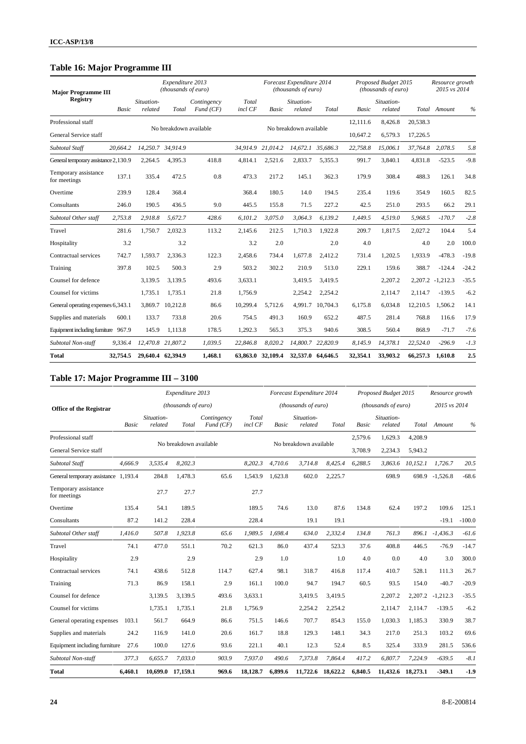## **Table 16: Major Programme III**

| <b>Major Programme III</b>            |          |                       | Expenditure 2013<br>(thousands of euro) |                         |                  |                   | Forecast Expenditure 2014<br>(thousands of euro) |                   |          | Proposed Budget 2015<br>(thousands of euro) |          | Resource growth<br>2015 vs 2014 |         |
|---------------------------------------|----------|-----------------------|-----------------------------------------|-------------------------|------------------|-------------------|--------------------------------------------------|-------------------|----------|---------------------------------------------|----------|---------------------------------|---------|
| <b>Registry</b>                       | Basic    | Situation-<br>related | Total                                   | Contingency<br>Fund(CF) | Total<br>incl CF | Basic             | Situation-<br>related                            | Total             | Basic    | Situation-<br>related                       |          | Total Amount                    | $\%$    |
| Professional staff                    |          |                       |                                         |                         |                  |                   |                                                  |                   | 12,111.6 | 8,426.8                                     | 20,538.3 |                                 |         |
| General Service staff                 |          |                       | No breakdown available                  |                         |                  |                   | No breakdown available                           |                   | 10,647.2 | 6,579.3                                     | 17,226.5 |                                 |         |
| Subtotal Staff                        | 20,664.2 |                       | 14,250.7 34,914.9                       |                         | 34,914.9         | 21,014.2          |                                                  | 14,672.1 35,686.3 | 22,758.8 | 15,006.1                                    | 37,764.8 | 2,078.5                         | 5.8     |
| General temporary assistance 2, 130.9 |          | 2,264.5               | 4,395.3                                 | 418.8                   | 4,814.1          | 2,521.6           | 2,833.7                                          | 5,355.3           | 991.7    | 3,840.1                                     | 4,831.8  | $-523.5$                        | $-9.8$  |
| Temporary assistance<br>for meetings  | 137.1    | 335.4                 | 472.5                                   | 0.8                     | 473.3            | 217.2             | 145.1                                            | 362.3             | 179.9    | 308.4                                       | 488.3    | 126.1                           | 34.8    |
| Overtime                              | 239.9    | 128.4                 | 368.4                                   |                         | 368.4            | 180.5             | 14.0                                             | 194.5             | 235.4    | 119.6                                       | 354.9    | 160.5                           | 82.5    |
| Consultants                           | 246.0    | 190.5                 | 436.5                                   | 9.0                     | 445.5            | 155.8             | 71.5                                             | 227.2             | 42.5     | 251.0                                       | 293.5    | 66.2                            | 29.1    |
| Subtotal Other staff                  | 2,753.8  | 2,918.8               | 5,672.7                                 | 428.6                   | 6,101.2          | 3,075.0           | 3,064.3                                          | 6,139.2           | 1,449.5  | 4,519.0                                     | 5,968.5  | $-170.7$                        | $-2.8$  |
| Travel                                | 281.6    | 1,750.7               | 2,032.3                                 | 113.2                   | 2,145.6          | 212.5             | 1,710.3                                          | 1,922.8           | 209.7    | 1,817.5                                     | 2,027.2  | 104.4                           | 5.4     |
| Hospitality                           | 3.2      |                       | 3.2                                     |                         | 3.2              | 2.0               |                                                  | 2.0               | 4.0      |                                             | 4.0      | 2.0                             | 100.0   |
| Contractual services                  | 742.7    | 1.593.7               | 2.336.3                                 | 122.3                   | 2.458.6          | 734.4             | 1.677.8                                          | 2.412.2           | 731.4    | 1.202.5                                     | 1.933.9  | $-478.3$                        | $-19.8$ |
| Training                              | 397.8    | 102.5                 | 500.3                                   | 2.9                     | 503.2            | 302.2             | 210.9                                            | 513.0             | 229.1    | 159.6                                       | 388.7    | $-124.4$                        | $-24.2$ |
| Counsel for defence                   |          | 3,139.5               | 3,139.5                                 | 493.6                   | 3,633.1          |                   | 3,419.5                                          | 3,419.5           |          | 2,207.2                                     | 2,207.2  | $-1,212.3$                      | $-35.5$ |
| Counsel for victims                   |          | 1.735.1               | 1.735.1                                 | 21.8                    | 1,756.9          |                   | 2,254.2                                          | 2.254.2           |          | 2,114.7                                     | 2.114.7  | $-139.5$                        | $-6.2$  |
| General operating expenses 6,343.1    |          | 3,869.7               | 10,212.8                                | 86.6                    | 10,299.4         | 5,712.6           | 4,991.7                                          | 10,704.3          | 6,175.8  | 6,034.8                                     | 12,210.5 | 1,506.2                         | 14.1    |
| Supplies and materials                | 600.1    | 133.7                 | 733.8                                   | 20.6                    | 754.5            | 491.3             | 160.9                                            | 652.2             | 487.5    | 281.4                                       | 768.8    | 116.6                           | 17.9    |
| Equipment including furniture 967.9   |          | 145.9                 | 1.113.8                                 | 178.5                   | 1,292.3          | 565.3             | 375.3                                            | 940.6             | 308.5    | 560.4                                       | 868.9    | $-71.7$                         | $-7.6$  |
| Subtotal Non-staff                    | 9,336.4  |                       | 12,470.8 21,807.2                       | 1,039.5                 | 22,846.8         | 8,020.2           |                                                  | 14,800.7 22,820.9 | 8,145.9  | 14,378.1                                    | 22,524.0 | $-296.9$                        | $-1.3$  |
| <b>Total</b>                          | 32,754.5 | 29,640.4 62,394.9     |                                         | 1,468.1                 |                  | 63,863.0 32,109.4 |                                                  | 32,537.0 64,646.5 | 32,354.1 | 33,903.2                                    | 66,257.3 | 1,610.8                         | 2.5     |

## **Table 17: Major Programme III – 3100**

|                                      |         |                       | Expenditure 2013       |                         |                  |              | Forecast Expenditure 2014 |                   |              | Proposed Budget 2015  |                   | Resource growth |          |
|--------------------------------------|---------|-----------------------|------------------------|-------------------------|------------------|--------------|---------------------------|-------------------|--------------|-----------------------|-------------------|-----------------|----------|
| <b>Office of the Registrar</b>       |         |                       | (thousands of euro)    |                         |                  |              | (thousands of euro)       |                   |              | (thousands of euro)   |                   | 2015 vs 2014    |          |
|                                      | Basic   | Situation-<br>related | Total                  | Contingency<br>Fund(CF) | Total<br>incl CF | <b>Basic</b> | Situation-<br>related     | Total             | <b>Basic</b> | Situation-<br>related | Total             | Amount          | $\%$     |
| Professional staff                   |         |                       |                        |                         |                  |              |                           |                   | 2,579.6      | 1,629.3               | 4,208.9           |                 |          |
| General Service staff                |         |                       | No breakdown available |                         |                  |              | No breakdown available    |                   | 3,708.9      | 2,234.3               | 5,943.2           |                 |          |
| Subtotal Staff                       | 4,666.9 | 3,535.4               | 8,202.3                |                         | 8,202.3          | 4,710.6      | 3,714.8                   | 8,425.4           | 6,288.5      | 3,863.6               | 10, 152.1         | 1,726.7         | 20.5     |
| General temporary assistance 1,193.4 |         | 284.8                 | 1,478.3                | 65.6                    | 1,543.9          | 1,623.8      | 602.0                     | 2,225.7           |              | 698.9                 |                   | 698.9 -1,526.8  | $-68.6$  |
| Temporary assistance<br>for meetings |         | 27.7                  | 27.7                   |                         | 27.7             |              |                           |                   |              |                       |                   |                 |          |
| Overtime                             | 135.4   | 54.1                  | 189.5                  |                         | 189.5            | 74.6         | 13.0                      | 87.6              | 134.8        | 62.4                  | 197.2             | 109.6           | 125.1    |
| Consultants                          | 87.2    | 141.2                 | 228.4                  |                         | 228.4            |              | 19.1                      | 19.1              |              |                       |                   | $-19.1$         | $-100.0$ |
| Subtotal Other staff                 | 1,416.0 | 507.8                 | 1,923.8                | 65.6                    | 1,989.5          | 1,698.4      | 634.0                     | 2,332.4           | 134.8        | 761.3                 | 896.1             | $-1,436.3$      | $-61.6$  |
| Travel                               | 74.1    | 477.0                 | 551.1                  | 70.2                    | 621.3            | 86.0         | 437.4                     | 523.3             | 37.6         | 408.8                 | 446.5             | $-76.9$         | $-14.7$  |
| Hospitality                          | 2.9     |                       | 2.9                    |                         | 2.9              | 1.0          |                           | 1.0               | 4.0          | 0.0                   | 4.0               | 3.0             | 300.0    |
| Contractual services                 | 74.1    | 438.6                 | 512.8                  | 114.7                   | 627.4            | 98.1         | 318.7                     | 416.8             | 117.4        | 410.7                 | 528.1             | 111.3           | 26.7     |
| Training                             | 71.3    | 86.9                  | 158.1                  | 2.9                     | 161.1            | 100.0        | 94.7                      | 194.7             | 60.5         | 93.5                  | 154.0             | $-40.7$         | $-20.9$  |
| Counsel for defence                  |         | 3,139.5               | 3,139.5                | 493.6                   | 3,633.1          |              | 3,419.5                   | 3,419.5           |              | 2,207.2               | 2,207.2           | $-1,212.3$      | $-35.5$  |
| Counsel for victims                  |         | 1,735.1               | 1,735.1                | 21.8                    | 1,756.9          |              | 2,254.2                   | 2,254.2           |              | 2,114.7               | 2,114.7           | $-139.5$        | $-6.2$   |
| General operating expenses           | 103.1   | 561.7                 | 664.9                  | 86.6                    | 751.5            | 146.6        | 707.7                     | 854.3             | 155.0        | 1,030.3               | 1,185.3           | 330.9           | 38.7     |
| Supplies and materials               | 24.2    | 116.9                 | 141.0                  | 20.6                    | 161.7            | 18.8         | 129.3                     | 148.1             | 34.3         | 217.0                 | 251.3             | 103.2           | 69.6     |
| Equipment including furniture        | 27.6    | 100.0                 | 127.6                  | 93.6                    | 221.1            | 40.1         | 12.3                      | 52.4              | 8.5          | 325.4                 | 333.9             | 281.5           | 536.6    |
| Subtotal Non-staff                   | 377.3   | 6,655.7               | 7,033.0                | 903.9                   | 7,937.0          | 490.6        | 7,373.8                   | 7,864.4           | 417.2        | 6,807.7               | 7,224.9           | $-639.5$        | $-8.1$   |
| <b>Total</b>                         | 6,460.1 |                       | 10,699.0 17,159.1      | 969.6                   | 18,128.7         | 6.899.6      |                           | 11,722.6 18,622.2 | 6,840.5      |                       | 11,432.6 18,273.1 | $-349.1$        | $-1.9$   |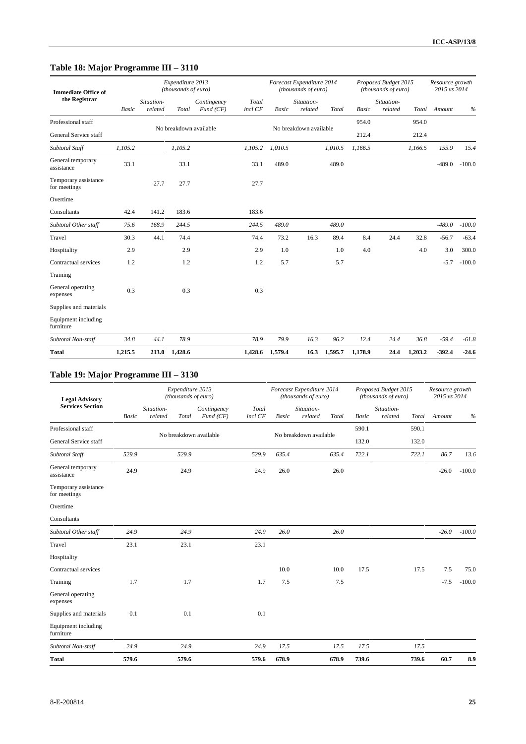## **Table 18: Major Programme III – 3110**

| <b>Immediate Office of</b>           |         |                       | Expenditure 2013<br>(thousands of euro) |                         |                  |         | Forecast Expenditure 2014<br>(thousands of euro) |         |         | Proposed Budget 2015<br>(thousands of euro) |         | Resource growth<br>2015 vs 2014 |          |
|--------------------------------------|---------|-----------------------|-----------------------------------------|-------------------------|------------------|---------|--------------------------------------------------|---------|---------|---------------------------------------------|---------|---------------------------------|----------|
| the Registrar                        | Basic   | Situation-<br>related | Total                                   | Contingency<br>Fund(CF) | Total<br>incl CF | Basic   | Situation-<br>related                            | Total   | Basic   | Situation-<br>related                       | Total   | Amount                          | $\%$     |
| Professional staff                   |         |                       |                                         |                         |                  |         |                                                  |         | 954.0   |                                             | 954.0   |                                 |          |
| General Service staff                |         |                       | No breakdown available                  |                         |                  |         | No breakdown available                           |         | 212.4   |                                             | 212.4   |                                 |          |
| Subtotal Staff                       | 1,105.2 |                       | 1,105.2                                 |                         | 1,105.2          | 1,010.5 |                                                  | 1,010.5 | 1,166.5 |                                             | 1,166.5 | 155.9                           | 15.4     |
| General temporary<br>assistance      | 33.1    |                       | 33.1                                    |                         | 33.1             | 489.0   |                                                  | 489.0   |         |                                             |         | $-489.0$                        | $-100.0$ |
| Temporary assistance<br>for meetings |         | 27.7                  | 27.7                                    |                         | 27.7             |         |                                                  |         |         |                                             |         |                                 |          |
| Overtime                             |         |                       |                                         |                         |                  |         |                                                  |         |         |                                             |         |                                 |          |
| Consultants                          | 42.4    | 141.2                 | 183.6                                   |                         | 183.6            |         |                                                  |         |         |                                             |         |                                 |          |
| Subtotal Other staff                 | 75.6    | 168.9                 | 244.5                                   |                         | 244.5            | 489.0   |                                                  | 489.0   |         |                                             |         | $-489.0$                        | $-100.0$ |
| Travel                               | 30.3    | 44.1                  | 74.4                                    |                         | 74.4             | 73.2    | 16.3                                             | 89.4    | 8.4     | 24.4                                        | 32.8    | $-56.7$                         | $-63.4$  |
| Hospitality                          | 2.9     |                       | 2.9                                     |                         | 2.9              | 1.0     |                                                  | 1.0     | 4.0     |                                             | 4.0     | 3.0                             | 300.0    |
| Contractual services                 | 1.2     |                       | 1.2                                     |                         | 1.2              | 5.7     |                                                  | 5.7     |         |                                             |         | $-5.7$                          | $-100.0$ |
| Training                             |         |                       |                                         |                         |                  |         |                                                  |         |         |                                             |         |                                 |          |
| General operating<br>expenses        | 0.3     |                       | 0.3                                     |                         | 0.3              |         |                                                  |         |         |                                             |         |                                 |          |
| Supplies and materials               |         |                       |                                         |                         |                  |         |                                                  |         |         |                                             |         |                                 |          |
| Equipment including<br>furniture     |         |                       |                                         |                         |                  |         |                                                  |         |         |                                             |         |                                 |          |
| Subtotal Non-staff                   | 34.8    | 44.1                  | 78.9                                    |                         | 78.9             | 79.9    | 16.3                                             | 96.2    | 12.4    | 24.4                                        | 36.8    | $-59.4$                         | $-61.8$  |
| <b>Total</b>                         | 1,215.5 | 213.0                 | 1,428.6                                 |                         | 1,428.6          | 1,579.4 | 16.3                                             | 1,595.7 | 1,178.9 | 24.4                                        | 1,203.2 | $-392.4$                        | $-24.6$  |

## **Table 19: Major Programme III – 3130**

| <b>Legal Advisory</b>                |              |                       | Expenditure 2013<br>(thousands of euro) |                         |                  |              | Forecast Expenditure 2014<br>(thousands of euro) |       |       | Proposed Budget 2015<br>(thousands of euro) |       | Resource growth<br>2015 vs 2014 |          |
|--------------------------------------|--------------|-----------------------|-----------------------------------------|-------------------------|------------------|--------------|--------------------------------------------------|-------|-------|---------------------------------------------|-------|---------------------------------|----------|
| <b>Services Section</b>              | <b>Basic</b> | Situation-<br>related | Total                                   | Contingency<br>Fund(CF) | Total<br>incl CF | <b>Basic</b> | Situation-<br>related                            | Total | Basic | Situation-<br>related                       | Total | Amount                          | $\%$     |
| Professional staff                   |              |                       |                                         |                         |                  |              |                                                  |       | 590.1 |                                             | 590.1 |                                 |          |
| General Service staff                |              |                       |                                         | No breakdown available  |                  |              | No breakdown available                           |       | 132.0 |                                             | 132.0 |                                 |          |
| Subtotal Staff                       | 529.9        |                       | 529.9                                   |                         | 529.9            | 635.4        |                                                  | 635.4 | 722.1 |                                             | 722.1 | 86.7                            | 13.6     |
| General temporary<br>assistance      | 24.9         |                       | 24.9                                    |                         | 24.9             | 26.0         |                                                  | 26.0  |       |                                             |       | $-26.0$                         | $-100.0$ |
| Temporary assistance<br>for meetings |              |                       |                                         |                         |                  |              |                                                  |       |       |                                             |       |                                 |          |
| Overtime                             |              |                       |                                         |                         |                  |              |                                                  |       |       |                                             |       |                                 |          |
| Consultants                          |              |                       |                                         |                         |                  |              |                                                  |       |       |                                             |       |                                 |          |
| Subtotal Other staff                 | 24.9         |                       | 24.9                                    |                         | 24.9             | 26.0         |                                                  | 26.0  |       |                                             |       | $-26.0$                         | $-100.0$ |
| Travel                               | 23.1         |                       | 23.1                                    |                         | 23.1             |              |                                                  |       |       |                                             |       |                                 |          |
| Hospitality                          |              |                       |                                         |                         |                  |              |                                                  |       |       |                                             |       |                                 |          |
| Contractual services                 |              |                       |                                         |                         |                  | 10.0         |                                                  | 10.0  | 17.5  |                                             | 17.5  | 7.5                             | 75.0     |
| Training                             | 1.7          |                       | 1.7                                     |                         | 1.7              | 7.5          |                                                  | 7.5   |       |                                             |       | $-7.5$                          | $-100.0$ |
| General operating<br>expenses        |              |                       |                                         |                         |                  |              |                                                  |       |       |                                             |       |                                 |          |
| Supplies and materials               | 0.1          |                       | 0.1                                     |                         | 0.1              |              |                                                  |       |       |                                             |       |                                 |          |
| Equipment including<br>furniture     |              |                       |                                         |                         |                  |              |                                                  |       |       |                                             |       |                                 |          |
| Subtotal Non-staff                   | 24.9         |                       | 24.9                                    |                         | 24.9             | 17.5         |                                                  | 17.5  | 17.5  |                                             | 17.5  |                                 |          |
| <b>Total</b>                         | 579.6        |                       | 579.6                                   |                         | 579.6            | 678.9        |                                                  | 678.9 | 739.6 |                                             | 739.6 | 60.7                            | 8.9      |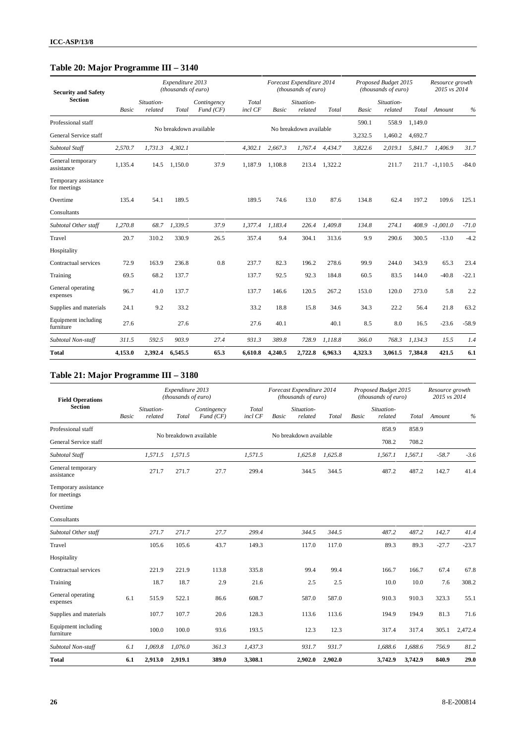## **Table 20: Major Programme III – 3140**

| <b>Security and Safety</b>           |         |                       | Expenditure 2013<br>(thousands of euro) |                         |                  |              | Forecast Expenditure 2014<br>(thousands of euro) |         |              | Proposed Budget 2015<br>(thousands of euro) |         | Resource growth<br>2015 vs 2014 |         |
|--------------------------------------|---------|-----------------------|-----------------------------------------|-------------------------|------------------|--------------|--------------------------------------------------|---------|--------------|---------------------------------------------|---------|---------------------------------|---------|
| <b>Section</b>                       | Basic   | Situation-<br>related | Total                                   | Contingency<br>Fund(CF) | Total<br>incl CF | <b>Basic</b> | Situation-<br>related                            | Total   | <b>Basic</b> | Situation-<br>related                       | Total   | Amount                          | $\%$    |
| Professional staff                   |         |                       |                                         |                         |                  |              |                                                  |         | 590.1        | 558.9                                       | 1,149.0 |                                 |         |
| General Service staff                |         |                       | No breakdown available                  |                         |                  |              | No breakdown available                           |         | 3,232.5      | 1,460.2                                     | 4,692.7 |                                 |         |
| Subtotal Staff                       | 2,570.7 | 1,731.3               | 4,302.1                                 |                         | 4,302.1          | 2,667.3      | 1.767.4                                          | 4,434.7 | 3,822.6      | 2,019.1                                     | 5,841.7 | 1,406.9                         | 31.7    |
| General temporary<br>assistance      | 1,135.4 | 14.5                  | 1.150.0                                 | 37.9                    | 1,187.9          | 1,108.8      | 213.4                                            | 1,322.2 |              | 211.7                                       |         | 211.7 -1,110.5                  | $-84.0$ |
| Temporary assistance<br>for meetings |         |                       |                                         |                         |                  |              |                                                  |         |              |                                             |         |                                 |         |
| Overtime                             | 135.4   | 54.1                  | 189.5                                   |                         | 189.5            | 74.6         | 13.0                                             | 87.6    | 134.8        | 62.4                                        | 197.2   | 109.6                           | 125.1   |
| Consultants                          |         |                       |                                         |                         |                  |              |                                                  |         |              |                                             |         |                                 |         |
| Subtotal Other staff                 | 1.270.8 | 68.7                  | 1,339.5                                 | 37.9                    | 1,377.4          | 1,183.4      | 226.4                                            | 1.409.8 | 134.8        | 274.1                                       | 408.9   | $-1,001.0$                      | $-71.0$ |
| Travel                               | 20.7    | 310.2                 | 330.9                                   | 26.5                    | 357.4            | 9.4          | 304.1                                            | 313.6   | 9.9          | 290.6                                       | 300.5   | $-13.0$                         | $-4.2$  |
| Hospitality                          |         |                       |                                         |                         |                  |              |                                                  |         |              |                                             |         |                                 |         |
| Contractual services                 | 72.9    | 163.9                 | 236.8                                   | 0.8                     | 237.7            | 82.3         | 196.2                                            | 278.6   | 99.9         | 244.0                                       | 343.9   | 65.3                            | 23.4    |
| Training                             | 69.5    | 68.2                  | 137.7                                   |                         | 137.7            | 92.5         | 92.3                                             | 184.8   | 60.5         | 83.5                                        | 144.0   | $-40.8$                         | $-22.1$ |
| General operating<br>expenses        | 96.7    | 41.0                  | 137.7                                   |                         | 137.7            | 146.6        | 120.5                                            | 267.2   | 153.0        | 120.0                                       | 273.0   | 5.8                             | 2.2     |
| Supplies and materials               | 24.1    | 9.2                   | 33.2                                    |                         | 33.2             | 18.8         | 15.8                                             | 34.6    | 34.3         | 22.2                                        | 56.4    | 21.8                            | 63.2    |
| Equipment including<br>furniture     | 27.6    |                       | 27.6                                    |                         | 27.6             | 40.1         |                                                  | 40.1    | 8.5          | 8.0                                         | 16.5    | $-23.6$                         | $-58.9$ |
| Subtotal Non-staff                   | 311.5   | 592.5                 | 903.9                                   | 27.4                    | 931.3            | 389.8        | 728.9                                            | 1,118.8 | 366.0        | 768.3                                       | 1,134.3 | 15.5                            | 1.4     |
| <b>Total</b>                         | 4.153.0 | 2,392.4               | 6,545.5                                 | 65.3                    | 6,610.8          | 4,240.5      | 2,722.8                                          | 6,963.3 | 4,323.3      | 3,061.5                                     | 7,384.8 | 421.5                           | 6.1     |

## **Table 21: Major Programme III – 3180**

| <b>Field Operations</b>              |       |                       | Expenditure 2013<br>(thousands of euro) |                         |                  |       | Forecast Expenditure 2014<br>(thousands of euro) |         |              | Proposed Budget 2015<br>(thousands of euro) |         | Resource growth<br>2015 vs 2014 |         |
|--------------------------------------|-------|-----------------------|-----------------------------------------|-------------------------|------------------|-------|--------------------------------------------------|---------|--------------|---------------------------------------------|---------|---------------------------------|---------|
| <b>Section</b>                       | Basic | Situation-<br>related | Total                                   | Contingency<br>Fund(CF) | Total<br>incl CF | Basic | Situation-<br>related                            | Total   | <b>Basic</b> | Situation-<br>related                       | Total   | Amount                          | $\%$    |
| Professional staff                   |       |                       |                                         |                         |                  |       |                                                  |         |              | 858.9                                       | 858.9   |                                 |         |
| General Service staff                |       |                       | No breakdown available                  |                         |                  |       | No breakdown available                           |         |              | 708.2                                       | 708.2   |                                 |         |
| Subtotal Staff                       |       | 1,571.5               | 1,571.5                                 |                         | 1,571.5          |       | 1,625.8                                          | 1,625.8 |              | 1,567.1                                     | 1,567.1 | $-58.7$                         | $-3.6$  |
| General temporary<br>assistance      |       | 271.7                 | 271.7                                   | 27.7                    | 299.4            |       | 344.5                                            | 344.5   |              | 487.2                                       | 487.2   | 142.7                           | 41.4    |
| Temporary assistance<br>for meetings |       |                       |                                         |                         |                  |       |                                                  |         |              |                                             |         |                                 |         |
| Overtime                             |       |                       |                                         |                         |                  |       |                                                  |         |              |                                             |         |                                 |         |
| Consultants                          |       |                       |                                         |                         |                  |       |                                                  |         |              |                                             |         |                                 |         |
| Subtotal Other staff                 |       | 271.7                 | 271.7                                   | 27.7                    | 299.4            |       | 344.5                                            | 344.5   |              | 487.2                                       | 487.2   | 142.7                           | 41.4    |
| Travel                               |       | 105.6                 | 105.6                                   | 43.7                    | 149.3            |       | 117.0                                            | 117.0   |              | 89.3                                        | 89.3    | $-27.7$                         | $-23.7$ |
| Hospitality                          |       |                       |                                         |                         |                  |       |                                                  |         |              |                                             |         |                                 |         |
| Contractual services                 |       | 221.9                 | 221.9                                   | 113.8                   | 335.8            |       | 99.4                                             | 99.4    |              | 166.7                                       | 166.7   | 67.4                            | 67.8    |
| Training                             |       | 18.7                  | 18.7                                    | 2.9                     | 21.6             |       | 2.5                                              | 2.5     |              | 10.0                                        | 10.0    | 7.6                             | 308.2   |
| General operating<br>expenses        | 6.1   | 515.9                 | 522.1                                   | 86.6                    | 608.7            |       | 587.0                                            | 587.0   |              | 910.3                                       | 910.3   | 323.3                           | 55.1    |
| Supplies and materials               |       | 107.7                 | 107.7                                   | 20.6                    | 128.3            |       | 113.6                                            | 113.6   |              | 194.9                                       | 194.9   | 81.3                            | 71.6    |
| Equipment including<br>furniture     |       | 100.0                 | 100.0                                   | 93.6                    | 193.5            |       | 12.3                                             | 12.3    |              | 317.4                                       | 317.4   | 305.1                           | 2,472.4 |
| Subtotal Non-staff                   | 6.1   | 1,069.8               | 1,076.0                                 | 361.3                   | 1,437.3          |       | 931.7                                            | 931.7   |              | 1,688.6                                     | 1,688.6 | 756.9                           | 81.2    |
| <b>Total</b>                         | 6.1   | 2,913.0               | 2,919.1                                 | 389.0                   | 3,308.1          |       | 2,902.0                                          | 2.902.0 |              | 3,742.9                                     | 3,742.9 | 840.9                           | 29.0    |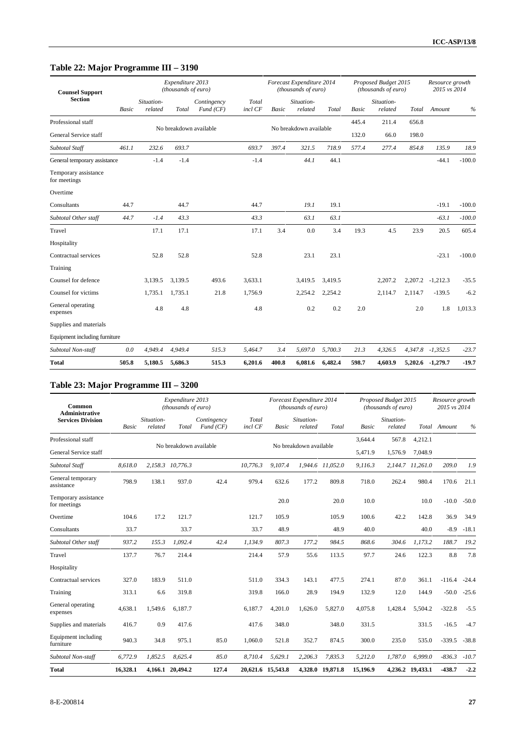## **Table 22: Major Programme III – 3190**

| <b>Counsel Support</b>               |              |                       | Expenditure 2013<br>(thousands of euro) |                         |                  |              | Forecast Expenditure 2014<br>(thousands of euro) |         |              | Proposed Budget 2015<br>(thousands of euro) |         | Resource growth<br>2015 vs 2014 |          |
|--------------------------------------|--------------|-----------------------|-----------------------------------------|-------------------------|------------------|--------------|--------------------------------------------------|---------|--------------|---------------------------------------------|---------|---------------------------------|----------|
| <b>Section</b>                       | <b>Basic</b> | Situation-<br>related | Total                                   | Contingency<br>Fund(CF) | Total<br>incl CF | <b>Basic</b> | Situation-<br>related                            | Total   | <b>Basic</b> | Situation-<br>related                       | Total   | Amount                          | $\%$     |
| Professional staff                   |              |                       |                                         |                         |                  |              |                                                  |         | 445.4        | 211.4                                       | 656.8   |                                 |          |
| General Service staff                |              |                       | No breakdown available                  |                         |                  |              | No breakdown available                           |         | 132.0        | 66.0                                        | 198.0   |                                 |          |
| Subtotal Staff                       | 461.1        | 232.6                 | 693.7                                   |                         | 693.7            | 397.4        | 321.5                                            | 718.9   | 577.4        | 277.4                                       | 854.8   | 135.9                           | 18.9     |
| General temporary assistance         |              | $-1.4$                | $-1.4$                                  |                         | $-1.4$           |              | 44.1                                             | 44.1    |              |                                             |         | $-44.1$                         | $-100.0$ |
| Temporary assistance<br>for meetings |              |                       |                                         |                         |                  |              |                                                  |         |              |                                             |         |                                 |          |
| Overtime                             |              |                       |                                         |                         |                  |              |                                                  |         |              |                                             |         |                                 |          |
| Consultants                          | 44.7         |                       | 44.7                                    |                         | 44.7             |              | 19.1                                             | 19.1    |              |                                             |         | $-19.1$                         | $-100.0$ |
| Subtotal Other staff                 | 44.7         | $-1.4$                | 43.3                                    |                         | 43.3             |              | 63.1                                             | 63.1    |              |                                             |         | $-63.1$                         | $-100.0$ |
| Travel                               |              | 17.1                  | 17.1                                    |                         | 17.1             | 3.4          | 0.0                                              | 3.4     | 19.3         | 4.5                                         | 23.9    | 20.5                            | 605.4    |
| Hospitality                          |              |                       |                                         |                         |                  |              |                                                  |         |              |                                             |         |                                 |          |
| Contractual services                 |              | 52.8                  | 52.8                                    |                         | 52.8             |              | 23.1                                             | 23.1    |              |                                             |         | $-23.1$                         | $-100.0$ |
| Training                             |              |                       |                                         |                         |                  |              |                                                  |         |              |                                             |         |                                 |          |
| Counsel for defence                  |              | 3,139.5               | 3.139.5                                 | 493.6                   | 3,633.1          |              | 3,419.5                                          | 3,419.5 |              | 2,207.2                                     | 2,207.2 | $-1.212.3$                      | $-35.5$  |
| Counsel for victims                  |              | 1,735.1               | 1,735.1                                 | 21.8                    | 1,756.9          |              | 2,254.2                                          | 2,254.2 |              | 2,114.7                                     | 2,114.7 | $-139.5$                        | $-6.2$   |
| General operating<br>expenses        |              | 4.8                   | 4.8                                     |                         | 4.8              |              | 0.2                                              | 0.2     | 2.0          |                                             | 2.0     | 1.8                             | 1,013.3  |
| Supplies and materials               |              |                       |                                         |                         |                  |              |                                                  |         |              |                                             |         |                                 |          |
| Equipment including furniture        |              |                       |                                         |                         |                  |              |                                                  |         |              |                                             |         |                                 |          |
| Subtotal Non-staff                   | 0.0          | 4,949.4               | 4,949.4                                 | 515.3                   | 5,464.7          | 3.4          | 5,697.0                                          | 5,700.3 | 21.3         | 4,326.5                                     | 4,347.8 | $-1,352.5$                      | $-23.7$  |
| <b>Total</b>                         | 505.8        | 5,180.5               | 5,686.3                                 | 515.3                   | 6,201.6          | 400.8        | 6,081.6                                          | 6,482.4 | 598.7        | 4,603.9                                     |         | 5,202.6 -1,279.7                | $-19.7$  |

## **Table 23: Major Programme III – 3200**

| Common<br><b>Administrative</b>      |              |                       | Expenditure 2013<br>(thousands of euro) |                         |                   |         | Forecast Expenditure 2014<br>(thousands of euro) |                  |              | Proposed Budget 2015<br>(thousands of euro) |                  | Resource growth<br>2015 vs 2014 |         |
|--------------------------------------|--------------|-----------------------|-----------------------------------------|-------------------------|-------------------|---------|--------------------------------------------------|------------------|--------------|---------------------------------------------|------------------|---------------------------------|---------|
| <b>Services Division</b>             | <b>Basic</b> | Situation-<br>related | Total                                   | Contingency<br>Fund(CF) | Total<br>incl CF  | Basic   | Situation-<br>related                            | Total            | <b>Basic</b> | Situation-<br>related                       |                  | Total Amount                    | $\%$    |
| Professional staff                   |              |                       |                                         |                         |                   |         |                                                  |                  | 3,644.4      | 567.8                                       | 4,212.1          |                                 |         |
| General Service staff                |              |                       | No breakdown available                  |                         |                   |         | No breakdown available                           |                  | 5,471.9      | 1,576.9                                     | 7,048.9          |                                 |         |
| Subtotal Staff                       | 8,618.0      |                       | 2,158.3 10,776.3                        |                         | 10,776.3          | 9,107.4 |                                                  | 1.944.6 11.052.0 | 9,116.3      |                                             | 2,144.7 11,261.0 | 209.0                           | 1.9     |
| General temporary<br>assistance      | 798.9        | 138.1                 | 937.0                                   | 42.4                    | 979.4             | 632.6   | 177.2                                            | 809.8            | 718.0        | 262.4                                       | 980.4            | 170.6                           | 21.1    |
| Temporary assistance<br>for meetings |              |                       |                                         |                         |                   | 20.0    |                                                  | 20.0             | 10.0         |                                             | 10.0             | $-10.0$                         | $-50.0$ |
| Overtime                             | 104.6        | 17.2                  | 121.7                                   |                         | 121.7             | 105.9   |                                                  | 105.9            | 100.6        | 42.2                                        | 142.8            | 36.9                            | 34.9    |
| Consultants                          | 33.7         |                       | 33.7                                    |                         | 33.7              | 48.9    |                                                  | 48.9             | 40.0         |                                             | 40.0             | $-8.9$                          | $-18.1$ |
| Subtotal Other staff                 | 937.2        | 155.3                 | 1,092.4                                 | 42.4                    | 1,134.9           | 807.3   | 177.2                                            | 984.5            | 868.6        | 304.6                                       | 1,173.2          | 188.7                           | 19.2    |
| Travel                               | 137.7        | 76.7                  | 214.4                                   |                         | 214.4             | 57.9    | 55.6                                             | 113.5            | 97.7         | 24.6                                        | 122.3            | 8.8                             | 7.8     |
| Hospitality                          |              |                       |                                         |                         |                   |         |                                                  |                  |              |                                             |                  |                                 |         |
| Contractual services                 | 327.0        | 183.9                 | 511.0                                   |                         | 511.0             | 334.3   | 143.1                                            | 477.5            | 274.1        | 87.0                                        | 361.1            | $-116.4$                        | $-24.4$ |
| Training                             | 313.1        | 6.6                   | 319.8                                   |                         | 319.8             | 166.0   | 28.9                                             | 194.9            | 132.9        | 12.0                                        | 144.9            | $-50.0$                         | $-25.6$ |
| General operating<br>expenses        | 4,638.1      | 1,549.6               | 6,187.7                                 |                         | 6,187.7           | 4,201.0 | 1,626.0                                          | 5,827.0          | 4,075.8      | 1,428.4                                     | 5,504.2          | $-322.8$                        | $-5.5$  |
| Supplies and materials               | 416.7        | 0.9                   | 417.6                                   |                         | 417.6             | 348.0   |                                                  | 348.0            | 331.5        |                                             | 331.5            | $-16.5$                         | $-4.7$  |
| Equipment including<br>furniture     | 940.3        | 34.8                  | 975.1                                   | 85.0                    | 1,060.0           | 521.8   | 352.7                                            | 874.5            | 300.0        | 235.0                                       | 535.0            | $-339.5$                        | $-38.8$ |
| Subtotal Non-staff                   | 6,772.9      | 1,852.5               | 8,625.4                                 | 85.0                    | 8,710.4           | 5,629.1 | 2,206.3                                          | 7,835.3          | 5,212.0      | 1,787.0                                     | 6,999.0          | $-836.3$                        | $-10.7$ |
| <b>Total</b>                         | 16,328.1     |                       | 4,166.1 20,494.2                        | 127.4                   | 20,621.6 15,543.8 |         |                                                  | 4,328.0 19,871.8 | 15,196.9     |                                             | 4,236.2 19,433.1 | $-438.7$                        | $-2.2$  |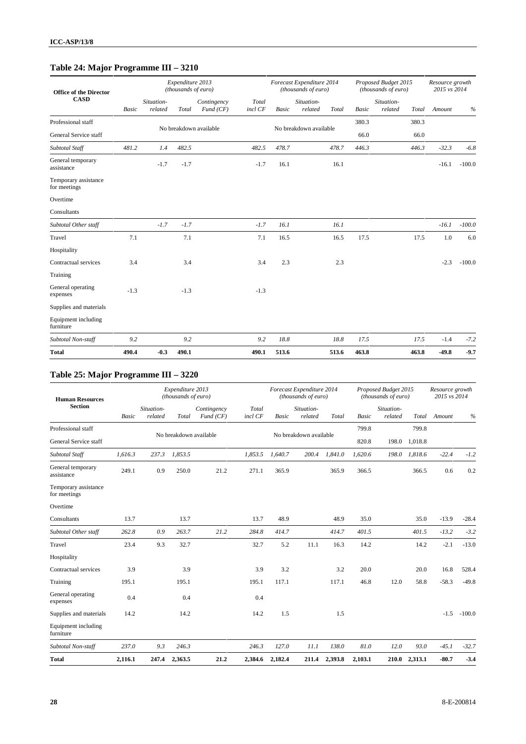## **Table 24: Major Programme III – 3210**

| Office of the Director               |              |                       | Expenditure 2013<br>(thousands of euro) |                         |                  |       | Forecast Expenditure 2014<br>(thousands of euro) |       |              | Proposed Budget 2015<br>(thousands of euro) |       | Resource growth<br>2015 vs 2014 |          |
|--------------------------------------|--------------|-----------------------|-----------------------------------------|-------------------------|------------------|-------|--------------------------------------------------|-------|--------------|---------------------------------------------|-------|---------------------------------|----------|
| <b>CASD</b>                          | <b>Basic</b> | Situation-<br>related | Total                                   | Contingency<br>Fund(CF) | Total<br>incl CF | Basic | Situation-<br>related                            | Total | <b>Basic</b> | Situation-<br>related                       | Total | Amount                          | $\%$     |
| Professional staff                   |              |                       |                                         |                         |                  |       |                                                  |       | 380.3        |                                             | 380.3 |                                 |          |
| General Service staff                |              |                       |                                         | No breakdown available  |                  |       | No breakdown available                           |       | 66.0         |                                             | 66.0  |                                 |          |
| Subtotal Staff                       | 481.2        | 1.4                   | 482.5                                   |                         | 482.5            | 478.7 |                                                  | 478.7 | 446.3        |                                             | 446.3 | $-32.3$                         | $-6.8$   |
| General temporary<br>assistance      |              | $-1.7$                | $-1.7$                                  |                         | $-1.7$           | 16.1  |                                                  | 16.1  |              |                                             |       | $-16.1$                         | $-100.0$ |
| Temporary assistance<br>for meetings |              |                       |                                         |                         |                  |       |                                                  |       |              |                                             |       |                                 |          |
| Overtime                             |              |                       |                                         |                         |                  |       |                                                  |       |              |                                             |       |                                 |          |
| Consultants                          |              |                       |                                         |                         |                  |       |                                                  |       |              |                                             |       |                                 |          |
| Subtotal Other staff                 |              | $-1.7$                | $-1.7$                                  |                         | $-1.7$           | 16.1  |                                                  | 16.1  |              |                                             |       | $-16.1$                         | $-100.0$ |
| Travel                               | 7.1          |                       | 7.1                                     |                         | 7.1              | 16.5  |                                                  | 16.5  | 17.5         |                                             | 17.5  | 1.0                             | 6.0      |
| Hospitality                          |              |                       |                                         |                         |                  |       |                                                  |       |              |                                             |       |                                 |          |
| Contractual services                 | 3.4          |                       | 3.4                                     |                         | 3.4              | 2.3   |                                                  | 2.3   |              |                                             |       | $-2.3$                          | $-100.0$ |
| Training                             |              |                       |                                         |                         |                  |       |                                                  |       |              |                                             |       |                                 |          |
| General operating<br>expenses        | $-1.3$       |                       | $-1.3$                                  |                         | $-1.3$           |       |                                                  |       |              |                                             |       |                                 |          |
| Supplies and materials               |              |                       |                                         |                         |                  |       |                                                  |       |              |                                             |       |                                 |          |
| Equipment including<br>furniture     |              |                       |                                         |                         |                  |       |                                                  |       |              |                                             |       |                                 |          |
| Subtotal Non-staff                   | 9.2          |                       | 9.2                                     |                         | 9.2              | 18.8  |                                                  | 18.8  | 17.5         |                                             | 17.5  | $-1.4$                          | $-7.2$   |
| <b>Total</b>                         | 490.4        | $-0.3$                | 490.1                                   |                         | 490.1            | 513.6 |                                                  | 513.6 | 463.8        |                                             | 463.8 | $-49.8$                         | $-9.7$   |

## **Table 25: Major Programme III – 3220**

| <b>Human Resources</b>               |              |                       | Expenditure 2013<br>(thousands of euro) |                         |                  |              | Forecast Expenditure 2014<br>(thousands of euro) |         |              | Proposed Budget 2015<br>(thousands of euro) |         | Resource growth<br>2015 vs 2014 |          |
|--------------------------------------|--------------|-----------------------|-----------------------------------------|-------------------------|------------------|--------------|--------------------------------------------------|---------|--------------|---------------------------------------------|---------|---------------------------------|----------|
| <b>Section</b>                       | <b>Basic</b> | Situation-<br>related | Total                                   | Contingency<br>Fund(CF) | Total<br>incl CF | <b>Basic</b> | Situation-<br>related                            | Total   | <b>Basic</b> | Situation-<br>related                       | Total   | Amount                          | $\%$     |
| Professional staff                   |              |                       |                                         |                         |                  |              |                                                  |         | 799.8        |                                             | 799.8   |                                 |          |
| General Service staff                |              |                       | No breakdown available                  |                         |                  |              | No breakdown available                           |         | 820.8        | 198.0                                       | 1,018.8 |                                 |          |
| Subtotal Staff                       | 1.616.3      | 237.3                 | 1,853.5                                 |                         | 1,853.5          | 1,640.7      | 200.4                                            | 1,841.0 | 1,620.6      | 198.0                                       | 1,818.6 | $-22.4$                         | $-1.2$   |
| General temporary<br>assistance      | 249.1        | 0.9                   | 250.0                                   | 21.2                    | 271.1            | 365.9        |                                                  | 365.9   | 366.5        |                                             | 366.5   | 0.6                             | 0.2      |
| Temporary assistance<br>for meetings |              |                       |                                         |                         |                  |              |                                                  |         |              |                                             |         |                                 |          |
| Overtime                             |              |                       |                                         |                         |                  |              |                                                  |         |              |                                             |         |                                 |          |
| Consultants                          | 13.7         |                       | 13.7                                    |                         | 13.7             | 48.9         |                                                  | 48.9    | 35.0         |                                             | 35.0    | $-13.9$                         | $-28.4$  |
| Subtotal Other staff                 | 262.8        | 0.9                   | 263.7                                   | 21.2                    | 284.8            | 414.7        |                                                  | 414.7   | 401.5        |                                             | 401.5   | $-13.2$                         | $-3.2$   |
| Travel                               | 23.4         | 9.3                   | 32.7                                    |                         | 32.7             | 5.2          | 11.1                                             | 16.3    | 14.2         |                                             | 14.2    | $-2.1$                          | $-13.0$  |
| Hospitality                          |              |                       |                                         |                         |                  |              |                                                  |         |              |                                             |         |                                 |          |
| Contractual services                 | 3.9          |                       | 3.9                                     |                         | 3.9              | 3.2          |                                                  | 3.2     | 20.0         |                                             | 20.0    | 16.8                            | 528.4    |
| Training                             | 195.1        |                       | 195.1                                   |                         | 195.1            | 117.1        |                                                  | 117.1   | 46.8         | 12.0                                        | 58.8    | $-58.3$                         | $-49.8$  |
| General operating<br>expenses        | 0.4          |                       | 0.4                                     |                         | 0.4              |              |                                                  |         |              |                                             |         |                                 |          |
| Supplies and materials               | 14.2         |                       | 14.2                                    |                         | 14.2             | 1.5          |                                                  | 1.5     |              |                                             |         | $-1.5$                          | $-100.0$ |
| Equipment including<br>furniture     |              |                       |                                         |                         |                  |              |                                                  |         |              |                                             |         |                                 |          |
| Subtotal Non-staff                   | 237.0        | 9.3                   | 246.3                                   |                         | 246.3            | 127.0        | 11.1                                             | 138.0   | 81.0         | 12.0                                        | 93.0    | $-45.1$                         | $-32.7$  |
| <b>Total</b>                         | 2,116.1      | 247.4                 | 2,363.5                                 | 21.2                    | 2,384.6          | 2,182.4      | 211.4                                            | 2,393.8 | 2,103.1      | 210.0                                       | 2,313.1 | $-80.7$                         | $-3.4$   |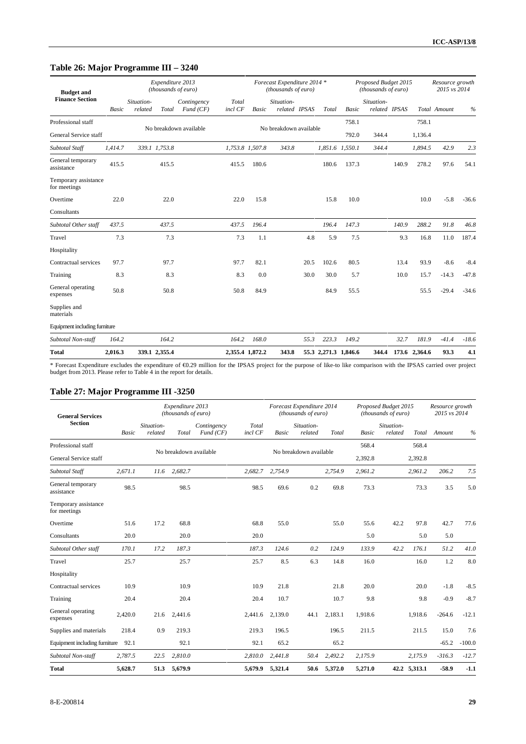#### **Table 26: Major Programme III – 3240**

| <b>Budget and</b>                    |              |                       | Expenditure 2013<br>(thousands of euro) |                         |                  |                 | Forecast Expenditure 2014 *<br>(thousands of euro) |               |       |                      | Proposed Budget 2015<br>(thousands of euro) |       |               | Resource growth<br>2015 vs 2014 |         |
|--------------------------------------|--------------|-----------------------|-----------------------------------------|-------------------------|------------------|-----------------|----------------------------------------------------|---------------|-------|----------------------|---------------------------------------------|-------|---------------|---------------------------------|---------|
| <b>Finance Section</b>               | <b>Basic</b> | Situation-<br>related | Total                                   | Contingency<br>Fund(CF) | Total<br>incl CF | <b>Basic</b>    | Situation-                                         | related IPSAS | Total | <b>Basic</b>         | Situation-<br>related IPSAS                 |       |               | Total Amount                    | $\%$    |
| Professional staff                   |              |                       |                                         |                         |                  |                 |                                                    |               |       | 758.1                |                                             |       | 758.1         |                                 |         |
| General Service staff                |              |                       |                                         | No breakdown available  |                  |                 | No breakdown available                             |               |       | 792.0                | 344.4                                       |       | 1,136.4       |                                 |         |
| Subtotal Staff                       | 1,414.7      |                       | 339.1 1,753.8                           |                         |                  | 1,753.8 1,507.8 | 343.8                                              |               |       | 1,851.6 1,550.1      | 344.4                                       |       | 1,894.5       | 42.9                            | 2.3     |
| General temporary<br>assistance      | 415.5        |                       | 415.5                                   |                         | 415.5            | 180.6           |                                                    |               | 180.6 | 137.3                |                                             | 140.9 | 278.2         | 97.6                            | 54.1    |
| Temporary assistance<br>for meetings |              |                       |                                         |                         |                  |                 |                                                    |               |       |                      |                                             |       |               |                                 |         |
| Overtime                             | 22.0         |                       | 22.0                                    |                         | 22.0             | 15.8            |                                                    |               | 15.8  | 10.0                 |                                             |       | 10.0          | $-5.8$                          | $-36.6$ |
| Consultants                          |              |                       |                                         |                         |                  |                 |                                                    |               |       |                      |                                             |       |               |                                 |         |
| Subtotal Other staff                 | 437.5        |                       | 437.5                                   |                         | 437.5            | 196.4           |                                                    |               | 196.4 | 147.3                |                                             | 140.9 | 288.2         | 91.8                            | 46.8    |
| Travel                               | 7.3          |                       | 7.3                                     |                         | 7.3              | 1.1             |                                                    | 4.8           | 5.9   | 7.5                  |                                             | 9.3   | 16.8          | 11.0                            | 187.4   |
| Hospitality                          |              |                       |                                         |                         |                  |                 |                                                    |               |       |                      |                                             |       |               |                                 |         |
| Contractual services                 | 97.7         |                       | 97.7                                    |                         | 97.7             | 82.1            |                                                    | 20.5          | 102.6 | 80.5                 |                                             | 13.4  | 93.9          | $-8.6$                          | $-8.4$  |
| Training                             | 8.3          |                       | 8.3                                     |                         | 8.3              | 0.0             |                                                    | 30.0          | 30.0  | 5.7                  |                                             | 10.0  | 15.7          | $-14.3$                         | $-47.8$ |
| General operating<br>expenses        | 50.8         |                       | 50.8                                    |                         | 50.8             | 84.9            |                                                    |               | 84.9  | 55.5                 |                                             |       | 55.5          | $-29.4$                         | $-34.6$ |
| Supplies and<br>materials            |              |                       |                                         |                         |                  |                 |                                                    |               |       |                      |                                             |       |               |                                 |         |
| Equipment including furniture        |              |                       |                                         |                         |                  |                 |                                                    |               |       |                      |                                             |       |               |                                 |         |
| Subtotal Non-staff                   | 164.2        |                       | 164.2                                   |                         | 164.2            | 168.0           |                                                    | 55.3          | 223.3 | 149.2                |                                             | 32.7  | 181.9         | $-41.4$                         | $-18.6$ |
| <b>Total</b>                         | 2,016.3      |                       | 339.1 2,355.4                           |                         |                  | 2,355.4 1,872.2 | 343.8                                              |               |       | 55.3 2,271.3 1,846.6 | 344.4                                       |       | 173.6 2,364.6 | 93.3                            | 4.1     |

\* Forecast Expenditure excludes the expenditure of €0.29 million for the IPSAS project for the purpose of like-to like comparison with the IPSAS carried over project budget from 2013. Please refer to Table 4 in the report for details.

#### **Table 27: Major Programme III -3250**

| <b>General Services</b>              |         |                       | Expenditure 2013<br>(thousands of euro) |                         |                  |              | Forecast Expenditure 2014<br>(thousands of euro) |         |         | Proposed Budget 2015<br>(thousands of euro) |              | Resource growth<br>2015 vs 2014 |          |
|--------------------------------------|---------|-----------------------|-----------------------------------------|-------------------------|------------------|--------------|--------------------------------------------------|---------|---------|---------------------------------------------|--------------|---------------------------------|----------|
| <b>Section</b>                       | Basic   | Situation-<br>related | Total                                   | Contingency<br>Fund(CF) | Total<br>incl CF | <b>Basic</b> | Situation-<br>related                            | Total   | Basic   | Situation-<br>related                       | Total        | Amount                          | $\%$     |
| Professional staff                   |         |                       |                                         |                         |                  |              |                                                  |         | 568.4   |                                             | 568.4        |                                 |          |
| General Service staff                |         |                       | No breakdown available                  |                         |                  |              | No breakdown available                           |         | 2,392.8 |                                             | 2,392.8      |                                 |          |
| Subtotal Staff                       | 2.671.1 | 11.6                  | 2,682.7                                 |                         | 2,682.7          | 2,754.9      |                                                  | 2,754.9 | 2,961.2 |                                             | 2,961.2      | 206.2                           | 7.5      |
| General temporary<br>assistance      | 98.5    |                       | 98.5                                    |                         | 98.5             | 69.6         | 0.2                                              | 69.8    | 73.3    |                                             | 73.3         | 3.5                             | 5.0      |
| Temporary assistance<br>for meetings |         |                       |                                         |                         |                  |              |                                                  |         |         |                                             |              |                                 |          |
| Overtime                             | 51.6    | 17.2                  | 68.8                                    |                         | 68.8             | 55.0         |                                                  | 55.0    | 55.6    | 42.2                                        | 97.8         | 42.7                            | 77.6     |
| Consultants                          | 20.0    |                       | 20.0                                    |                         | 20.0             |              |                                                  |         | 5.0     |                                             | 5.0          | 5.0                             |          |
| Subtotal Other staff                 | 170.1   | 17.2                  | 187.3                                   |                         | 187.3            | 124.6        | 0.2                                              | 124.9   | 133.9   | 42.2                                        | 176.1        | 51.2                            | 41.0     |
| Travel                               | 25.7    |                       | 25.7                                    |                         | 25.7             | 8.5          | 6.3                                              | 14.8    | 16.0    |                                             | 16.0         | 1.2                             | 8.0      |
| Hospitality                          |         |                       |                                         |                         |                  |              |                                                  |         |         |                                             |              |                                 |          |
| Contractual services                 | 10.9    |                       | 10.9                                    |                         | 10.9             | 21.8         |                                                  | 21.8    | 20.0    |                                             | 20.0         | $-1.8$                          | $-8.5$   |
| Training                             | 20.4    |                       | 20.4                                    |                         | 20.4             | 10.7         |                                                  | 10.7    | 9.8     |                                             | 9.8          | $-0.9$                          | $-8.7$   |
| General operating<br>expenses        | 2,420.0 | 21.6                  | 2,441.6                                 |                         | 2,441.6          | 2,139.0      | 44.1                                             | 2,183.1 | 1,918.6 |                                             | 1,918.6      | $-264.6$                        | $-12.1$  |
| Supplies and materials               | 218.4   | 0.9                   | 219.3                                   |                         | 219.3            | 196.5        |                                                  | 196.5   | 211.5   |                                             | 211.5        | 15.0                            | 7.6      |
| Equipment including furniture        | 92.1    |                       | 92.1                                    |                         | 92.1             | 65.2         |                                                  | 65.2    |         |                                             |              | $-65.2$                         | $-100.0$ |
| Subtotal Non-staff                   | 2,787.5 | 22.5                  | 2,810.0                                 |                         | 2,810.0          | 2,441.8      | 50.4                                             | 2,492.2 | 2,175.9 |                                             | 2,175.9      | $-316.3$                        | $-12.7$  |
| <b>Total</b>                         | 5,628.7 | 51.3                  | 5,679.9                                 |                         | 5,679.9          | 5,321.4      | 50.6                                             | 5,372.0 | 5,271.0 |                                             | 42.2 5,313.1 | $-58.9$                         | $-1.1$   |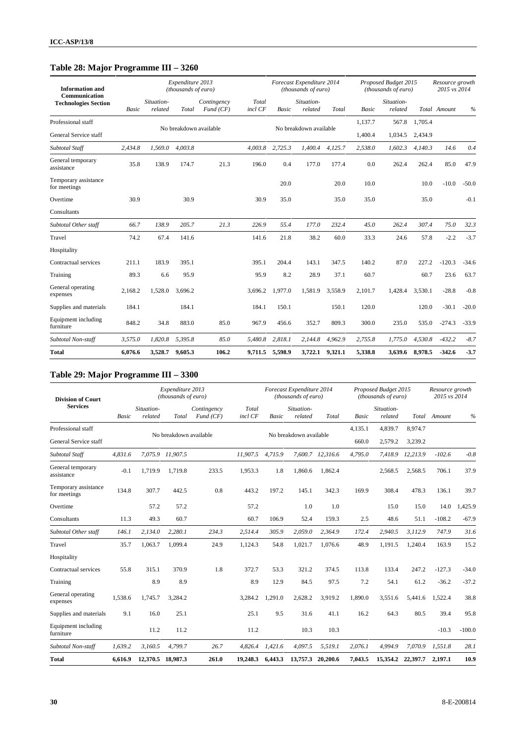### **Table 28: Major Programme III – 3260**

| <b>Information</b> and<br>Communication |         |                       | Expenditure 2013<br>(thousands of euro) |                         |                  |              | Forecast Expenditure 2014<br>(thousands of euro) |         |              | Proposed Budget 2015<br>(thousands of euro) |         | Resource growth<br>2015 vs 2014 |         |
|-----------------------------------------|---------|-----------------------|-----------------------------------------|-------------------------|------------------|--------------|--------------------------------------------------|---------|--------------|---------------------------------------------|---------|---------------------------------|---------|
| <b>Technologies Section</b>             | Basic   | Situation-<br>related | Total                                   | Contingency<br>Fund(CF) | Total<br>incl CF | <b>Basic</b> | Situation-<br>related                            | Total   | <b>Basic</b> | Situation-<br>related                       |         | Total Amount                    | $\%$    |
| Professional staff                      |         |                       |                                         |                         |                  |              |                                                  |         | 1,137.7      | 567.8                                       | 1,705.4 |                                 |         |
| General Service staff                   |         |                       | No breakdown available                  |                         |                  |              | No breakdown available                           |         | 1,400.4      | 1,034.5                                     | 2,434.9 |                                 |         |
| Subtotal Staff                          | 2,434.8 | 1,569.0               | 4,003.8                                 |                         | 4,003.8          | 2,725.3      | 1,400.4                                          | 4,125.7 | 2,538.0      | 1,602.3                                     | 4,140.3 | 14.6                            | 0.4     |
| General temporary<br>assistance         | 35.8    | 138.9                 | 174.7                                   | 21.3                    | 196.0            | 0.4          | 177.0                                            | 177.4   | 0.0          | 262.4                                       | 262.4   | 85.0                            | 47.9    |
| Temporary assistance<br>for meetings    |         |                       |                                         |                         |                  | 20.0         |                                                  | 20.0    | 10.0         |                                             | 10.0    | $-10.0$                         | $-50.0$ |
| Overtime                                | 30.9    |                       | 30.9                                    |                         | 30.9             | 35.0         |                                                  | 35.0    | 35.0         |                                             | 35.0    |                                 | $-0.1$  |
| Consultants                             |         |                       |                                         |                         |                  |              |                                                  |         |              |                                             |         |                                 |         |
| Subtotal Other staff                    | 66.7    | 138.9                 | 205.7                                   | 21.3                    | 226.9            | 55.4         | 177.0                                            | 232.4   | 45.0         | 262.4                                       | 307.4   | 75.0                            | 32.3    |
| Travel                                  | 74.2    | 67.4                  | 141.6                                   |                         | 141.6            | 21.8         | 38.2                                             | 60.0    | 33.3         | 24.6                                        | 57.8    | $-2.2$                          | $-3.7$  |
| Hospitality                             |         |                       |                                         |                         |                  |              |                                                  |         |              |                                             |         |                                 |         |
| Contractual services                    | 211.1   | 183.9                 | 395.1                                   |                         | 395.1            | 204.4        | 143.1                                            | 347.5   | 140.2        | 87.0                                        | 227.2   | $-120.3$                        | $-34.6$ |
| Training                                | 89.3    | 6.6                   | 95.9                                    |                         | 95.9             | 8.2          | 28.9                                             | 37.1    | 60.7         |                                             | 60.7    | 23.6                            | 63.7    |
| General operating<br>expenses           | 2,168.2 | 1,528.0               | 3.696.2                                 |                         | 3,696.2          | 1,977.0      | 1,581.9                                          | 3,558.9 | 2,101.7      | 1,428.4                                     | 3.530.1 | $-28.8$                         | $-0.8$  |
| Supplies and materials                  | 184.1   |                       | 184.1                                   |                         | 184.1            | 150.1        |                                                  | 150.1   | 120.0        |                                             | 120.0   | $-30.1$                         | $-20.0$ |
| Equipment including<br>furniture        | 848.2   | 34.8                  | 883.0                                   | 85.0                    | 967.9            | 456.6        | 352.7                                            | 809.3   | 300.0        | 235.0                                       | 535.0   | $-274.3$                        | $-33.9$ |
| Subtotal Non-staff                      | 3,575.0 | 1,820.8               | 5,395.8                                 | 85.0                    | 5,480.8          | 2,818.1      | 2,144.8                                          | 4,962.9 | 2,755.8      | 1,775.0                                     | 4.530.8 | $-432.2$                        | $-8.7$  |
| <b>Total</b>                            | 6,076.6 | 3,528.7               | 9,605.3                                 | 106.2                   | 9,711.5          | 5,598.9      | 3,722.1                                          | 9,321.1 | 5,338.8      | 3,639.6                                     | 8,978.5 | $-342.6$                        | $-3.7$  |

### **Table 29: Major Programme III – 3300**

| <b>Division of Court</b>             |         |                       | Expenditure 2013<br>(thousands of euro) |                         |                  |              | Forecast Expenditure 2014<br>(thousands of euro) |                   |              | Proposed Budget 2015<br>(thousands of euro) |          | Resource growth<br>2015 vs 2014 |          |
|--------------------------------------|---------|-----------------------|-----------------------------------------|-------------------------|------------------|--------------|--------------------------------------------------|-------------------|--------------|---------------------------------------------|----------|---------------------------------|----------|
| <b>Services</b>                      | Basic   | Situation-<br>related | Total                                   | Contingency<br>Fund(CF) | Total<br>incl CF | <b>Basic</b> | Situation-<br>related                            | Total             | <b>Basic</b> | Situation-<br>related                       | Total    | Amount                          | $\%$     |
| Professional staff                   |         |                       |                                         |                         |                  |              |                                                  |                   | 4,135.1      | 4,839.7                                     | 8,974.7  |                                 |          |
| General Service staff                |         |                       | No breakdown available                  |                         |                  |              | No breakdown available                           |                   | 660.0        | 2,579.2                                     | 3,239.2  |                                 |          |
| Subtotal Staff                       | 4,831.6 |                       | 7,075.9 11,907.5                        |                         | 11,907.5         | 4,715.9      |                                                  | 7,600.7 12,316.6  | 4,795.0      | 7,418.9                                     | 12,213.9 | $-102.6$                        | $-0.8$   |
| General temporary<br>assistance      | $-0.1$  | 1.719.9               | 1.719.8                                 | 233.5                   | 1,953.3          | 1.8          | 1.860.6                                          | 1.862.4           |              | 2,568.5                                     | 2,568.5  | 706.1                           | 37.9     |
| Temporary assistance<br>for meetings | 134.8   | 307.7                 | 442.5                                   | 0.8                     | 443.2            | 197.2        | 145.1                                            | 342.3             | 169.9        | 308.4                                       | 478.3    | 136.1                           | 39.7     |
| Overtime                             |         | 57.2                  | 57.2                                    |                         | 57.2             |              | 1.0                                              | 1.0               |              | 15.0                                        | 15.0     | 14.0                            | 1,425.9  |
| Consultants                          | 11.3    | 49.3                  | 60.7                                    |                         | 60.7             | 106.9        | 52.4                                             | 159.3             | 2.5          | 48.6                                        | 51.1     | $-108.2$                        | $-67.9$  |
| Subtotal Other staff                 | 146.1   | 2,134.0               | 2,280.1                                 | 234.3                   | 2,514.4          | 305.9        | 2,059.0                                          | 2,364.9           | 172.4        | 2,940.5                                     | 3,112.9  | 747.9                           | 31.6     |
| Travel                               | 35.7    | 1,063.7               | 1,099.4                                 | 24.9                    | 1,124.3          | 54.8         | 1,021.7                                          | 1.076.6           | 48.9         | 1,191.5                                     | 1,240.4  | 163.9                           | 15.2     |
| Hospitality                          |         |                       |                                         |                         |                  |              |                                                  |                   |              |                                             |          |                                 |          |
| Contractual services                 | 55.8    | 315.1                 | 370.9                                   | 1.8                     | 372.7            | 53.3         | 321.2                                            | 374.5             | 113.8        | 133.4                                       | 247.2    | $-127.3$                        | $-34.0$  |
| Training                             |         | 8.9                   | 8.9                                     |                         | 8.9              | 12.9         | 84.5                                             | 97.5              | 7.2          | 54.1                                        | 61.2     | $-36.2$                         | $-37.2$  |
| General operating<br>expenses        | 1,538.6 | 1,745.7               | 3,284.2                                 |                         | 3,284.2          | 1,291.0      | 2,628.2                                          | 3,919.2           | 1,890.0      | 3.551.6                                     | 5.441.6  | 1.522.4                         | 38.8     |
| Supplies and materials               | 9.1     | 16.0                  | 25.1                                    |                         | 25.1             | 9.5          | 31.6                                             | 41.1              | 16.2         | 64.3                                        | 80.5     | 39.4                            | 95.8     |
| Equipment including<br>furniture     |         | 11.2                  | 11.2                                    |                         | 11.2             |              | 10.3                                             | 10.3              |              |                                             |          | $-10.3$                         | $-100.0$ |
| Subtotal Non-staff                   | 1,639.2 | 3,160.5               | 4,799.7                                 | 26.7                    | 4,826.4          | 1,421.6      | 4,097.5                                          | 5,519.1           | 2,076.1      | 4,994.9                                     | 7,070.9  | 1,551.8                         | 28.1     |
| <b>Total</b>                         | 6,616.9 |                       | 12,370.5 18,987.3                       | 261.0                   | 19,248.3         | 6,443.3      |                                                  | 13,757.3 20,200.6 | 7,043.5      | 15,354.2                                    | 22,397.7 | 2,197.1                         | 10.9     |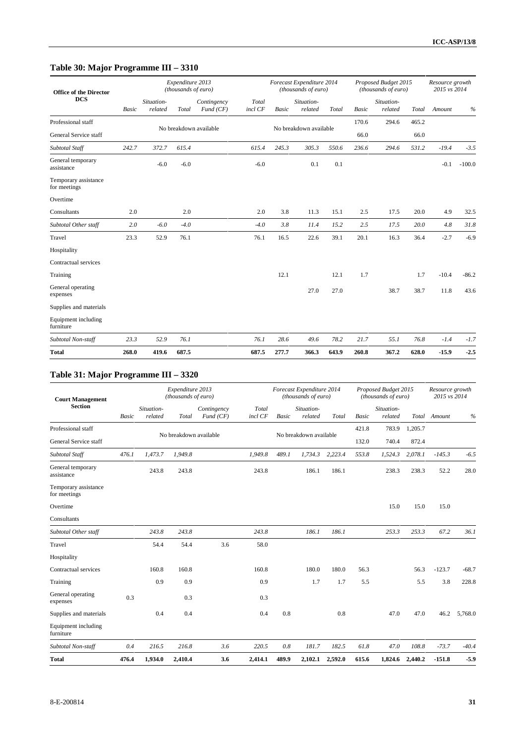## **Table 30: Major Programme III – 3310**

| <b>Office of the Director</b>        |              |                       | Expenditure 2013<br>(thousands of euro) |                         |                  |              | Forecast Expenditure 2014<br>(thousands of euro) |       |              | Proposed Budget 2015<br>(thousands of euro) |       | Resource growth<br>2015 vs 2014 |          |
|--------------------------------------|--------------|-----------------------|-----------------------------------------|-------------------------|------------------|--------------|--------------------------------------------------|-------|--------------|---------------------------------------------|-------|---------------------------------|----------|
| <b>DCS</b>                           | <b>Basic</b> | Situation-<br>related | Total                                   | Contingency<br>Fund(CF) | Total<br>incl CF | <b>Basic</b> | Situation-<br>related                            | Total | <b>Basic</b> | Situation-<br>related                       | Total | Amount                          | $\%$     |
| Professional staff                   |              |                       |                                         |                         |                  |              |                                                  |       | 170.6        | 294.6                                       | 465.2 |                                 |          |
| General Service staff                |              |                       |                                         | No breakdown available  |                  |              | No breakdown available                           |       | 66.0         |                                             | 66.0  |                                 |          |
| Subtotal Staff                       | 242.7        | 372.7                 | 615.4                                   |                         | 615.4            | 245.3        | 305.3                                            | 550.6 | 236.6        | 294.6                                       | 531.2 | $-19.4$                         | $-3.5$   |
| General temporary<br>assistance      |              | $-6.0$                | $-6.0$                                  |                         | $-6.0$           |              | 0.1                                              | 0.1   |              |                                             |       | $-0.1$                          | $-100.0$ |
| Temporary assistance<br>for meetings |              |                       |                                         |                         |                  |              |                                                  |       |              |                                             |       |                                 |          |
| Overtime                             |              |                       |                                         |                         |                  |              |                                                  |       |              |                                             |       |                                 |          |
| Consultants                          | 2.0          |                       | 2.0                                     |                         | 2.0              | 3.8          | 11.3                                             | 15.1  | 2.5          | 17.5                                        | 20.0  | 4.9                             | 32.5     |
| Subtotal Other staff                 | 2.0          | $-6.0$                | $-4.0$                                  |                         | $-4.0$           | 3.8          | 11.4                                             | 15.2  | 2.5          | 17.5                                        | 20.0  | 4.8                             | 31.8     |
| Travel                               | 23.3         | 52.9                  | 76.1                                    |                         | 76.1             | 16.5         | 22.6                                             | 39.1  | 20.1         | 16.3                                        | 36.4  | $-2.7$                          | $-6.9$   |
| Hospitality                          |              |                       |                                         |                         |                  |              |                                                  |       |              |                                             |       |                                 |          |
| Contractual services                 |              |                       |                                         |                         |                  |              |                                                  |       |              |                                             |       |                                 |          |
| Training                             |              |                       |                                         |                         |                  | 12.1         |                                                  | 12.1  | 1.7          |                                             | 1.7   | $-10.4$                         | $-86.2$  |
| General operating<br>expenses        |              |                       |                                         |                         |                  |              | 27.0                                             | 27.0  |              | 38.7                                        | 38.7  | 11.8                            | 43.6     |
| Supplies and materials               |              |                       |                                         |                         |                  |              |                                                  |       |              |                                             |       |                                 |          |
| Equipment including<br>furniture     |              |                       |                                         |                         |                  |              |                                                  |       |              |                                             |       |                                 |          |
| Subtotal Non-staff                   | 23.3         | 52.9                  | 76.1                                    |                         | 76.1             | 28.6         | 49.6                                             | 78.2  | 21.7         | 55.1                                        | 76.8  | $-1.4$                          | $-1.7$   |
| <b>Total</b>                         | 268.0        | 419.6                 | 687.5                                   |                         | 687.5            | 277.7        | 366.3                                            | 643.9 | 260.8        | 367.2                                       | 628.0 | $-15.9$                         | $-2.5$   |

## **Table 31: Major Programme III – 3320**

| <b>Court Management</b>              |              |                       | Expenditure 2013<br>(thousands of euro) |                         |                  |              | Forecast Expenditure 2014<br>(thousands of euro) |         |       | Proposed Budget 2015<br>(thousands of euro) |         | Resource growth<br>2015 vs 2014 |         |
|--------------------------------------|--------------|-----------------------|-----------------------------------------|-------------------------|------------------|--------------|--------------------------------------------------|---------|-------|---------------------------------------------|---------|---------------------------------|---------|
| <b>Section</b>                       | <b>Basic</b> | Situation-<br>related | Total                                   | Contingency<br>Fund(CF) | Total<br>incl CF | <b>Basic</b> | Situation-<br>related                            | Total   | Basic | Situation-<br>related                       | Total   | Amount                          | $\%$    |
| Professional staff                   |              |                       |                                         |                         |                  |              |                                                  |         | 421.8 | 783.9                                       | 1,205.7 |                                 |         |
| General Service staff                |              |                       | No breakdown available                  |                         |                  |              | No breakdown available                           |         | 132.0 | 740.4                                       | 872.4   |                                 |         |
| Subtotal Staff                       | 476.1        | 1,473.7               | 1,949.8                                 |                         | 1,949.8          | 489.1        | 1,734.3                                          | 2,223.4 | 553.8 | 1,524.3                                     | 2,078.1 | $-145.3$                        | $-6.5$  |
| General temporary<br>assistance      |              | 243.8                 | 243.8                                   |                         | 243.8            |              | 186.1                                            | 186.1   |       | 238.3                                       | 238.3   | 52.2                            | 28.0    |
| Temporary assistance<br>for meetings |              |                       |                                         |                         |                  |              |                                                  |         |       |                                             |         |                                 |         |
| Overtime                             |              |                       |                                         |                         |                  |              |                                                  |         |       | 15.0                                        | 15.0    | 15.0                            |         |
| Consultants                          |              |                       |                                         |                         |                  |              |                                                  |         |       |                                             |         |                                 |         |
| Subtotal Other staff                 |              | 243.8                 | 243.8                                   |                         | 243.8            |              | 186.1                                            | 186.1   |       | 253.3                                       | 253.3   | 67.2                            | 36.1    |
| Travel                               |              | 54.4                  | 54.4                                    | 3.6                     | 58.0             |              |                                                  |         |       |                                             |         |                                 |         |
| Hospitality                          |              |                       |                                         |                         |                  |              |                                                  |         |       |                                             |         |                                 |         |
| Contractual services                 |              | 160.8                 | 160.8                                   |                         | 160.8            |              | 180.0                                            | 180.0   | 56.3  |                                             | 56.3    | $-123.7$                        | $-68.7$ |
| Training                             |              | 0.9                   | 0.9                                     |                         | 0.9              |              | 1.7                                              | 1.7     | 5.5   |                                             | 5.5     | 3.8                             | 228.8   |
| General operating<br>expenses        | 0.3          |                       | 0.3                                     |                         | 0.3              |              |                                                  |         |       |                                             |         |                                 |         |
| Supplies and materials               |              | 0.4                   | 0.4                                     |                         | 0.4              | 0.8          |                                                  | 0.8     |       | 47.0                                        | 47.0    | 46.2                            | 5,768.0 |
| Equipment including<br>furniture     |              |                       |                                         |                         |                  |              |                                                  |         |       |                                             |         |                                 |         |
| Subtotal Non-staff                   | 0.4          | 216.5                 | 216.8                                   | 3.6                     | 220.5            | 0.8          | 181.7                                            | 182.5   | 61.8  | 47.0                                        | 108.8   | $-73.7$                         | $-40.4$ |
| <b>Total</b>                         | 476.4        | 1,934.0               | 2,410.4                                 | 3.6                     | 2,414.1          | 489.9        | 2,102.1                                          | 2,592.0 | 615.6 | 1,824.6                                     | 2,440.2 | $-151.8$                        | $-5.9$  |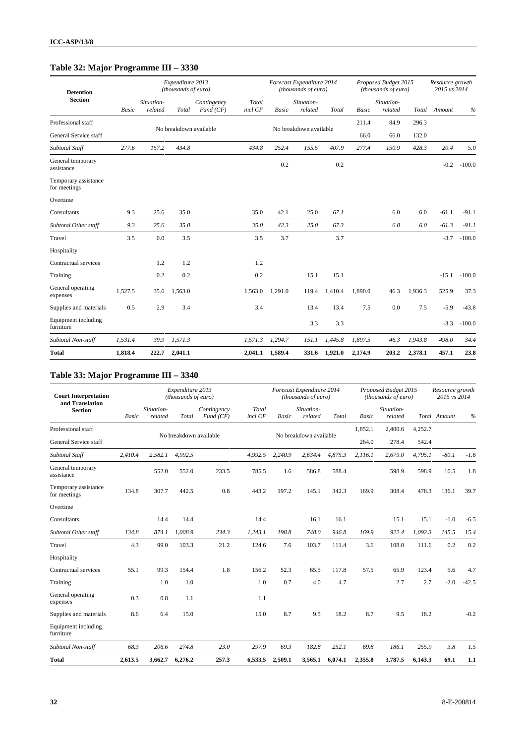## **Table 32: Major Programme III – 3330**

| <b>Detention</b>                     |         |                       | Expenditure 2013<br>(thousands of euro) |                         |                  |                 | Forecast Expenditure 2014<br>(thousands of euro) |         |         | Proposed Budget 2015<br>(thousands of euro) |         | Resource growth<br>2015 vs 2014 |          |
|--------------------------------------|---------|-----------------------|-----------------------------------------|-------------------------|------------------|-----------------|--------------------------------------------------|---------|---------|---------------------------------------------|---------|---------------------------------|----------|
| <b>Section</b>                       | Basic   | Situation-<br>related | Total                                   | Contingency<br>Fund(CF) | Total<br>incl CF | Basic           | Situation-<br>related                            | Total   | Basic   | Situation-<br>related                       | Total   | Amount                          | $\%$     |
| Professional staff                   |         |                       |                                         |                         |                  |                 |                                                  |         | 211.4   | 84.9                                        | 296.3   |                                 |          |
| General Service staff                |         |                       | No breakdown available                  |                         |                  |                 | No breakdown available                           |         | 66.0    | 66.0                                        | 132.0   |                                 |          |
| Subtotal Staff                       | 277.6   | 157.2                 | 434.8                                   |                         | 434.8            | 252.4           | 155.5                                            | 407.9   | 277.4   | 150.9                                       | 428.3   | 20.4                            | 5.0      |
| General temporary<br>assistance      |         |                       |                                         |                         |                  | 0.2             |                                                  | 0.2     |         |                                             |         | $-0.2$                          | $-100.0$ |
| Temporary assistance<br>for meetings |         |                       |                                         |                         |                  |                 |                                                  |         |         |                                             |         |                                 |          |
| Overtime                             |         |                       |                                         |                         |                  |                 |                                                  |         |         |                                             |         |                                 |          |
| Consultants                          | 9.3     | 25.6                  | 35.0                                    |                         | 35.0             | 42.1            | 25.0                                             | 67.1    |         | 6.0                                         | 6.0     | $-61.1$                         | $-91.1$  |
| Subtotal Other staff                 | 9.3     | 25.6                  | 35.0                                    |                         | 35.0             | 42.3            | 25.0                                             | 67.3    |         | 6.0                                         | 6.0     | $-61.3$                         | $-91.1$  |
| Travel                               | 3.5     | 0.0                   | 3.5                                     |                         | 3.5              | 3.7             |                                                  | 3.7     |         |                                             |         | $-3.7$                          | $-100.0$ |
| Hospitality                          |         |                       |                                         |                         |                  |                 |                                                  |         |         |                                             |         |                                 |          |
| Contractual services                 |         | 1.2                   | 1.2                                     |                         | 1.2              |                 |                                                  |         |         |                                             |         |                                 |          |
| Training                             |         | 0.2                   | 0.2                                     |                         | 0.2              |                 | 15.1                                             | 15.1    |         |                                             |         | $-15.1$                         | $-100.0$ |
| General operating<br>expenses        | 1,527.5 | 35.6                  | 1,563.0                                 |                         | 1,563.0          | 1,291.0         | 119.4                                            | 1,410.4 | 1,890.0 | 46.3                                        | 1,936.3 | 525.9                           | 37.3     |
| Supplies and materials               | 0.5     | 2.9                   | 3.4                                     |                         | 3.4              |                 | 13.4                                             | 13.4    | 7.5     | 0.0                                         | 7.5     | $-5.9$                          | $-43.8$  |
| Equipment including<br>furniture     |         |                       |                                         |                         |                  |                 | 3.3                                              | 3.3     |         |                                             |         | $-3.3$                          | $-100.0$ |
| Subtotal Non-staff                   | 1,531.4 | 39.9                  | 1,571.3                                 |                         | 1,571.3          | 1,294.7         | 151.1                                            | 1,445.8 | 1,897.5 | 46.3                                        | 1,943.8 | 498.0                           | 34.4     |
| <b>Total</b>                         | 1,818.4 | 222.7                 | 2,041.1                                 |                         |                  | 2,041.1 1,589.4 | 331.6                                            | 1,921.0 | 2,174.9 | 203.2                                       | 2,378.1 | 457.1                           | 23.8     |

## **Table 33: Major Programme III – 3340**

| <b>Court Interpretation</b><br>and Translation |         |                       | Expenditure 2013<br>(thousands of euro) |                         |                  |              | Forecast Expenditure 2014<br>(thousands of euro) |         |         | Proposed Budget 2015<br>(thousands of euro) |         | Resource growth<br>2015 vs 2014 |         |
|------------------------------------------------|---------|-----------------------|-----------------------------------------|-------------------------|------------------|--------------|--------------------------------------------------|---------|---------|---------------------------------------------|---------|---------------------------------|---------|
| <b>Section</b>                                 | Basic   | Situation-<br>related | Total                                   | Contingency<br>Fund(CF) | Total<br>incl CF | <b>Basic</b> | Situation-<br>related                            | Total   | Basic   | Situation-<br>related                       |         | Total Amount                    | $\%$    |
| Professional staff                             |         |                       |                                         |                         |                  |              |                                                  |         | 1,852.1 | 2,400.6                                     | 4,252.7 |                                 |         |
| General Service staff                          |         |                       | No breakdown available                  |                         |                  |              | No breakdown available                           |         | 264.0   | 278.4                                       | 542.4   |                                 |         |
| Subtotal Staff                                 | 2,410.4 | 2,582.1               | 4,992.5                                 |                         | 4,992.5          | 2,240.9      | 2,634.4                                          | 4,875.3 | 2,116.1 | 2,679.0                                     | 4.795.1 | $-80.1$                         | $-1.6$  |
| General temporary<br>assistance                |         | 552.0                 | 552.0                                   | 233.5                   | 785.5            | 1.6          | 586.8                                            | 588.4   |         | 598.9                                       | 598.9   | 10.5                            | 1.8     |
| Temporary assistance<br>for meetings           | 134.8   | 307.7                 | 442.5                                   | 0.8                     | 443.2            | 197.2        | 145.1                                            | 342.3   | 169.9   | 308.4                                       | 478.3   | 136.1                           | 39.7    |
| Overtime                                       |         |                       |                                         |                         |                  |              |                                                  |         |         |                                             |         |                                 |         |
| Consultants                                    |         | 14.4                  | 14.4                                    |                         | 14.4             |              | 16.1                                             | 16.1    |         | 15.1                                        | 15.1    | $-1.0$                          | $-6.5$  |
| Subtotal Other staff                           | 134.8   | 874.1                 | 1,008.9                                 | 234.3                   | 1,243.1          | 198.8        | 748.0                                            | 946.8   | 169.9   | 922.4                                       | 1,092.3 | 145.5                           | 15.4    |
| Travel                                         | 4.3     | 99.0                  | 103.3                                   | 21.2                    | 124.6            | 7.6          | 103.7                                            | 111.4   | 3.6     | 108.0                                       | 111.6   | 0.2                             | 0.2     |
| Hospitality                                    |         |                       |                                         |                         |                  |              |                                                  |         |         |                                             |         |                                 |         |
| Contractual services                           | 55.1    | 99.3                  | 154.4                                   | 1.8                     | 156.2            | 52.3         | 65.5                                             | 117.8   | 57.5    | 65.9                                        | 123.4   | 5.6                             | 4.7     |
| Training                                       |         | 1.0                   | 1.0                                     |                         | 1.0              | 0.7          | 4.0                                              | 4.7     |         | 2.7                                         | 2.7     | $-2.0$                          | $-42.5$ |
| General operating<br>expenses                  | 0.3     | 0.8                   | 1.1                                     |                         | 1.1              |              |                                                  |         |         |                                             |         |                                 |         |
| Supplies and materials                         | 8.6     | 6.4                   | 15.0                                    |                         | 15.0             | 8.7          | 9.5                                              | 18.2    | 8.7     | 9.5                                         | 18.2    |                                 | $-0.2$  |
| Equipment including<br>furniture               |         |                       |                                         |                         |                  |              |                                                  |         |         |                                             |         |                                 |         |
| Subtotal Non-staff                             | 68.3    | 206.6                 | 274.8                                   | 23.0                    | 297.9            | 69.3         | 182.8                                            | 252.1   | 69.8    | 186.1                                       | 255.9   | 3.8                             | 1.5     |
| <b>Total</b>                                   | 2,613.5 | 3,662.7               | 6,276.2                                 | 257.3                   | 6,533.5          | 2,509.1      | 3,565.1                                          | 6,074.1 | 2,355.8 | 3,787.5                                     | 6,143.3 | 69.1                            | 1.1     |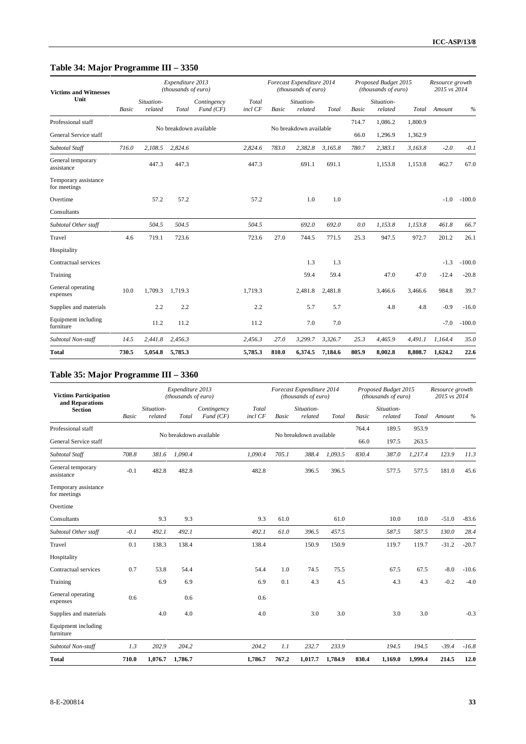## **Table 34: Major Programme III – 3350**

| <b>Victims and Witnesses</b>         |       |                       | Expenditure 2013<br>(thousands of euro) |                         |                  |              | Forecast Expenditure 2014<br>(thousands of euro) |         |              | Proposed Budget 2015<br>(thousands of euro) |         | Resource growth<br>2015 vs 2014 |          |
|--------------------------------------|-------|-----------------------|-----------------------------------------|-------------------------|------------------|--------------|--------------------------------------------------|---------|--------------|---------------------------------------------|---------|---------------------------------|----------|
| Unit                                 | Basic | Situation-<br>related | Total                                   | Contingency<br>Fund(CF) | Total<br>incl CF | <b>Basic</b> | Situation-<br>related                            | Total   | <b>Basic</b> | Situation-<br>related                       | Total   | Amount                          | $\%$     |
| Professional staff                   |       |                       |                                         |                         |                  |              |                                                  |         | 714.7        | 1,086.2                                     | 1,800.9 |                                 |          |
| General Service staff                |       |                       | No breakdown available                  |                         |                  |              | No breakdown available                           |         | 66.0         | 1,296.9                                     | 1,362.9 |                                 |          |
| Subtotal Staff                       | 716.0 | 2,108.5               | 2,824.6                                 |                         | 2,824.6          | 783.0        | 2,382.8                                          | 3,165.8 | 780.7        | 2,383.1                                     | 3,163.8 | $-2.0$                          | $-0.1$   |
| General temporary<br>assistance      |       | 447.3                 | 447.3                                   |                         | 447.3            |              | 691.1                                            | 691.1   |              | 1,153.8                                     | 1,153.8 | 462.7                           | 67.0     |
| Temporary assistance<br>for meetings |       |                       |                                         |                         |                  |              |                                                  |         |              |                                             |         |                                 |          |
| Overtime                             |       | 57.2                  | 57.2                                    |                         | 57.2             |              | 1.0                                              | 1.0     |              |                                             |         | $-1.0$                          | $-100.0$ |
| Consultants                          |       |                       |                                         |                         |                  |              |                                                  |         |              |                                             |         |                                 |          |
| Subtotal Other staff                 |       | 504.5                 | 504.5                                   |                         | 504.5            |              | 692.0                                            | 692.0   | 0.0          | 1,153.8                                     | 1,153.8 | 461.8                           | 66.7     |
| Travel                               | 4.6   | 719.1                 | 723.6                                   |                         | 723.6            | 27.0         | 744.5                                            | 771.5   | 25.3         | 947.5                                       | 972.7   | 201.2                           | 26.1     |
| Hospitality                          |       |                       |                                         |                         |                  |              |                                                  |         |              |                                             |         |                                 |          |
| Contractual services                 |       |                       |                                         |                         |                  |              | 1.3                                              | 1.3     |              |                                             |         | $-1.3$                          | $-100.0$ |
| Training                             |       |                       |                                         |                         |                  |              | 59.4                                             | 59.4    |              | 47.0                                        | 47.0    | $-12.4$                         | $-20.8$  |
| General operating<br>expenses        | 10.0  | 1,709.3               | 1,719.3                                 |                         | 1,719.3          |              | 2,481.8                                          | 2,481.8 |              | 3,466.6                                     | 3,466.6 | 984.8                           | 39.7     |
| Supplies and materials               |       | 2.2                   | 2.2                                     |                         | 2.2              |              | 5.7                                              | 5.7     |              | 4.8                                         | 4.8     | $-0.9$                          | $-16.0$  |
| Equipment including<br>furniture     |       | 11.2                  | 11.2                                    |                         | 11.2             |              | 7.0                                              | 7.0     |              |                                             |         | $-7.0$                          | $-100.0$ |
| Subtotal Non-staff                   | 14.5  | 2,441.8               | 2,456.3                                 |                         | 2,456.3          | 27.0         | 3,299.7                                          | 3,326.7 | 25.3         | 4,465.9                                     | 4,491.1 | 1,164.4                         | 35.0     |
| <b>Total</b>                         | 730.5 | 5,054.8               | 5,785.3                                 |                         | 5,785.3          | 810.0        | 6,374.5                                          | 7,184.6 | 805.9        | 8,002.8                                     | 8,808.7 | 1,624.2                         | 22.6     |

## **Table 35: Major Programme III – 3360**

| <b>Victims Participation</b><br>and Reparations |              |                       | Expenditure 2013<br>(thousands of euro) |                         |                  |              | Forecast Expenditure 2014<br>(thousands of euro) |         |       | Proposed Budget 2015<br>(thousands of euro) |         | Resource growth<br>2015 vs 2014 |         |
|-------------------------------------------------|--------------|-----------------------|-----------------------------------------|-------------------------|------------------|--------------|--------------------------------------------------|---------|-------|---------------------------------------------|---------|---------------------------------|---------|
| <b>Section</b>                                  | <b>Basic</b> | Situation-<br>related | Total                                   | Contingency<br>Fund(CF) | Total<br>incl CF | <b>Basic</b> | Situation-<br>related                            | Total   | Basic | Situation-<br>related                       | Total   | Amount                          | $\%$    |
| Professional staff                              |              |                       |                                         |                         |                  |              |                                                  |         | 764.4 | 189.5                                       | 953.9   |                                 |         |
| General Service staff                           |              |                       | No breakdown available                  |                         |                  |              | No breakdown available                           |         | 66.0  | 197.5                                       | 263.5   |                                 |         |
| Subtotal Staff                                  | 708.8        | 381.6                 | 1,090.4                                 |                         | 1,090.4          | 705.1        | 388.4                                            | 1,093.5 | 830.4 | 387.0                                       | 1,217.4 | 123.9                           | 11.3    |
| General temporary<br>assistance                 | $-0.1$       | 482.8                 | 482.8                                   |                         | 482.8            |              | 396.5                                            | 396.5   |       | 577.5                                       | 577.5   | 181.0                           | 45.6    |
| Temporary assistance<br>for meetings            |              |                       |                                         |                         |                  |              |                                                  |         |       |                                             |         |                                 |         |
| Overtime                                        |              |                       |                                         |                         |                  |              |                                                  |         |       |                                             |         |                                 |         |
| Consultants                                     |              | 9.3                   | 9.3                                     |                         | 9.3              | 61.0         |                                                  | 61.0    |       | 10.0                                        | 10.0    | $-51.0$                         | $-83.6$ |
| Subtotal Other staff                            | $-0.1$       | 492.1                 | 492.1                                   |                         | 492.1            | 61.0         | 396.5                                            | 457.5   |       | 587.5                                       | 587.5   | 130.0                           | 28.4    |
| Travel                                          | 0.1          | 138.3                 | 138.4                                   |                         | 138.4            |              | 150.9                                            | 150.9   |       | 119.7                                       | 119.7   | $-31.2$                         | $-20.7$ |
| Hospitality                                     |              |                       |                                         |                         |                  |              |                                                  |         |       |                                             |         |                                 |         |
| Contractual services                            | 0.7          | 53.8                  | 54.4                                    |                         | 54.4             | 1.0          | 74.5                                             | 75.5    |       | 67.5                                        | 67.5    | $-8.0$                          | $-10.6$ |
| Training                                        |              | 6.9                   | 6.9                                     |                         | 6.9              | 0.1          | 4.3                                              | 4.5     |       | 4.3                                         | 4.3     | $-0.2$                          | $-4.0$  |
| General operating<br>expenses                   | 0.6          |                       | 0.6                                     |                         | 0.6              |              |                                                  |         |       |                                             |         |                                 |         |
| Supplies and materials                          |              | 4.0                   | 4.0                                     |                         | 4.0              |              | 3.0                                              | 3.0     |       | 3.0                                         | 3.0     |                                 | $-0.3$  |
| Equipment including<br>furniture                |              |                       |                                         |                         |                  |              |                                                  |         |       |                                             |         |                                 |         |
| Subtotal Non-staff                              | 1.3          | 202.9                 | 204.2                                   |                         | 204.2            | 1.1          | 232.7                                            | 233.9   |       | 194.5                                       | 194.5   | $-39.4$                         | $-16.8$ |
| <b>Total</b>                                    | 710.0        | 1,076.7               | 1,786.7                                 |                         | 1,786.7          | 767.2        | 1,017.7                                          | 1,784.9 | 830.4 | 1,169.0                                     | 1,999.4 | 214.5                           | 12.0    |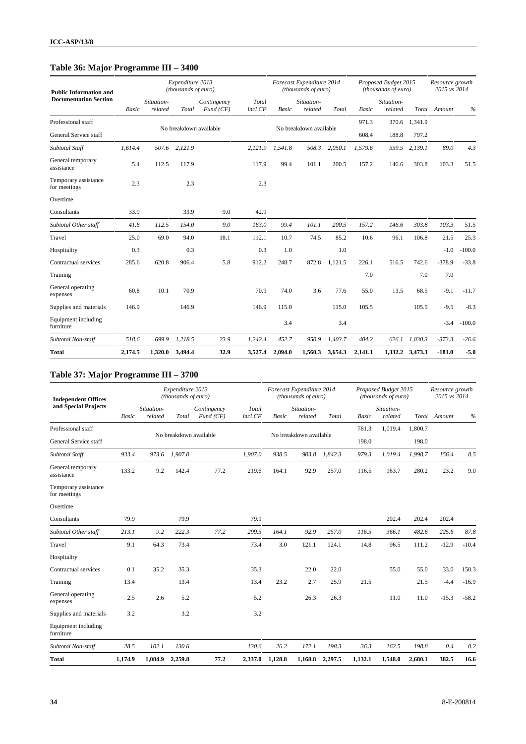### **Table 36: Major Programme III – 3400**

| <b>Public Information and</b>        |         |                       | Expenditure 2013<br>(thousands of euro) |                         |                  |         | Forecast Expenditure 2014<br>(thousands of euro) |         |              | Proposed Budget 2015<br>(thousands of euro) |               | Resource growth<br>2015 vs 2014 |          |
|--------------------------------------|---------|-----------------------|-----------------------------------------|-------------------------|------------------|---------|--------------------------------------------------|---------|--------------|---------------------------------------------|---------------|---------------------------------|----------|
| <b>Documentation Section</b>         | Basic   | Situation-<br>related | Total                                   | Contingency<br>Fund(CF) | Total<br>incl CF | Basic   | Situation-<br>related                            | Total   | <b>Basic</b> | Situation-<br>related                       | Total         | Amount                          | $\%$     |
| Professional staff                   |         |                       |                                         |                         |                  |         |                                                  |         | 971.3        | 370.6                                       | 1,341.9       |                                 |          |
| General Service staff                |         |                       | No breakdown available                  |                         |                  |         | No breakdown available                           |         | 608.4        | 188.8                                       | 797.2         |                                 |          |
| Subtotal Staff                       | 1,614.4 | 507.6                 | 2,121.9                                 |                         | 2,121.9          | 1,541.8 | 508.3                                            | 2,050.1 | 1,579.6      |                                             | 559.5 2,139.1 | 89.0                            | 4.3      |
| General temporary<br>assistance      | 5.4     | 112.5                 | 117.9                                   |                         | 117.9            | 99.4    | 101.1                                            | 200.5   | 157.2        | 146.6                                       | 303.8         | 103.3                           | 51.5     |
| Temporary assistance<br>for meetings | 2.3     |                       | 2.3                                     |                         | 2.3              |         |                                                  |         |              |                                             |               |                                 |          |
| Overtime                             |         |                       |                                         |                         |                  |         |                                                  |         |              |                                             |               |                                 |          |
| Consultants                          | 33.9    |                       | 33.9                                    | 9.0                     | 42.9             |         |                                                  |         |              |                                             |               |                                 |          |
| Subtotal Other staff                 | 41.6    | 112.5                 | 154.0                                   | 9.0                     | 163.0            | 99.4    | 101.1                                            | 200.5   | 157.2        | 146.6                                       | 303.8         | 103.3                           | 51.5     |
| Travel                               | 25.0    | 69.0                  | 94.0                                    | 18.1                    | 112.1            | 10.7    | 74.5                                             | 85.2    | 10.6         | 96.1                                        | 106.8         | 21.5                            | 25.3     |
| Hospitality                          | 0.3     |                       | 0.3                                     |                         | 0.3              | 1.0     |                                                  | 1.0     |              |                                             |               | $-1.0$                          | $-100.0$ |
| Contractual services                 | 285.6   | 620.8                 | 906.4                                   | 5.8                     | 912.2            | 248.7   | 872.8                                            | 1,121.5 | 226.1        | 516.5                                       | 742.6         | $-378.9$                        | $-33.8$  |
| Training                             |         |                       |                                         |                         |                  |         |                                                  |         | 7.0          |                                             | 7.0           | 7.0                             |          |
| General operating<br>expenses        | 60.8    | 10.1                  | 70.9                                    |                         | 70.9             | 74.0    | 3.6                                              | 77.6    | 55.0         | 13.5                                        | 68.5          | $-9.1$                          | $-11.7$  |
| Supplies and materials               | 146.9   |                       | 146.9                                   |                         | 146.9            | 115.0   |                                                  | 115.0   | 105.5        |                                             | 105.5         | $-9.5$                          | $-8.3$   |
| Equipment including<br>furniture     |         |                       |                                         |                         |                  | 3.4     |                                                  | 3.4     |              |                                             |               | $-3.4$                          | $-100.0$ |
| Subtotal Non-staff                   | 518.6   | 699.9                 | 1,218.5                                 | 23.9                    | 1,242.4          | 452.7   | 950.9                                            | 1.403.7 | 404.2        |                                             | 626.1 1,030.3 | $-373.3$                        | $-26.6$  |
| <b>Total</b>                         | 2,174.5 | 1,320.0               | 3,494.4                                 | 32.9                    | 3,527.4          | 2,094.0 | 1,560.3                                          | 3,654.3 | 2,141.1      | 1,332.2                                     | 3,473.3       | $-181.0$                        | $-5.0$   |

# **Table 37: Major Programme III – 3700**

| <b>Independent Offices</b>           |              |                       | Expenditure 2013<br>(thousands of euro) |                         |                  |         | Forecast Expenditure 2014<br>(thousands of euro) |         |         | Proposed Budget 2015<br>(thousands of euro) |         | Resource growth<br>2015 vs 2014 |         |
|--------------------------------------|--------------|-----------------------|-----------------------------------------|-------------------------|------------------|---------|--------------------------------------------------|---------|---------|---------------------------------------------|---------|---------------------------------|---------|
| and Special Projects                 | <b>Basic</b> | Situation-<br>related | Total                                   | Contingency<br>Fund(CF) | Total<br>incl CF | Basic   | Situation-<br>related                            | Total   | Basic   | Situation-<br>related                       | Total   | Amount                          | $\%$    |
| Professional staff                   |              |                       |                                         |                         |                  |         |                                                  |         | 781.3   | 1,019.4                                     | 1,800.7 |                                 |         |
| General Service staff                |              |                       | No breakdown available                  |                         |                  |         | No breakdown available                           |         | 198.0   |                                             | 198.0   |                                 |         |
| Subtotal Staff                       | 933.4        | 973.6                 | 1,907.0                                 |                         | 1,907.0          | 938.5   | 903.8                                            | 1,842.3 | 979.3   | 1,019.4                                     | 1,998.7 | 156.4                           | 8.5     |
| General temporary<br>assistance      | 133.2        | 9.2                   | 142.4                                   | 77.2                    | 219.6            | 164.1   | 92.9                                             | 257.0   | 116.5   | 163.7                                       | 280.2   | 23.2                            | 9.0     |
| Temporary assistance<br>for meetings |              |                       |                                         |                         |                  |         |                                                  |         |         |                                             |         |                                 |         |
| Overtime                             |              |                       |                                         |                         |                  |         |                                                  |         |         |                                             |         |                                 |         |
| Consultants                          | 79.9         |                       | 79.9                                    |                         | 79.9             |         |                                                  |         |         | 202.4                                       | 202.4   | 202.4                           |         |
| Subtotal Other staff                 | 213.1        | 9.2                   | 222.3                                   | 77.2                    | 299.5            | 164.1   | 92.9                                             | 257.0   | 116.5   | 366.1                                       | 482.6   | 225.6                           | 87.8    |
| Travel                               | 9.1          | 64.3                  | 73.4                                    |                         | 73.4             | 3.0     | 121.1                                            | 124.1   | 14.8    | 96.5                                        | 111.2   | $-12.9$                         | $-10.4$ |
| Hospitality                          |              |                       |                                         |                         |                  |         |                                                  |         |         |                                             |         |                                 |         |
| Contractual services                 | 0.1          | 35.2                  | 35.3                                    |                         | 35.3             |         | 22.0                                             | 22.0    |         | 55.0                                        | 55.0    | 33.0                            | 150.3   |
| Training                             | 13.4         |                       | 13.4                                    |                         | 13.4             | 23.2    | 2.7                                              | 25.9    | 21.5    |                                             | 21.5    | $-4.4$                          | $-16.9$ |
| General operating<br>expenses        | 2.5          | 2.6                   | 5.2                                     |                         | 5.2              |         | 26.3                                             | 26.3    |         | 11.0                                        | 11.0    | $-15.3$                         | $-58.2$ |
| Supplies and materials               | 3.2          |                       | 3.2                                     |                         | 3.2              |         |                                                  |         |         |                                             |         |                                 |         |
| Equipment including<br>furniture     |              |                       |                                         |                         |                  |         |                                                  |         |         |                                             |         |                                 |         |
| Subtotal Non-staff                   | 28.5         | 102.1                 | 130.6                                   |                         | 130.6            | 26.2    | 172.1                                            | 198.3   | 36.3    | 162.5                                       | 198.8   | 0.4                             | 0.2     |
| <b>Total</b>                         | 1,174.9      | 1,084.9               | 2,259.8                                 | 77.2                    | 2,337.0          | 1,128.8 | 1,168.8                                          | 2,297.5 | 1,132.1 | 1,548.0                                     | 2,680.1 | 382.5                           | 16.6    |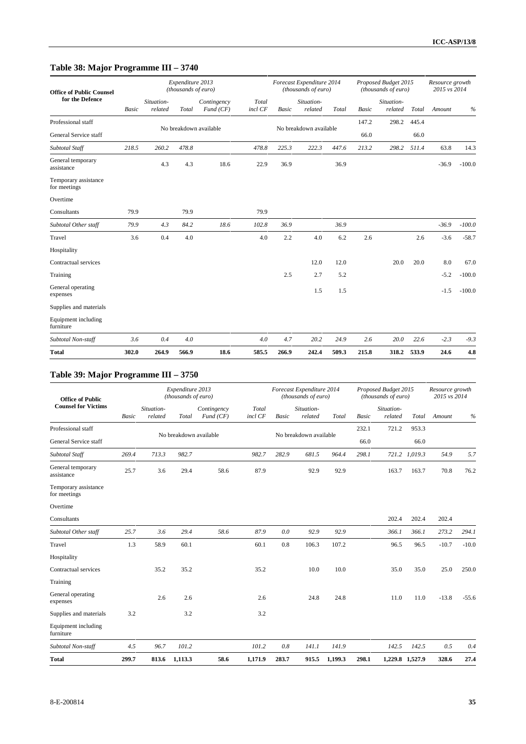### **Table 38: Major Programme III – 3740**

| <b>Office of Public Counsel</b>      |       |                       | Expenditure 2013<br>(thousands of euro) |                         |                  |       | Forecast Expenditure 2014<br>(thousands of euro) |       |       | Proposed Budget 2015<br>(thousands of euro) |       | Resource growth<br>2015 vs 2014 |          |
|--------------------------------------|-------|-----------------------|-----------------------------------------|-------------------------|------------------|-------|--------------------------------------------------|-------|-------|---------------------------------------------|-------|---------------------------------|----------|
| for the Defence                      | Basic | Situation-<br>related | Total                                   | Contingency<br>Fund(CF) | Total<br>incl CF | Basic | Situation-<br>related                            | Total | Basic | Situation-<br>related                       | Total | Amount                          | $\%$     |
| Professional staff                   |       |                       |                                         |                         |                  |       |                                                  |       | 147.2 | 298.2                                       | 445.4 |                                 |          |
| General Service staff                |       |                       |                                         | No breakdown available  |                  |       | No breakdown available                           |       | 66.0  |                                             | 66.0  |                                 |          |
| Subtotal Staff                       | 218.5 | 260.2                 | 478.8                                   |                         | 478.8            | 225.3 | 222.3                                            | 447.6 | 213.2 | 298.2                                       | 511.4 | 63.8                            | 14.3     |
| General temporary<br>assistance      |       | 4.3                   | 4.3                                     | 18.6                    | 22.9             | 36.9  |                                                  | 36.9  |       |                                             |       | $-36.9$                         | $-100.0$ |
| Temporary assistance<br>for meetings |       |                       |                                         |                         |                  |       |                                                  |       |       |                                             |       |                                 |          |
| Overtime                             |       |                       |                                         |                         |                  |       |                                                  |       |       |                                             |       |                                 |          |
| Consultants                          | 79.9  |                       | 79.9                                    |                         | 79.9             |       |                                                  |       |       |                                             |       |                                 |          |
| Subtotal Other staff                 | 79.9  | 4.3                   | 84.2                                    | 18.6                    | 102.8            | 36.9  |                                                  | 36.9  |       |                                             |       | $-36.9$                         | $-100.0$ |
| Travel                               | 3.6   | 0.4                   | 4.0                                     |                         | 4.0              | 2.2   | 4.0                                              | 6.2   | 2.6   |                                             | 2.6   | $-3.6$                          | $-58.7$  |
| Hospitality                          |       |                       |                                         |                         |                  |       |                                                  |       |       |                                             |       |                                 |          |
| Contractual services                 |       |                       |                                         |                         |                  |       | 12.0                                             | 12.0  |       | 20.0                                        | 20.0  | 8.0                             | 67.0     |
| Training                             |       |                       |                                         |                         |                  | 2.5   | 2.7                                              | 5.2   |       |                                             |       | $-5.2$                          | $-100.0$ |
| General operating<br>expenses        |       |                       |                                         |                         |                  |       | 1.5                                              | 1.5   |       |                                             |       | $-1.5$                          | $-100.0$ |
| Supplies and materials               |       |                       |                                         |                         |                  |       |                                                  |       |       |                                             |       |                                 |          |
| Equipment including<br>furniture     |       |                       |                                         |                         |                  |       |                                                  |       |       |                                             |       |                                 |          |
| Subtotal Non-staff                   | 3.6   | 0.4                   | 4.0                                     |                         | 4.0              | 4.7   | 20.2                                             | 24.9  | 2.6   | 20.0                                        | 22.6  | $-2.3$                          | $-9.3$   |
| <b>Total</b>                         | 302.0 | 264.9                 | 566.9                                   | 18.6                    | 585.5            | 266.9 | 242.4                                            | 509.3 | 215.8 | 318.2                                       | 533.9 | 24.6                            | 4.8      |

## **Table 39: Major Programme III – 3750**

| <b>Office of Public</b>              |       |                       | Expenditure 2013<br>(thousands of euro) |                         |                  |              | Forecast Expenditure 2014<br>(thousands of euro) |         |       | Proposed Budget 2015<br>(thousands of euro) |                 | Resource growth<br>2015 vs 2014 |         |
|--------------------------------------|-------|-----------------------|-----------------------------------------|-------------------------|------------------|--------------|--------------------------------------------------|---------|-------|---------------------------------------------|-----------------|---------------------------------|---------|
| <b>Counsel for Victims</b>           | Basic | Situation-<br>related | Total                                   | Contingency<br>Fund(CF) | Total<br>incl CF | <b>Basic</b> | Situation-<br>related                            | Total   | Basic | Situation-<br>related                       | Total           | Amount                          | $\%$    |
| Professional staff                   |       |                       |                                         |                         |                  |              |                                                  |         | 232.1 | 721.2                                       | 953.3           |                                 |         |
| General Service staff                |       |                       | No breakdown available                  |                         |                  |              | No breakdown available                           |         | 66.0  |                                             | 66.0            |                                 |         |
| Subtotal Staff                       | 269.4 | 713.3                 | 982.7                                   |                         | 982.7            | 282.9        | 681.5                                            | 964.4   | 298.1 |                                             | 721.2 1,019.3   | 54.9                            | 5.7     |
| General temporary<br>assistance      | 25.7  | 3.6                   | 29.4                                    | 58.6                    | 87.9             |              | 92.9                                             | 92.9    |       | 163.7                                       | 163.7           | 70.8                            | 76.2    |
| Temporary assistance<br>for meetings |       |                       |                                         |                         |                  |              |                                                  |         |       |                                             |                 |                                 |         |
| Overtime                             |       |                       |                                         |                         |                  |              |                                                  |         |       |                                             |                 |                                 |         |
| Consultants                          |       |                       |                                         |                         |                  |              |                                                  |         |       | 202.4                                       | 202.4           | 202.4                           |         |
| Subtotal Other staff                 | 25.7  | 3.6                   | 29.4                                    | 58.6                    | 87.9             | 0.0          | 92.9                                             | 92.9    |       | 366.1                                       | 366.1           | 273.2                           | 294.1   |
| Travel                               | 1.3   | 58.9                  | 60.1                                    |                         | 60.1             | 0.8          | 106.3                                            | 107.2   |       | 96.5                                        | 96.5            | $-10.7$                         | $-10.0$ |
| Hospitality                          |       |                       |                                         |                         |                  |              |                                                  |         |       |                                             |                 |                                 |         |
| Contractual services                 |       | 35.2                  | 35.2                                    |                         | 35.2             |              | 10.0                                             | 10.0    |       | 35.0                                        | 35.0            | 25.0                            | 250.0   |
| Training                             |       |                       |                                         |                         |                  |              |                                                  |         |       |                                             |                 |                                 |         |
| General operating<br>expenses        |       | 2.6                   | 2.6                                     |                         | 2.6              |              | 24.8                                             | 24.8    |       | 11.0                                        | 11.0            | $-13.8$                         | $-55.6$ |
| Supplies and materials               | 3.2   |                       | 3.2                                     |                         | 3.2              |              |                                                  |         |       |                                             |                 |                                 |         |
| Equipment including<br>furniture     |       |                       |                                         |                         |                  |              |                                                  |         |       |                                             |                 |                                 |         |
| Subtotal Non-staff                   | 4.5   | 96.7                  | 101.2                                   |                         | 101.2            | 0.8          | 141.1                                            | 141.9   |       | 142.5                                       | 142.5           | 0.5                             | 0.4     |
| <b>Total</b>                         | 299.7 | 813.6                 | 1,113.3                                 | 58.6                    | 1,171.9          | 283.7        | 915.5                                            | 1,199.3 | 298.1 |                                             | 1,229.8 1,527.9 | 328.6                           | 27.4    |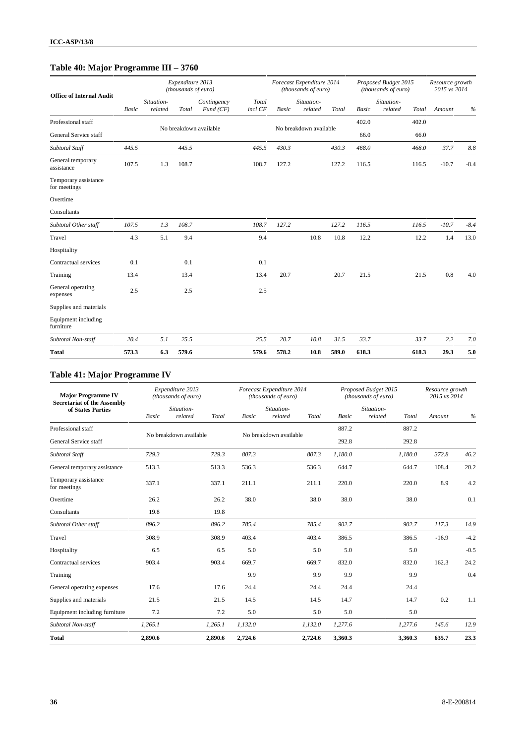## **Table 40: Major Programme III – 3760**

| <b>Office of Internal Audit</b>      |              |                       | Expenditure 2013<br>(thousands of euro) |                         |                  |       | Forecast Expenditure 2014<br>(thousands of euro) |       |              | Proposed Budget 2015<br>(thousands of euro) |       | Resource growth<br>2015 vs 2014 |        |
|--------------------------------------|--------------|-----------------------|-----------------------------------------|-------------------------|------------------|-------|--------------------------------------------------|-------|--------------|---------------------------------------------|-------|---------------------------------|--------|
|                                      | <b>Basic</b> | Situation-<br>related | Total                                   | Contingency<br>Fund(CF) | Total<br>incl CF | Basic | Situation-<br>related                            | Total | <b>Basic</b> | Situation-<br>related                       | Total | Amount                          | $\%$   |
| Professional staff                   |              |                       |                                         |                         |                  |       |                                                  |       | 402.0        |                                             | 402.0 |                                 |        |
| General Service staff                |              |                       |                                         | No breakdown available  |                  |       | No breakdown available                           |       | 66.0         |                                             | 66.0  |                                 |        |
| Subtotal Staff                       | 445.5        |                       | 445.5                                   |                         | 445.5            | 430.3 |                                                  | 430.3 | 468.0        |                                             | 468.0 | 37.7                            | 8.8    |
| General temporary<br>assistance      | 107.5        | 1.3                   | 108.7                                   |                         | 108.7            | 127.2 |                                                  | 127.2 | 116.5        |                                             | 116.5 | $-10.7$                         | $-8.4$ |
| Temporary assistance<br>for meetings |              |                       |                                         |                         |                  |       |                                                  |       |              |                                             |       |                                 |        |
| Overtime                             |              |                       |                                         |                         |                  |       |                                                  |       |              |                                             |       |                                 |        |
| Consultants                          |              |                       |                                         |                         |                  |       |                                                  |       |              |                                             |       |                                 |        |
| Subtotal Other staff                 | 107.5        | 1.3                   | 108.7                                   |                         | 108.7            | 127.2 |                                                  | 127.2 | 116.5        |                                             | 116.5 | $-10.7$                         | $-8.4$ |
| Travel                               | 4.3          | 5.1                   | 9.4                                     |                         | 9.4              |       | 10.8                                             | 10.8  | 12.2         |                                             | 12.2  | 1.4                             | 13.0   |
| Hospitality                          |              |                       |                                         |                         |                  |       |                                                  |       |              |                                             |       |                                 |        |
| Contractual services                 | 0.1          |                       | 0.1                                     |                         | 0.1              |       |                                                  |       |              |                                             |       |                                 |        |
| Training                             | 13.4         |                       | 13.4                                    |                         | 13.4             | 20.7  |                                                  | 20.7  | 21.5         |                                             | 21.5  | 0.8                             | 4.0    |
| General operating<br>expenses        | 2.5          |                       | 2.5                                     |                         | 2.5              |       |                                                  |       |              |                                             |       |                                 |        |
| Supplies and materials               |              |                       |                                         |                         |                  |       |                                                  |       |              |                                             |       |                                 |        |
| Equipment including<br>furniture     |              |                       |                                         |                         |                  |       |                                                  |       |              |                                             |       |                                 |        |
| Subtotal Non-staff                   | 20.4         | 5.1                   | 25.5                                    |                         | 25.5             | 20.7  | 10.8                                             | 31.5  | 33.7         |                                             | 33.7  | 2.2                             | 7.0    |
| <b>Total</b>                         | 573.3        | 6.3                   | 579.6                                   |                         | 579.6            | 578.2 | 10.8                                             | 589.0 | 618.3        |                                             | 618.3 | 29.3                            | 5.0    |

## **Table 41: Major Programme IV**

| <b>Major Programme IV</b>                               |         | Expenditure 2013<br>(thousands of euro) |         |              | Forecast Expenditure 2014<br>(thousands of euro) |         |              | Proposed Budget 2015<br>(thousands of euro) |         | Resource growth<br>2015 vs 2014 |        |
|---------------------------------------------------------|---------|-----------------------------------------|---------|--------------|--------------------------------------------------|---------|--------------|---------------------------------------------|---------|---------------------------------|--------|
| <b>Secretariat of the Assembly</b><br>of States Parties | Basic   | Situation-<br>related                   | Total   | <b>Basic</b> | Situation-<br>related                            | Total   | <b>Basic</b> | Situation-<br>related                       | Total   | <b>Amount</b>                   | $\%$   |
| Professional staff                                      |         |                                         |         |              |                                                  |         | 887.2        |                                             | 887.2   |                                 |        |
| General Service staff                                   |         | No breakdown available                  |         |              | No breakdown available                           |         | 292.8        |                                             | 292.8   |                                 |        |
| Subtotal Staff                                          | 729.3   |                                         | 729.3   | 807.3        |                                                  | 807.3   | 1,180.0      |                                             | 1,180.0 | 372.8                           | 46.2   |
| General temporary assistance                            | 513.3   |                                         | 513.3   | 536.3        |                                                  | 536.3   | 644.7        |                                             | 644.7   | 108.4                           | 20.2   |
| Temporary assistance<br>for meetings                    | 337.1   |                                         | 337.1   | 211.1        |                                                  | 211.1   | 220.0        |                                             | 220.0   | 8.9                             | 4.2    |
| Overtime                                                | 26.2    |                                         | 26.2    | 38.0         |                                                  | 38.0    | 38.0         |                                             | 38.0    |                                 | 0.1    |
| Consultants                                             | 19.8    |                                         | 19.8    |              |                                                  |         |              |                                             |         |                                 |        |
| Subtotal Other staff                                    | 896.2   |                                         | 896.2   | 785.4        |                                                  | 785.4   | 902.7        |                                             | 902.7   | 117.3                           | 14.9   |
| Travel                                                  | 308.9   |                                         | 308.9   | 403.4        |                                                  | 403.4   | 386.5        |                                             | 386.5   | $-16.9$                         | $-4.2$ |
| Hospitality                                             | 6.5     |                                         | 6.5     | 5.0          |                                                  | 5.0     | 5.0          |                                             | 5.0     |                                 | $-0.5$ |
| Contractual services                                    | 903.4   |                                         | 903.4   | 669.7        |                                                  | 669.7   | 832.0        |                                             | 832.0   | 162.3                           | 24.2   |
| Training                                                |         |                                         |         | 9.9          |                                                  | 9.9     | 9.9          |                                             | 9.9     |                                 | 0.4    |
| General operating expenses                              | 17.6    |                                         | 17.6    | 24.4         |                                                  | 24.4    | 24.4         |                                             | 24.4    |                                 |        |
| Supplies and materials                                  | 21.5    |                                         | 21.5    | 14.5         |                                                  | 14.5    | 14.7         |                                             | 14.7    | 0.2                             | 1.1    |
| Equipment including furniture                           | 7.2     |                                         | 7.2     | 5.0          |                                                  | 5.0     | 5.0          |                                             | 5.0     |                                 |        |
| Subtotal Non-staff                                      | 1,265.1 |                                         | 1,265.1 | 1,132.0      |                                                  | 1,132.0 | 1,277.6      |                                             | 1,277.6 | 145.6                           | 12.9   |
| <b>Total</b>                                            | 2,890.6 |                                         | 2,890.6 | 2,724.6      |                                                  | 2,724.6 | 3,360.3      |                                             | 3,360.3 | 635.7                           | 23.3   |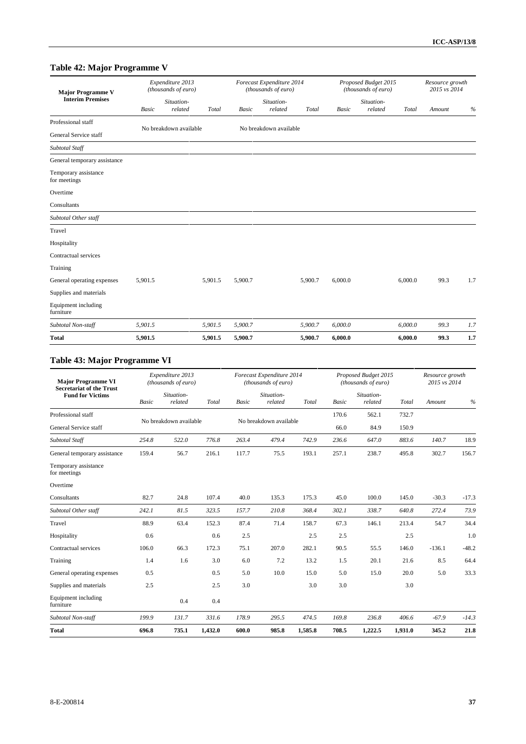### **Table 42: Major Programme V**

| <b>Major Programme V</b>             |              | Expenditure 2013<br>(thousands of euro) |         |         | Forecast Expenditure 2014<br>(thousands of euro) |         |              | Proposed Budget 2015<br>(thousands of euro) |         | Resource growth<br>2015 vs 2014 |      |
|--------------------------------------|--------------|-----------------------------------------|---------|---------|--------------------------------------------------|---------|--------------|---------------------------------------------|---------|---------------------------------|------|
| <b>Interim Premises</b>              | <b>Basic</b> | Situation-<br>related                   | Total   | Basic   | Situation-<br>related                            | Total   | <b>Basic</b> | Situation-<br>related                       | Total   | Amount                          | $\%$ |
| Professional staff                   |              |                                         |         |         |                                                  |         |              |                                             |         |                                 |      |
| General Service staff                |              | No breakdown available                  |         |         | No breakdown available                           |         |              |                                             |         |                                 |      |
| Subtotal Staff                       |              |                                         |         |         |                                                  |         |              |                                             |         |                                 |      |
| General temporary assistance         |              |                                         |         |         |                                                  |         |              |                                             |         |                                 |      |
| Temporary assistance<br>for meetings |              |                                         |         |         |                                                  |         |              |                                             |         |                                 |      |
| Overtime                             |              |                                         |         |         |                                                  |         |              |                                             |         |                                 |      |
| Consultants                          |              |                                         |         |         |                                                  |         |              |                                             |         |                                 |      |
| Subtotal Other staff                 |              |                                         |         |         |                                                  |         |              |                                             |         |                                 |      |
| Travel                               |              |                                         |         |         |                                                  |         |              |                                             |         |                                 |      |
| Hospitality                          |              |                                         |         |         |                                                  |         |              |                                             |         |                                 |      |
| Contractual services                 |              |                                         |         |         |                                                  |         |              |                                             |         |                                 |      |
| Training                             |              |                                         |         |         |                                                  |         |              |                                             |         |                                 |      |
| General operating expenses           | 5,901.5      |                                         | 5,901.5 | 5,900.7 |                                                  | 5,900.7 | 6,000.0      |                                             | 6,000.0 | 99.3                            | 1.7  |
| Supplies and materials               |              |                                         |         |         |                                                  |         |              |                                             |         |                                 |      |
| Equipment including<br>furniture     |              |                                         |         |         |                                                  |         |              |                                             |         |                                 |      |
| Subtotal Non-staff                   | 5,901.5      |                                         | 5,901.5 | 5,900.7 |                                                  | 5,900.7 | 6,000.0      |                                             | 6,000,0 | 99.3                            | 1.7  |
| <b>Total</b>                         | 5,901.5      |                                         | 5,901.5 | 5,900.7 |                                                  | 5,900.7 | 6,000.0      |                                             | 6,000.0 | 99.3                            | 1.7  |

### **Table 43: Major Programme VI**

| <b>Major Programme VI</b><br><b>Secretariat of the Trust</b> |       | Expenditure 2013<br>(thousands of euro) |         |              | Forecast Expenditure 2014<br>(thousands of euro) |         |       | Proposed Budget 2015<br>(thousands of euro) |         | Resource growth<br>2015 vs 2014 |         |  |
|--------------------------------------------------------------|-------|-----------------------------------------|---------|--------------|--------------------------------------------------|---------|-------|---------------------------------------------|---------|---------------------------------|---------|--|
| <b>Fund for Victims</b>                                      | Basic | Situation-<br>related                   | Total   | <b>Basic</b> | Situation-<br>related                            | Total   | Basic | Situation-<br>related                       | Total   | Amount                          | $\%$    |  |
| Professional staff                                           |       |                                         |         |              |                                                  |         | 170.6 | 562.1                                       | 732.7   |                                 |         |  |
| General Service staff                                        |       | No breakdown available                  |         |              | No breakdown available                           |         | 66.0  | 84.9                                        | 150.9   |                                 |         |  |
| Subtotal Staff                                               | 254.8 | 522.0                                   | 776.8   | 263.4        | 479.4                                            | 742.9   | 236.6 | 647.0                                       | 883.6   | 140.7                           | 18.9    |  |
| General temporary assistance                                 | 159.4 | 56.7                                    | 216.1   | 117.7        | 75.5                                             | 193.1   | 257.1 | 238.7                                       | 495.8   | 302.7                           | 156.7   |  |
| Temporary assistance<br>for meetings                         |       |                                         |         |              |                                                  |         |       |                                             |         |                                 |         |  |
| Overtime                                                     |       |                                         |         |              |                                                  |         |       |                                             |         |                                 |         |  |
| Consultants                                                  | 82.7  | 24.8                                    | 107.4   | 40.0         | 135.3                                            | 175.3   | 45.0  | 100.0                                       | 145.0   | $-30.3$                         | $-17.3$ |  |
| Subtotal Other staff                                         | 242.1 | 81.5                                    | 323.5   | 157.7        | 210.8                                            | 368.4   | 302.1 | 338.7                                       | 640.8   | 272.4                           | 73.9    |  |
| Travel                                                       | 88.9  | 63.4                                    | 152.3   | 87.4         | 71.4                                             | 158.7   | 67.3  | 146.1                                       | 213.4   | 54.7                            | 34.4    |  |
| Hospitality                                                  | 0.6   |                                         | 0.6     | 2.5          |                                                  | 2.5     | 2.5   |                                             | 2.5     |                                 | 1.0     |  |
| Contractual services                                         | 106.0 | 66.3                                    | 172.3   | 75.1         | 207.0                                            | 282.1   | 90.5  | 55.5                                        | 146.0   | $-136.1$                        | $-48.2$ |  |
| Training                                                     | 1.4   | 1.6                                     | 3.0     | 6.0          | 7.2                                              | 13.2    | 1.5   | 20.1                                        | 21.6    | 8.5                             | 64.4    |  |
| General operating expenses                                   | 0.5   |                                         | 0.5     | 5.0          | 10.0                                             | 15.0    | 5.0   | 15.0                                        | 20.0    | 5.0                             | 33.3    |  |
| Supplies and materials                                       | 2.5   |                                         | 2.5     | 3.0          |                                                  | 3.0     | 3.0   |                                             | 3.0     |                                 |         |  |
| Equipment including<br>furniture                             |       | 0.4                                     | 0.4     |              |                                                  |         |       |                                             |         |                                 |         |  |
| Subtotal Non-staff                                           | 199.9 | 131.7                                   | 331.6   | 178.9        | 295.5                                            | 474.5   | 169.8 | 236.8                                       | 406.6   | $-67.9$                         | $-14.3$ |  |
| <b>Total</b>                                                 | 696.8 | 735.1                                   | 1,432.0 | 600.0        | 985.8                                            | 1,585.8 | 708.5 | 1,222.5                                     | 1,931.0 | 345.2                           | 21.8    |  |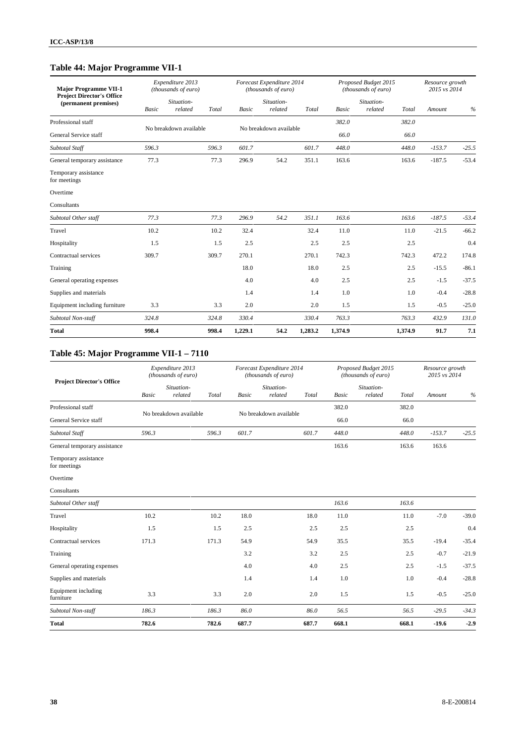## **Table 44: Major Programme VII-1**

| <b>Major Programme VII-1</b><br><b>Project Director's Office</b> |       | Expenditure 2013<br>(thousands of euro) |       |              | Forecast Expenditure 2014<br>(thousands of euro) |         |              | Proposed Budget 2015<br>(thousands of euro) |         | Resource growth<br>2015 vs 2014 |         |
|------------------------------------------------------------------|-------|-----------------------------------------|-------|--------------|--------------------------------------------------|---------|--------------|---------------------------------------------|---------|---------------------------------|---------|
| (permanent premises)                                             | Basic | Situation-<br>related                   | Total | <b>Basic</b> | Situation-<br>related                            | Total   | <b>Basic</b> | Situation-<br>related                       | Total   | Amount                          | $\%$    |
| Professional staff                                               |       |                                         |       |              |                                                  |         | 382.0        |                                             | 382.0   |                                 |         |
| General Service staff                                            |       | No breakdown available                  |       |              | No breakdown available                           |         | 66.0         |                                             | 66.0    |                                 |         |
| Subtotal Staff                                                   | 596.3 |                                         | 596.3 | 601.7        |                                                  | 601.7   | 448.0        |                                             | 448.0   | $-153.7$                        | $-25.5$ |
| General temporary assistance                                     | 77.3  |                                         | 77.3  | 296.9        | 54.2                                             | 351.1   | 163.6        |                                             | 163.6   | $-187.5$                        | $-53.4$ |
| Temporary assistance<br>for meetings                             |       |                                         |       |              |                                                  |         |              |                                             |         |                                 |         |
| Overtime                                                         |       |                                         |       |              |                                                  |         |              |                                             |         |                                 |         |
| Consultants                                                      |       |                                         |       |              |                                                  |         |              |                                             |         |                                 |         |
| Subtotal Other staff                                             | 77.3  |                                         | 77.3  | 296.9        | 54.2                                             | 351.1   | 163.6        |                                             | 163.6   | $-187.5$                        | $-53.4$ |
| Travel                                                           | 10.2  |                                         | 10.2  | 32.4         |                                                  | 32.4    | 11.0         |                                             | 11.0    | $-21.5$                         | $-66.2$ |
| Hospitality                                                      | 1.5   |                                         | 1.5   | 2.5          |                                                  | 2.5     | 2.5          |                                             | 2.5     |                                 | 0.4     |
| Contractual services                                             | 309.7 |                                         | 309.7 | 270.1        |                                                  | 270.1   | 742.3        |                                             | 742.3   | 472.2                           | 174.8   |
| Training                                                         |       |                                         |       | 18.0         |                                                  | 18.0    | 2.5          |                                             | 2.5     | $-15.5$                         | $-86.1$ |
| General operating expenses                                       |       |                                         |       | 4.0          |                                                  | 4.0     | 2.5          |                                             | 2.5     | $-1.5$                          | $-37.5$ |
| Supplies and materials                                           |       |                                         |       | 1.4          |                                                  | 1.4     | 1.0          |                                             | 1.0     | $-0.4$                          | $-28.8$ |
| Equipment including furniture                                    | 3.3   |                                         | 3.3   | 2.0          |                                                  | 2.0     | 1.5          |                                             | 1.5     | $-0.5$                          | $-25.0$ |
| Subtotal Non-staff                                               | 324.8 |                                         | 324.8 | 330.4        |                                                  | 330.4   | 763.3        |                                             | 763.3   | 432.9                           | 131.0   |
| <b>Total</b>                                                     | 998.4 |                                         | 998.4 | 1,229.1      | 54.2                                             | 1,283.2 | 1,374.9      |                                             | 1,374.9 | 91.7                            | 7.1     |

### **Table 45: Major Programme VII-1 – 7110**

|                                      | Expenditure 2013<br>(thousands of euro) |                        |       |       | Forecast Expenditure 2014<br>(thousands of euro) |       | Proposed Budget 2015<br>(thousands of euro) |                       |       | Resource growth<br>2015 vs 2014 |         |  |
|--------------------------------------|-----------------------------------------|------------------------|-------|-------|--------------------------------------------------|-------|---------------------------------------------|-----------------------|-------|---------------------------------|---------|--|
| <b>Project Director's Office</b>     | Basic                                   | Situation-<br>related  | Total | Basic | Situation-<br>related                            | Total | Basic                                       | Situation-<br>related | Total | Amount                          | $\%$    |  |
| Professional staff                   |                                         |                        |       |       |                                                  |       | 382.0                                       |                       | 382.0 |                                 |         |  |
| General Service staff                |                                         | No breakdown available |       |       | No breakdown available                           |       | 66.0                                        |                       | 66.0  |                                 |         |  |
| Subtotal Staff                       | 596.3                                   |                        | 596.3 | 601.7 |                                                  | 601.7 | 448.0                                       |                       | 448.0 | $-153.7$                        | $-25.5$ |  |
| General temporary assistance         |                                         |                        |       |       |                                                  |       | 163.6                                       |                       | 163.6 | 163.6                           |         |  |
| Temporary assistance<br>for meetings |                                         |                        |       |       |                                                  |       |                                             |                       |       |                                 |         |  |
| Overtime                             |                                         |                        |       |       |                                                  |       |                                             |                       |       |                                 |         |  |
| Consultants                          |                                         |                        |       |       |                                                  |       |                                             |                       |       |                                 |         |  |
| Subtotal Other staff                 |                                         |                        |       |       |                                                  |       | 163.6                                       |                       | 163.6 |                                 |         |  |
| Travel                               | 10.2                                    |                        | 10.2  | 18.0  |                                                  | 18.0  | 11.0                                        |                       | 11.0  | $-7.0$                          | $-39.0$ |  |
| Hospitality                          | 1.5                                     |                        | 1.5   | 2.5   |                                                  | 2.5   | 2.5                                         |                       | 2.5   |                                 | 0.4     |  |
| Contractual services                 | 171.3                                   |                        | 171.3 | 54.9  |                                                  | 54.9  | 35.5                                        |                       | 35.5  | $-19.4$                         | $-35.4$ |  |
| Training                             |                                         |                        |       | 3.2   |                                                  | 3.2   | 2.5                                         |                       | 2.5   | $-0.7$                          | $-21.9$ |  |
| General operating expenses           |                                         |                        |       | 4.0   |                                                  | 4.0   | 2.5                                         |                       | 2.5   | $-1.5$                          | $-37.5$ |  |
| Supplies and materials               |                                         |                        |       | 1.4   |                                                  | 1.4   | 1.0                                         |                       | 1.0   | $-0.4$                          | $-28.8$ |  |
| Equipment including<br>furniture     | 3.3                                     |                        | 3.3   | 2.0   |                                                  | 2.0   | 1.5                                         |                       | 1.5   | $-0.5$                          | $-25.0$ |  |
| Subtotal Non-staff                   | 186.3                                   |                        | 186.3 | 86.0  |                                                  | 86.0  | 56.5                                        |                       | 56.5  | $-29.5$                         | $-34.3$ |  |
| <b>Total</b>                         | 782.6                                   |                        | 782.6 | 687.7 |                                                  | 687.7 | 668.1                                       |                       | 668.1 | $-19.6$                         | $-2.9$  |  |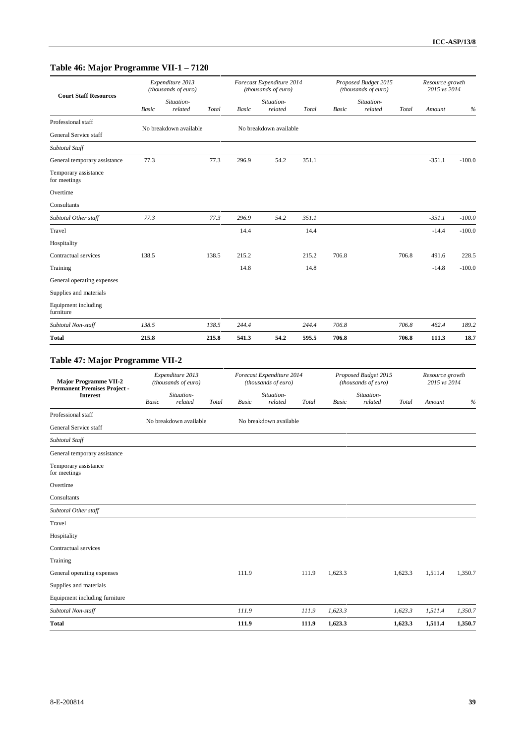## **Table 46: Major Programme VII-1 – 7120**

| <b>Court Staff Resources</b>         | Expenditure 2013<br>(thousands of euro) |                        |       |       | Forecast Expenditure 2014<br>(thousands of euro) |       |       | Proposed Budget 2015<br>(thousands of euro) |       | Resource growth<br>2015 vs 2014 |          |
|--------------------------------------|-----------------------------------------|------------------------|-------|-------|--------------------------------------------------|-------|-------|---------------------------------------------|-------|---------------------------------|----------|
|                                      | Basic                                   | Situation-<br>related  | Total | Basic | Situation-<br>related                            | Total | Basic | Situation-<br>related                       | Total | Amount                          | $\%$     |
| Professional staff                   |                                         | No breakdown available |       |       | No breakdown available                           |       |       |                                             |       |                                 |          |
| General Service staff                |                                         |                        |       |       |                                                  |       |       |                                             |       |                                 |          |
| Subtotal Staff                       |                                         |                        |       |       |                                                  |       |       |                                             |       |                                 |          |
| General temporary assistance         | 77.3                                    |                        | 77.3  | 296.9 | 54.2                                             | 351.1 |       |                                             |       | $-351.1$                        | $-100.0$ |
| Temporary assistance<br>for meetings |                                         |                        |       |       |                                                  |       |       |                                             |       |                                 |          |
| Overtime                             |                                         |                        |       |       |                                                  |       |       |                                             |       |                                 |          |
| Consultants                          |                                         |                        |       |       |                                                  |       |       |                                             |       |                                 |          |
| Subtotal Other staff                 | 77.3                                    |                        | 77.3  | 296.9 | 54.2                                             | 351.1 |       |                                             |       | $-351.1$                        | $-100.0$ |
| Travel                               |                                         |                        |       | 14.4  |                                                  | 14.4  |       |                                             |       | $-14.4$                         | $-100.0$ |
| Hospitality                          |                                         |                        |       |       |                                                  |       |       |                                             |       |                                 |          |
| Contractual services                 | 138.5                                   |                        | 138.5 | 215.2 |                                                  | 215.2 | 706.8 |                                             | 706.8 | 491.6                           | 228.5    |
| Training                             |                                         |                        |       | 14.8  |                                                  | 14.8  |       |                                             |       | $-14.8$                         | $-100.0$ |
| General operating expenses           |                                         |                        |       |       |                                                  |       |       |                                             |       |                                 |          |
| Supplies and materials               |                                         |                        |       |       |                                                  |       |       |                                             |       |                                 |          |
| Equipment including<br>furniture     |                                         |                        |       |       |                                                  |       |       |                                             |       |                                 |          |
| Subtotal Non-staff                   | 138.5                                   |                        | 138.5 | 244.4 |                                                  | 244.4 | 706.8 |                                             | 706.8 | 462.4                           | 189.2    |
| <b>Total</b>                         | 215.8                                   |                        | 215.8 | 541.3 | 54.2                                             | 595.5 | 706.8 |                                             | 706.8 | 111.3                           | 18.7     |

### **Table 47: Major Programme VII-2**

| <b>Major Programme VII-2</b>                           |       | Expenditure 2013<br>(thousands of euro) |       |       | Forecast Expenditure 2014<br>(thousands of euro) |       |              | Proposed Budget 2015<br>(thousands of euro) |         | Resource growth<br>2015 vs 2014 |         |
|--------------------------------------------------------|-------|-----------------------------------------|-------|-------|--------------------------------------------------|-------|--------------|---------------------------------------------|---------|---------------------------------|---------|
| <b>Permanent Premises Project -</b><br><b>Interest</b> | Basic | Situation-<br>related                   | Total | Basic | Situation-<br>related                            | Total | <b>Basic</b> | Situation-<br>related                       | Total   | Amount                          | $\%$    |
| Professional staff                                     |       |                                         |       |       |                                                  |       |              |                                             |         |                                 |         |
| General Service staff                                  |       | No breakdown available                  |       |       | No breakdown available                           |       |              |                                             |         |                                 |         |
| Subtotal Staff                                         |       |                                         |       |       |                                                  |       |              |                                             |         |                                 |         |
| General temporary assistance                           |       |                                         |       |       |                                                  |       |              |                                             |         |                                 |         |
| Temporary assistance<br>for meetings                   |       |                                         |       |       |                                                  |       |              |                                             |         |                                 |         |
| Overtime                                               |       |                                         |       |       |                                                  |       |              |                                             |         |                                 |         |
| Consultants                                            |       |                                         |       |       |                                                  |       |              |                                             |         |                                 |         |
| Subtotal Other staff                                   |       |                                         |       |       |                                                  |       |              |                                             |         |                                 |         |
| Travel                                                 |       |                                         |       |       |                                                  |       |              |                                             |         |                                 |         |
| Hospitality                                            |       |                                         |       |       |                                                  |       |              |                                             |         |                                 |         |
| Contractual services                                   |       |                                         |       |       |                                                  |       |              |                                             |         |                                 |         |
| Training                                               |       |                                         |       |       |                                                  |       |              |                                             |         |                                 |         |
| General operating expenses                             |       |                                         |       | 111.9 |                                                  | 111.9 | 1,623.3      |                                             | 1,623.3 | 1,511.4                         | 1,350.7 |
| Supplies and materials                                 |       |                                         |       |       |                                                  |       |              |                                             |         |                                 |         |
| Equipment including furniture                          |       |                                         |       |       |                                                  |       |              |                                             |         |                                 |         |
| Subtotal Non-staff                                     |       |                                         |       | 111.9 |                                                  | 111.9 | 1,623.3      |                                             | 1,623.3 | 1,511.4                         | 1,350.7 |
| <b>Total</b>                                           |       |                                         |       | 111.9 |                                                  | 111.9 | 1,623.3      |                                             | 1,623.3 | 1,511.4                         | 1,350.7 |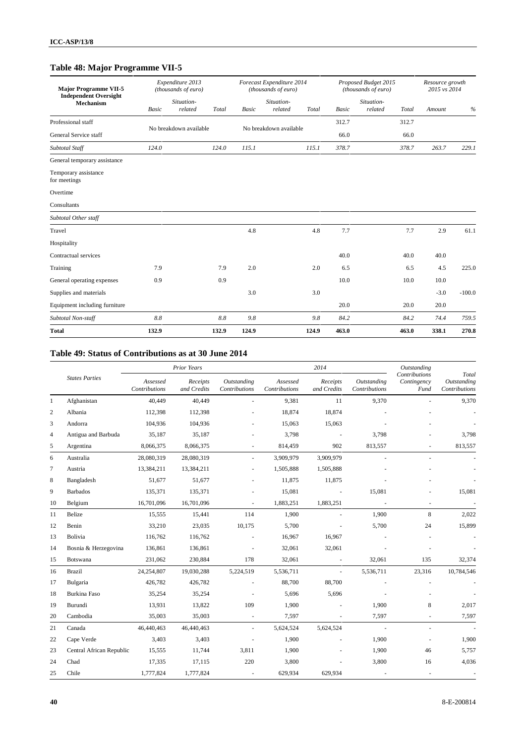## **Table 48: Major Programme VII-5**

| <b>Major Programme VII-5</b><br><b>Independent Oversight</b> |              | Expenditure 2013<br>(thousands of euro) |       |       | Forecast Expenditure 2014<br>(thousands of euro) |       |              | Proposed Budget 2015<br>(thousands of euro) |       | Resource growth<br>2015 vs 2014 |          |
|--------------------------------------------------------------|--------------|-----------------------------------------|-------|-------|--------------------------------------------------|-------|--------------|---------------------------------------------|-------|---------------------------------|----------|
| <b>Mechanism</b>                                             | <b>Basic</b> | Situation-<br>related                   | Total | Basic | Situation-<br>related                            | Total | <b>Basic</b> | Situation-<br>related                       | Total | Amount                          | $\%$     |
| Professional staff                                           |              |                                         |       |       |                                                  |       | 312.7        |                                             | 312.7 |                                 |          |
| General Service staff                                        |              | No breakdown available                  |       |       | No breakdown available                           |       | 66.0         |                                             | 66.0  |                                 |          |
| Subtotal Staff                                               | 124.0        |                                         | 124.0 | 115.1 |                                                  | 115.1 | 378.7        |                                             | 378.7 | 263.7                           | 229.1    |
| General temporary assistance                                 |              |                                         |       |       |                                                  |       |              |                                             |       |                                 |          |
| Temporary assistance<br>for meetings                         |              |                                         |       |       |                                                  |       |              |                                             |       |                                 |          |
| Overtime                                                     |              |                                         |       |       |                                                  |       |              |                                             |       |                                 |          |
| Consultants                                                  |              |                                         |       |       |                                                  |       |              |                                             |       |                                 |          |
| Subtotal Other staff                                         |              |                                         |       |       |                                                  |       |              |                                             |       |                                 |          |
| Travel                                                       |              |                                         |       | 4.8   |                                                  | 4.8   | 7.7          |                                             | 7.7   | 2.9                             | 61.1     |
| Hospitality                                                  |              |                                         |       |       |                                                  |       |              |                                             |       |                                 |          |
| Contractual services                                         |              |                                         |       |       |                                                  |       | 40.0         |                                             | 40.0  | 40.0                            |          |
| Training                                                     | 7.9          |                                         | 7.9   | 2.0   |                                                  | 2.0   | 6.5          |                                             | 6.5   | 4.5                             | 225.0    |
| General operating expenses                                   | 0.9          |                                         | 0.9   |       |                                                  |       | 10.0         |                                             | 10.0  | 10.0                            |          |
| Supplies and materials                                       |              |                                         |       | 3.0   |                                                  | 3.0   |              |                                             |       | $-3.0$                          | $-100.0$ |
| Equipment including furniture                                |              |                                         |       |       |                                                  |       | 20.0         |                                             | 20.0  | 20.0                            |          |
| Subtotal Non-staff                                           | $8.8\,$      |                                         | 8.8   | 9.8   |                                                  | 9.8   | 84.2         |                                             | 84.2  | 74.4                            | 759.5    |
| <b>Total</b>                                                 | 132.9        |                                         | 132.9 | 124.9 |                                                  | 124.9 | 463.0        |                                             | 463.0 | 338.1                           | 270.8    |

#### **Table 49: Status of Contributions as at 30 June 2014**

|                                       |                           | Prior Years             |                              |                           | 2014                     |                                     | Outstanding                          |                                       |
|---------------------------------------|---------------------------|-------------------------|------------------------------|---------------------------|--------------------------|-------------------------------------|--------------------------------------|---------------------------------------|
| <b>States Parties</b>                 | Assessed<br>Contributions | Receipts<br>and Credits | Outstanding<br>Contributions | Assessed<br>Contributions | Receipts<br>and Credits  | <b>Outstanding</b><br>Contributions | Contributions<br>Contingency<br>Fund | Total<br>Outstanding<br>Contributions |
| Afghanistan<br>1                      | 40,449                    | 40,449                  |                              | 9,381                     | 11                       | 9,370                               |                                      | 9,370                                 |
| $\mathfrak{2}$<br>Albania             | 112,398                   | 112,398                 |                              | 18,874                    | 18,874                   |                                     |                                      |                                       |
| 3<br>Andorra                          | 104,936                   | 104,936                 |                              | 15,063                    | 15,063                   |                                     |                                      |                                       |
| $\overline{4}$<br>Antigua and Barbuda | 35,187                    | 35,187                  |                              | 3,798                     | $\sim$                   | 3,798                               |                                      | 3,798                                 |
| 5<br>Argentina                        | 8,066,375                 | 8,066,375               | $\sim$                       | 814,459                   | 902                      | 813,557                             | $\overline{\phantom{a}}$             | 813,557                               |
| Australia<br>6                        | 28,080,319                | 28,080,319              | $\sim$                       | 3,909,979                 | 3,909,979                | ÷,                                  | ÷.                                   |                                       |
| $\tau$<br>Austria                     | 13,384,211                | 13,384,211              |                              | 1,505,888                 | 1,505,888                |                                     |                                      |                                       |
| 8<br>Bangladesh                       | 51,677                    | 51,677                  | $\sim$                       | 11,875                    | 11,875                   |                                     |                                      |                                       |
| 9<br><b>Barbados</b>                  | 135,371                   | 135,371                 |                              | 15,081                    | $\sim$                   | 15,081                              |                                      | 15,081                                |
| Belgium<br>10                         | 16,701,096                | 16,701,096              | ÷                            | 1,883,251                 | 1,883,251                | $\sim$                              | ÷.                                   |                                       |
| Belize<br>11                          | 15,555                    | 15,441                  | 114                          | 1,900                     | ÷.                       | 1,900                               | 8                                    | 2,022                                 |
| 12<br>Benin                           | 33,210                    | 23,035                  | 10,175                       | 5,700                     |                          | 5,700                               | 24                                   | 15,899                                |
| 13<br>Bolivia                         | 116,762                   | 116,762                 |                              | 16,967                    | 16,967                   |                                     |                                      |                                       |
| 14<br>Bosnia & Herzegovina            | 136,861                   | 136,861                 | $\sim$                       | 32,061                    | 32,061                   |                                     |                                      |                                       |
| 15<br><b>Botswana</b>                 | 231,062                   | 230,884                 | 178                          | 32,061                    | $\overline{\phantom{a}}$ | 32,061                              | 135                                  | 32,374                                |
| 16<br>Brazil                          | 24,254,807                | 19,030,288              | 5,224,519                    | 5,536,711                 | $\omega$                 | 5,536,711                           | 23,316                               | 10,784,546                            |
| Bulgaria<br>17                        | 426,782                   | 426,782                 | ÷.                           | 88,700                    | 88,700                   |                                     | ÷.                                   |                                       |
| <b>Burkina Faso</b><br>18             | 35,254                    | 35,254                  |                              | 5,696                     | 5,696                    |                                     |                                      |                                       |
| Burundi<br>19                         | 13,931                    | 13,822                  | 109                          | 1,900                     |                          | 1,900                               | 8                                    | 2,017                                 |
| 20<br>Cambodia                        | 35,003                    | 35,003                  | $\sim$                       | 7,597                     | $\overline{\phantom{a}}$ | 7,597                               | ÷.                                   | 7,597                                 |
| 21<br>Canada                          | 46,440,463                | 46,440,463              | $\sim$                       | 5,624,524                 | 5,624,524                | $\bar{a}$                           | $\sim$                               |                                       |
| 22<br>Cape Verde                      | 3,403                     | 3,403                   | $\sim$                       | 1,900                     | ä,                       | 1,900                               |                                      | 1,900                                 |
| 23<br>Central African Republic        | 15,555                    | 11,744                  | 3,811                        | 1,900                     | ÷.                       | 1,900                               | 46                                   | 5,757                                 |
| 24<br>Chad                            | 17,335                    | 17,115                  | 220                          | 3,800                     |                          | 3,800                               | 16                                   | 4,036                                 |
| Chile<br>25                           | 1,777,824                 | 1,777,824               |                              | 629,934                   | 629,934                  |                                     |                                      |                                       |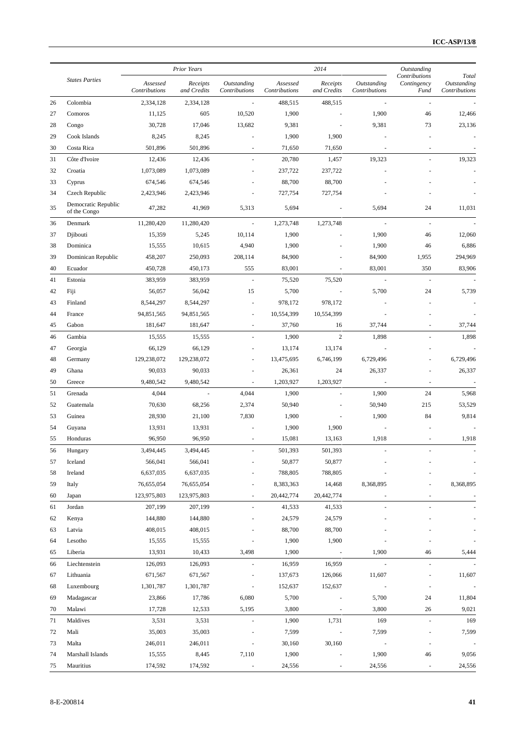| 26<br>27<br>28<br>29<br>30<br>31<br>32<br>33<br>34<br>35<br>36<br>37<br>38<br>39<br>40<br>41<br>42<br>43<br>44<br>45<br>46<br>47<br>48 | <b>States Parties</b><br>Colombia<br>Comoros<br>Congo<br>Cook Islands<br>Costa Rica<br>Côte d'Ivoire<br>Croatia<br>Cyprus<br>Czech Republic<br>Democratic Republic<br>of the Congo<br>Denmark<br>Djibouti<br>Dominica<br>Dominican Republic<br>Ecuador<br>Estonia<br>Fiji<br>Finland | Assessed<br>Contributions<br>2,334,128<br>11,125<br>30,728<br>8,245<br>501,896<br>12,436<br>1,073,089<br>674,546<br>2,423,946<br>47,282<br>11,280,420<br>15,359<br>15,555<br>458,207<br>450,728<br>383,959 | Receipts<br>and Credits<br>2,334,128<br>605<br>17,046<br>8,245<br>501,896<br>12,436<br>1,073,089<br>674,546<br>2,423,946<br>41,969<br>11,280,420<br>5,245<br>10,615<br>250,093 | Outstanding<br>Contributions<br>$\overline{\phantom{a}}$<br>10,520<br>13,682<br>$\overline{\phantom{a}}$<br>$\omega$<br>5,313<br>$\mathbf{r}$<br>10,114<br>4,940 | Assessed<br>Contributions<br>488,515<br>1,900<br>9,381<br>1,900<br>71,650<br>20,780<br>237,722<br>88,700<br>727,754<br>5,694<br>1,273,748<br>1,900 | Receipts<br>and Credits<br>488,515<br>÷.<br>$\sim$<br>1,900<br>71,650<br>1,457<br>237,722<br>88,700<br>727,754<br>$\sim$<br>1,273,748 | Outstanding<br>Contributions<br>$\overline{\phantom{a}}$<br>1,900<br>9,381<br>÷,<br>19,323<br>5,694<br>$\sim$ | Contributions<br>Contingency<br>Fund<br>÷,<br>46<br>73<br>÷,<br>÷,<br>24 | Total<br>Outstanding<br>Contributions<br>12,466<br>23,136<br>19,323<br>11,031 |
|----------------------------------------------------------------------------------------------------------------------------------------|--------------------------------------------------------------------------------------------------------------------------------------------------------------------------------------------------------------------------------------------------------------------------------------|------------------------------------------------------------------------------------------------------------------------------------------------------------------------------------------------------------|--------------------------------------------------------------------------------------------------------------------------------------------------------------------------------|------------------------------------------------------------------------------------------------------------------------------------------------------------------|----------------------------------------------------------------------------------------------------------------------------------------------------|---------------------------------------------------------------------------------------------------------------------------------------|---------------------------------------------------------------------------------------------------------------|--------------------------------------------------------------------------|-------------------------------------------------------------------------------|
|                                                                                                                                        |                                                                                                                                                                                                                                                                                      |                                                                                                                                                                                                            |                                                                                                                                                                                |                                                                                                                                                                  |                                                                                                                                                    |                                                                                                                                       |                                                                                                               |                                                                          |                                                                               |
|                                                                                                                                        |                                                                                                                                                                                                                                                                                      |                                                                                                                                                                                                            |                                                                                                                                                                                |                                                                                                                                                                  |                                                                                                                                                    |                                                                                                                                       |                                                                                                               |                                                                          |                                                                               |
|                                                                                                                                        |                                                                                                                                                                                                                                                                                      |                                                                                                                                                                                                            |                                                                                                                                                                                |                                                                                                                                                                  |                                                                                                                                                    |                                                                                                                                       |                                                                                                               |                                                                          |                                                                               |
|                                                                                                                                        |                                                                                                                                                                                                                                                                                      |                                                                                                                                                                                                            |                                                                                                                                                                                |                                                                                                                                                                  |                                                                                                                                                    |                                                                                                                                       |                                                                                                               |                                                                          |                                                                               |
|                                                                                                                                        |                                                                                                                                                                                                                                                                                      |                                                                                                                                                                                                            |                                                                                                                                                                                |                                                                                                                                                                  |                                                                                                                                                    |                                                                                                                                       |                                                                                                               |                                                                          |                                                                               |
|                                                                                                                                        |                                                                                                                                                                                                                                                                                      |                                                                                                                                                                                                            |                                                                                                                                                                                |                                                                                                                                                                  |                                                                                                                                                    |                                                                                                                                       |                                                                                                               |                                                                          |                                                                               |
|                                                                                                                                        |                                                                                                                                                                                                                                                                                      |                                                                                                                                                                                                            |                                                                                                                                                                                |                                                                                                                                                                  |                                                                                                                                                    |                                                                                                                                       |                                                                                                               |                                                                          |                                                                               |
|                                                                                                                                        |                                                                                                                                                                                                                                                                                      |                                                                                                                                                                                                            |                                                                                                                                                                                |                                                                                                                                                                  |                                                                                                                                                    |                                                                                                                                       |                                                                                                               |                                                                          |                                                                               |
|                                                                                                                                        |                                                                                                                                                                                                                                                                                      |                                                                                                                                                                                                            |                                                                                                                                                                                |                                                                                                                                                                  |                                                                                                                                                    |                                                                                                                                       |                                                                                                               |                                                                          |                                                                               |
|                                                                                                                                        |                                                                                                                                                                                                                                                                                      |                                                                                                                                                                                                            |                                                                                                                                                                                |                                                                                                                                                                  |                                                                                                                                                    |                                                                                                                                       |                                                                                                               |                                                                          |                                                                               |
|                                                                                                                                        |                                                                                                                                                                                                                                                                                      |                                                                                                                                                                                                            |                                                                                                                                                                                |                                                                                                                                                                  |                                                                                                                                                    |                                                                                                                                       |                                                                                                               |                                                                          |                                                                               |
|                                                                                                                                        |                                                                                                                                                                                                                                                                                      |                                                                                                                                                                                                            |                                                                                                                                                                                |                                                                                                                                                                  |                                                                                                                                                    |                                                                                                                                       |                                                                                                               | ä,                                                                       |                                                                               |
|                                                                                                                                        |                                                                                                                                                                                                                                                                                      |                                                                                                                                                                                                            |                                                                                                                                                                                |                                                                                                                                                                  |                                                                                                                                                    |                                                                                                                                       | 1,900                                                                                                         | 46                                                                       | 12,060                                                                        |
|                                                                                                                                        |                                                                                                                                                                                                                                                                                      |                                                                                                                                                                                                            |                                                                                                                                                                                |                                                                                                                                                                  | 1,900                                                                                                                                              |                                                                                                                                       | 1,900                                                                                                         | 46                                                                       | 6,886                                                                         |
|                                                                                                                                        |                                                                                                                                                                                                                                                                                      |                                                                                                                                                                                                            |                                                                                                                                                                                | 208,114                                                                                                                                                          | 84,900                                                                                                                                             |                                                                                                                                       | 84,900                                                                                                        | 1,955                                                                    | 294,969                                                                       |
|                                                                                                                                        |                                                                                                                                                                                                                                                                                      |                                                                                                                                                                                                            | 450,173                                                                                                                                                                        | 555                                                                                                                                                              | 83,001                                                                                                                                             |                                                                                                                                       | 83,001                                                                                                        | 350                                                                      | 83,906                                                                        |
|                                                                                                                                        |                                                                                                                                                                                                                                                                                      |                                                                                                                                                                                                            | 383,959                                                                                                                                                                        | $\overline{\phantom{a}}$                                                                                                                                         | 75,520                                                                                                                                             | 75,520                                                                                                                                | $\overline{\phantom{a}}$                                                                                      | $\overline{\phantom{a}}$                                                 |                                                                               |
|                                                                                                                                        |                                                                                                                                                                                                                                                                                      | 56,057                                                                                                                                                                                                     | 56,042                                                                                                                                                                         | 15                                                                                                                                                               | 5,700                                                                                                                                              | $\overline{\phantom{a}}$                                                                                                              | 5,700                                                                                                         | 24                                                                       | 5,739                                                                         |
|                                                                                                                                        |                                                                                                                                                                                                                                                                                      | 8,544,297                                                                                                                                                                                                  | 8,544,297                                                                                                                                                                      | $\sim$                                                                                                                                                           | 978,172                                                                                                                                            | 978,172                                                                                                                               |                                                                                                               | ä,                                                                       |                                                                               |
|                                                                                                                                        | France                                                                                                                                                                                                                                                                               | 94,851,565                                                                                                                                                                                                 | 94,851,565                                                                                                                                                                     | $\overline{\phantom{a}}$                                                                                                                                         | 10,554,399                                                                                                                                         | 10,554,399                                                                                                                            |                                                                                                               |                                                                          |                                                                               |
|                                                                                                                                        | Gabon                                                                                                                                                                                                                                                                                | 181,647                                                                                                                                                                                                    | 181,647                                                                                                                                                                        | $\overline{\phantom{a}}$                                                                                                                                         | 37,760                                                                                                                                             | 16                                                                                                                                    | 37,744                                                                                                        |                                                                          | 37,744                                                                        |
|                                                                                                                                        | Gambia                                                                                                                                                                                                                                                                               | 15,555                                                                                                                                                                                                     | 15,555                                                                                                                                                                         |                                                                                                                                                                  | 1,900                                                                                                                                              | 2                                                                                                                                     | 1,898                                                                                                         |                                                                          | 1,898                                                                         |
|                                                                                                                                        | Georgia                                                                                                                                                                                                                                                                              | 66,129                                                                                                                                                                                                     | 66,129                                                                                                                                                                         |                                                                                                                                                                  | 13,174                                                                                                                                             | 13,174                                                                                                                                | ÷,                                                                                                            |                                                                          |                                                                               |
|                                                                                                                                        | Germany                                                                                                                                                                                                                                                                              | 129,238,072                                                                                                                                                                                                | 129,238,072                                                                                                                                                                    |                                                                                                                                                                  | 13,475,695                                                                                                                                         | 6,746,199                                                                                                                             | 6,729,496                                                                                                     |                                                                          | 6,729,496                                                                     |
| 49                                                                                                                                     | Ghana                                                                                                                                                                                                                                                                                | 90,033                                                                                                                                                                                                     | 90,033                                                                                                                                                                         |                                                                                                                                                                  | 26,361                                                                                                                                             | 24                                                                                                                                    | 26,337                                                                                                        |                                                                          | 26,337                                                                        |
| 50                                                                                                                                     | Greece                                                                                                                                                                                                                                                                               | 9,480,542                                                                                                                                                                                                  | 9,480,542                                                                                                                                                                      | $\omega$                                                                                                                                                         | 1,203,927                                                                                                                                          | 1,203,927                                                                                                                             | $\sim$                                                                                                        | $\overline{\phantom{a}}$                                                 |                                                                               |
| 51                                                                                                                                     | Grenada                                                                                                                                                                                                                                                                              | 4,044                                                                                                                                                                                                      | $\sim$                                                                                                                                                                         | 4,044                                                                                                                                                            | 1,900                                                                                                                                              | ×.                                                                                                                                    | 1,900                                                                                                         | 24                                                                       | 5,968                                                                         |
| 52                                                                                                                                     | Guatemala                                                                                                                                                                                                                                                                            | 70,630                                                                                                                                                                                                     | 68,256                                                                                                                                                                         | 2,374                                                                                                                                                            | 50,940                                                                                                                                             |                                                                                                                                       | 50,940                                                                                                        | 215                                                                      | 53,529                                                                        |
| 53                                                                                                                                     | Guinea                                                                                                                                                                                                                                                                               | 28,930                                                                                                                                                                                                     | 21,100                                                                                                                                                                         | 7,830                                                                                                                                                            | 1,900                                                                                                                                              | ÷.                                                                                                                                    | 1,900                                                                                                         | 84                                                                       | 9,814                                                                         |
| 54                                                                                                                                     | Guyana                                                                                                                                                                                                                                                                               | 13,931                                                                                                                                                                                                     | 13,931                                                                                                                                                                         |                                                                                                                                                                  | 1,900                                                                                                                                              | 1,900                                                                                                                                 | ÷,                                                                                                            |                                                                          |                                                                               |
| 55                                                                                                                                     | Honduras                                                                                                                                                                                                                                                                             | 96,950                                                                                                                                                                                                     | 96,950                                                                                                                                                                         |                                                                                                                                                                  | 15,081                                                                                                                                             | 13,163                                                                                                                                | 1,918                                                                                                         |                                                                          | 1,918                                                                         |
| 56                                                                                                                                     | Hungary                                                                                                                                                                                                                                                                              | 3,494,445                                                                                                                                                                                                  | 3,494,445                                                                                                                                                                      | $\overline{\phantom{a}}$                                                                                                                                         | 501,393                                                                                                                                            | 501,393                                                                                                                               | J.                                                                                                            | ä,                                                                       |                                                                               |
| 57                                                                                                                                     | Iceland                                                                                                                                                                                                                                                                              | 566,041                                                                                                                                                                                                    | 566,041                                                                                                                                                                        |                                                                                                                                                                  | 50,877                                                                                                                                             | 50,877                                                                                                                                |                                                                                                               |                                                                          |                                                                               |
| 58                                                                                                                                     | Ireland                                                                                                                                                                                                                                                                              | 6,637,035                                                                                                                                                                                                  | 6,637,035                                                                                                                                                                      |                                                                                                                                                                  | 788,805                                                                                                                                            | 788,805                                                                                                                               |                                                                                                               |                                                                          |                                                                               |
| 59                                                                                                                                     | Italy                                                                                                                                                                                                                                                                                | 76,655,054                                                                                                                                                                                                 | 76,655,054                                                                                                                                                                     |                                                                                                                                                                  | 8,383,363                                                                                                                                          | 14,468                                                                                                                                | 8,368,895                                                                                                     |                                                                          | 8,368,895                                                                     |
| 60                                                                                                                                     | Japan                                                                                                                                                                                                                                                                                | 123,975,803                                                                                                                                                                                                | 123,975,803                                                                                                                                                                    |                                                                                                                                                                  | 20,442,774                                                                                                                                         | 20,442,774                                                                                                                            |                                                                                                               |                                                                          |                                                                               |
| 61                                                                                                                                     | Jordan                                                                                                                                                                                                                                                                               | 207,199                                                                                                                                                                                                    | 207,199                                                                                                                                                                        |                                                                                                                                                                  | 41,533                                                                                                                                             | 41,533                                                                                                                                |                                                                                                               |                                                                          |                                                                               |
| 62                                                                                                                                     | Kenya                                                                                                                                                                                                                                                                                | 144,880                                                                                                                                                                                                    | 144,880                                                                                                                                                                        |                                                                                                                                                                  | 24,579                                                                                                                                             | 24,579                                                                                                                                |                                                                                                               |                                                                          |                                                                               |
| 63                                                                                                                                     | Latvia                                                                                                                                                                                                                                                                               | 408,015                                                                                                                                                                                                    | 408,015                                                                                                                                                                        |                                                                                                                                                                  | 88,700                                                                                                                                             | 88,700                                                                                                                                |                                                                                                               |                                                                          |                                                                               |
| 64                                                                                                                                     | Lesotho                                                                                                                                                                                                                                                                              | 15,555                                                                                                                                                                                                     | 15,555                                                                                                                                                                         |                                                                                                                                                                  | 1,900                                                                                                                                              | 1,900                                                                                                                                 |                                                                                                               |                                                                          |                                                                               |
| 65                                                                                                                                     | Liberia                                                                                                                                                                                                                                                                              | 13,931                                                                                                                                                                                                     | 10,433                                                                                                                                                                         | 3,498                                                                                                                                                            | 1,900                                                                                                                                              | $\sim$                                                                                                                                | 1,900                                                                                                         | 46                                                                       | 5,444                                                                         |
| 66                                                                                                                                     | Liechtenstein                                                                                                                                                                                                                                                                        | 126,093                                                                                                                                                                                                    | 126,093                                                                                                                                                                        |                                                                                                                                                                  | 16,959                                                                                                                                             | 16,959                                                                                                                                | ä,                                                                                                            | ÷,                                                                       |                                                                               |
| 67                                                                                                                                     | Lithuania                                                                                                                                                                                                                                                                            | 671,567                                                                                                                                                                                                    | 671,567                                                                                                                                                                        |                                                                                                                                                                  | 137,673                                                                                                                                            | 126,066                                                                                                                               | 11,607                                                                                                        | $\overline{\phantom{a}}$                                                 | 11,607                                                                        |
| 68                                                                                                                                     | Luxembourg                                                                                                                                                                                                                                                                           | 1,301,787                                                                                                                                                                                                  | 1,301,787                                                                                                                                                                      |                                                                                                                                                                  | 152,637                                                                                                                                            | 152,637                                                                                                                               | ÷,                                                                                                            | ÷,                                                                       |                                                                               |
| 69                                                                                                                                     | Madagascar                                                                                                                                                                                                                                                                           | 23,866                                                                                                                                                                                                     | 17,786                                                                                                                                                                         | 6,080                                                                                                                                                            | 5,700                                                                                                                                              | $\overline{\phantom{a}}$                                                                                                              | 5,700                                                                                                         | 24                                                                       | 11,804                                                                        |
| 70                                                                                                                                     | Malawi                                                                                                                                                                                                                                                                               | 17,728                                                                                                                                                                                                     | 12,533                                                                                                                                                                         | 5,195                                                                                                                                                            | 3,800                                                                                                                                              | $\overline{\phantom{a}}$                                                                                                              | 3,800                                                                                                         | 26                                                                       | 9,021                                                                         |
| 71                                                                                                                                     | Maldives                                                                                                                                                                                                                                                                             | 3,531                                                                                                                                                                                                      | 3,531                                                                                                                                                                          |                                                                                                                                                                  | 1,900                                                                                                                                              | 1,731                                                                                                                                 | 169                                                                                                           | ÷,                                                                       | 169                                                                           |
| 72                                                                                                                                     | Mali                                                                                                                                                                                                                                                                                 | 35,003                                                                                                                                                                                                     | 35,003                                                                                                                                                                         |                                                                                                                                                                  | 7,599                                                                                                                                              | ÷,                                                                                                                                    | 7,599                                                                                                         |                                                                          | 7,599                                                                         |
| 73                                                                                                                                     | Malta                                                                                                                                                                                                                                                                                | 246,011                                                                                                                                                                                                    | 246,011                                                                                                                                                                        |                                                                                                                                                                  | 30,160                                                                                                                                             | 30,160                                                                                                                                | $\blacksquare$                                                                                                |                                                                          |                                                                               |
| 74                                                                                                                                     | Marshall Islands                                                                                                                                                                                                                                                                     | 15,555                                                                                                                                                                                                     | 8,445                                                                                                                                                                          | 7,110                                                                                                                                                            | 1,900                                                                                                                                              |                                                                                                                                       | 1,900                                                                                                         | 46                                                                       | 9,056                                                                         |
| 75                                                                                                                                     | Mauritius                                                                                                                                                                                                                                                                            | 174,592                                                                                                                                                                                                    | 174,592                                                                                                                                                                        | $\overline{\phantom{a}}$                                                                                                                                         | 24,556                                                                                                                                             | ÷,                                                                                                                                    | 24,556                                                                                                        | $\blacksquare$                                                           | 24,556                                                                        |